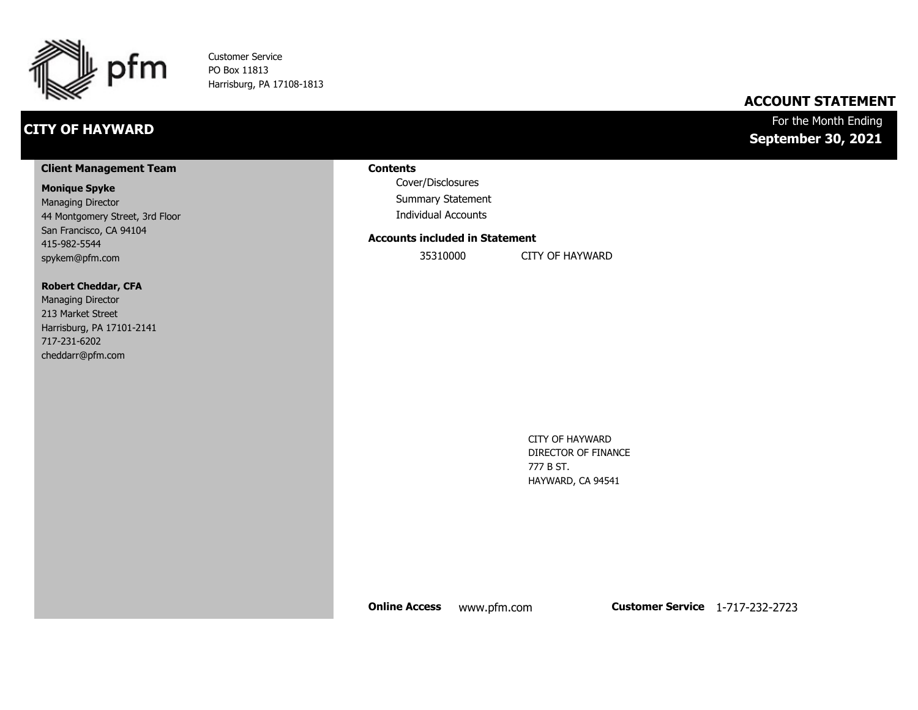

Customer Service PO Box 11813 Harrisburg, PA 17108-1813

## **CITY OF HAYWARD**

## **ACCOUNT STATEMENT**

## For the Month Ending **September 30, 2021**

#### **Client Management Team**

#### **Monique Spyke**

Managing Director 44 Montgomery Street, 3rd Floor San Francisco, CA 94104 415-982-5544 spykem@pfm.com

#### **Robert Cheddar, CFA**

| <b>Managing Director</b>  |
|---------------------------|
| 213 Market Street         |
| Harrisburg, PA 17101-2141 |
| 717-231-6202              |
| cheddarr@pfm.com          |

#### **Contents**

Cover/Disclosures Summary Statement Individual Accounts

#### **Accounts included in Statement**

35310000 CITY OF HAYWARD

CITY OF HAYWARD DIRECTOR OF FINANCE 777 B ST. HAYWARD, CA 94541

**Online Access** www.pfm.com **Customer Service** 1-717-232-2723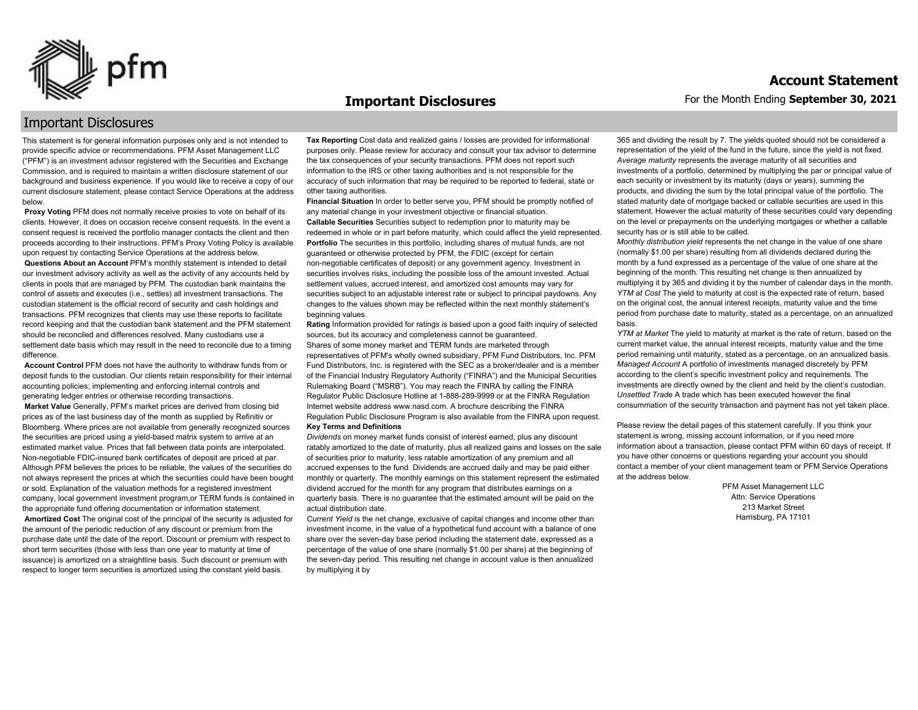

#### **Important Disclosures**

## Important Disclosures

This statement is for general information purposes only and is not intended to provide specific advice or recommendations. PFM Asset Management LLC ("PFM") is an investment advisor registered with the Securities and Exchange Commission, and is required to maintain a written disclosure statement of our background and business experience. If you would like to receive a copy of our current disclosure statement, please contact Service Operations at the address below.

**Proxy Voting** PFM does not normally receive proxies to vote on behalf of its clients. However, it does on occasion receive consent requests. In the event a consent request is received the portfolio manager contacts the client and then proceeds according to their instructions. PFM's Proxy Voting Policy is available upon request by contacting Service Operations at the address below. **Questions About an Account** PFM's monthly statement is intended to detail our investment advisory activity as well as the activity of any accounts held by clients in pools that are managed by PFM. The custodian bank maintains the control of assets and executes (i.e., settles) all investment transactions. The custodian statement is the official record of security and cash holdings and transactions. PFM recognizes that clients may use these reports to facilitate record keeping and that the custodian bank statement and the PFM statement should be reconciled and differences resolved. Many custodians use a settlement date basis which may result in the need to reconcile due to a timing

difference. **Account Control** PFM does not have the authority to withdraw funds from or deposit funds to the custodian. Our clients retain responsibility for their internal

accounting policies; implementing and enforcing internal controls and generating ledger entries or otherwise recording transactions. **Market Value** Generally, PFM's market prices are derived from closing bid prices as of the last business day of the month as supplied by Refinitiv or Bloomberg. Where prices are not available from generally recognized sources the securities are priced using a yield-based matrix system to arrive at an estimated market value. Prices that fall between data points are interpolated. Non-negotiable FDIC-insured bank certificates of deposit are priced at par. Although PFM believes the prices to be reliable, the values of the securities do not always represent the prices at which the securities could have been bought or sold. Explanation of the valuation methods for a registered investment company, local government investment program,or TERM funds is contained in the appropriate fund offering documentation or information statement. **Amortized Cost** The original cost of the principal of the security is adjusted for the amount of the periodic reduction of any discount or premium from the purchase date until the date of the report. Discount or premium with respect to short term securities (those with less than one year to maturity at time of issuance) is amortized on a straightline basis. Such discount or premium with respect to longer term securities is amortized using the constant yield basis.

**Tax Reporting** Cost data and realized gains / losses are provided for informational purposes only. Please review for accuracy and consult your tax advisor to determine the tax consequences of your security transactions. PFM does not report such information to the IRS or other taxing authorities and is not responsible for the accuracy of such information that may be required to be reported to federal, state or other taxing authorities.

**Financial Situation** In order to better serve you, PFM should be promptly notified of any material change in your investment objective or financial situation. **Callable Securities** Securities subject to redemption prior to maturity may be redeemed in whole or in part before maturity, which could affect the yield represented. Portfolio The securities in this portfolio, including shares of mutual funds, are not guaranteed or otherwise protected by PFM, the FDIC (except for certain non-negotiable certificates of deposit) or any government agency. Investment in securities involves risks, including the possible loss of the amount invested. Actual settlement values, accrued interest, and amortized cost amounts may vary for securities subject to an adjustable interest rate or subject to principal paydowns. Any changes to the values shown may be reflected within the next monthly statement's beginning values.

**Rating** Information provided for ratings is based upon a good faith inquiry of selected sources, but its accuracy and completeness cannot be guaranteed. Shares of some money market and TERM funds are marketed through representatives of PFM's wholly owned subsidiary, PFM Fund Distributors, Inc. PFM Fund Distributors, Inc. is registered with the SEC as a broker/dealer and is a member of the Financial Industry Regulatory Authority ("FINRA") and the Municipal Securities Rulemaking Board ("MSRB"). You may reach the FINRA by calling the FINRA Regulator Public Disclosure Hotline at 1-888-289-9999 or at the FINRA Regulation Internet website address www.nasd.com. A brochure describing the FINRA Regulation Public Disclosure Program is also available from the FINRA upon request. **Key Terms and Definitions**

*Dividends* on money market funds consist of interest earned, plus any discount ratably amortized to the date of maturity, plus all realized gains and losses on the sale of securities prior to maturity, less ratable amortization of any premium and all accrued expenses to the fund. Dividends are accrued daily and may be paid either monthly or quarterly. The monthly earnings on this statement represent the estimated dividend accrued for the month for any program that distributes earnings on a quarterly basis. There is no guarantee that the estimated amount will be paid on the actual distribution date.

*Current Yield* is the net change, exclusive of capital changes and income other than investment income, in the value of a hypothetical fund account with a balance of one share over the seven-day base period including the statement date, expressed as a percentage of the value of one share (normally \$1.00 per share) at the beginning of the seven-day period. This resulting net change in account value is then annualized by multiplying it by

365 and dividing the result by 7. The yields quoted should not be considered a representation of the yield of the fund in the future, since the yield is not fixed. *Average maturity* represents the average maturity of all securities and investments of a portfolio, determined by multiplying the par or principal value of each security or investment by its maturity (days or years), summing the products, and dividing the sum by the total principal value of the portfolio. The stated maturity date of mortgage backed or callable securities are used in this statement. However the actual maturity of these securities could vary depending on the level or prepayments on the underlying mortgages or whether a callable security has or is still able to be called.

*Monthly distribution yield* represents the net change in the value of one share (normally \$1.00 per share) resulting from all dividends declared during the month by a fund expressed as a percentage of the value of one share at the beginning of the month. This resulting net change is then annualized by multiplying it by 365 and dividing it by the number of calendar days in the month. *YTM at Cost* The yield to maturity at cost is the expected rate of return, based on the original cost, the annual interest receipts, maturity value and the time period from purchase date to maturity, stated as a percentage, on an annualized basis.

*YTM at Market* The yield to maturity at market is the rate of return, based on the current market value, the annual interest receipts, maturity value and the time period remaining until maturity, stated as a percentage, on an annualized basis. *Managed Account* A portfolio of investments managed discretely by PFM according to the client's specific investment policy and requirements. The investments are directly owned by the client and held by the client's custodian. *Unsettled Trade* A trade which has been executed however the final consummation of the security transaction and payment has not yet taken place.

Please review the detail pages of this statement carefully. If you think your statement is wrong, missing account information, or if you need more information about a transaction, please contact PFM within 60 days of receipt. If you have other concerns or questions regarding your account you should contact a member of your client management team or PFM Service Operations at the address below.

> PFM Asset Management LLC Attn: Service Operations 213 Market Street Harrisburg, PA 17101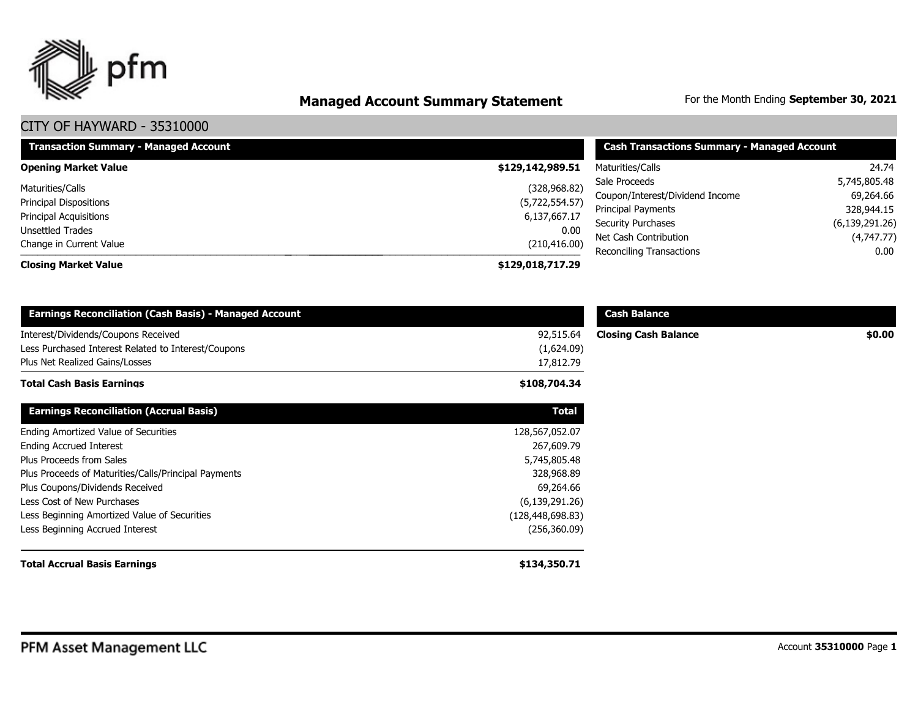

# **Managed Account Summary Statement** For the Month Ending September 30, 2021

| <b>Transaction Summary - Managed Account</b> | <b>Cash Transactions Summary - Managed Account</b> |                                 |                  |
|----------------------------------------------|----------------------------------------------------|---------------------------------|------------------|
| <b>Opening Market Value</b>                  | \$129,142,989.51                                   | Maturities/Calls                | 24.74            |
| Maturities/Calls                             | (328, 968.82)                                      | Sale Proceeds                   | 5,745,805.48     |
| Principal Dispositions                       | (5,722,554.57)                                     | Coupon/Interest/Dividend Income | 69,264.66        |
| <b>Principal Acquisitions</b>                | 6,137,667.17                                       | Principal Payments              | 328,944.15       |
| <b>Unsettled Trades</b>                      | 0.00                                               | <b>Security Purchases</b>       | (6, 139, 291.26) |
| Change in Current Value                      | (210, 416.00)                                      | Net Cash Contribution           | (4,747.77)       |
|                                              |                                                    | Reconciling Transactions        | $0.00\,$         |
| <b>Closing Market Value</b>                  | \$129,018,717.29                                   |                                 |                  |

| <b>Earnings Reconciliation (Cash Basis) - Managed Account</b> |                  | <b>Cash Balance</b>         |        |
|---------------------------------------------------------------|------------------|-----------------------------|--------|
| Interest/Dividends/Coupons Received                           | 92,515.64        | <b>Closing Cash Balance</b> | \$0.00 |
| Less Purchased Interest Related to Interest/Coupons           | (1,624.09)       |                             |        |
| Plus Net Realized Gains/Losses                                | 17,812.79        |                             |        |
| Total Cash Basis Earnings                                     | \$108,704.34     |                             |        |
| <b>Earnings Reconciliation (Accrual Basis)</b>                | <b>Total</b>     |                             |        |
| Ending Amortized Value of Securities                          | 128,567,052.07   |                             |        |
| <b>Ending Accrued Interest</b>                                | 267,609.79       |                             |        |
| Plus Proceeds from Sales                                      | 5,745,805.48     |                             |        |
| Plus Proceeds of Maturities/Calls/Principal Payments          | 328,968.89       |                             |        |
| Plus Coupons/Dividends Received                               | 69,264.66        |                             |        |
| Less Cost of New Purchases                                    | (6, 139, 291.26) |                             |        |
| Less Beginning Amortized Value of Securities                  | (128,448,698.83) |                             |        |
| Less Beginning Accrued Interest                               | (256, 360.09)    |                             |        |
| <b>Total Accrual Basis Earnings</b>                           | \$134,350.71     |                             |        |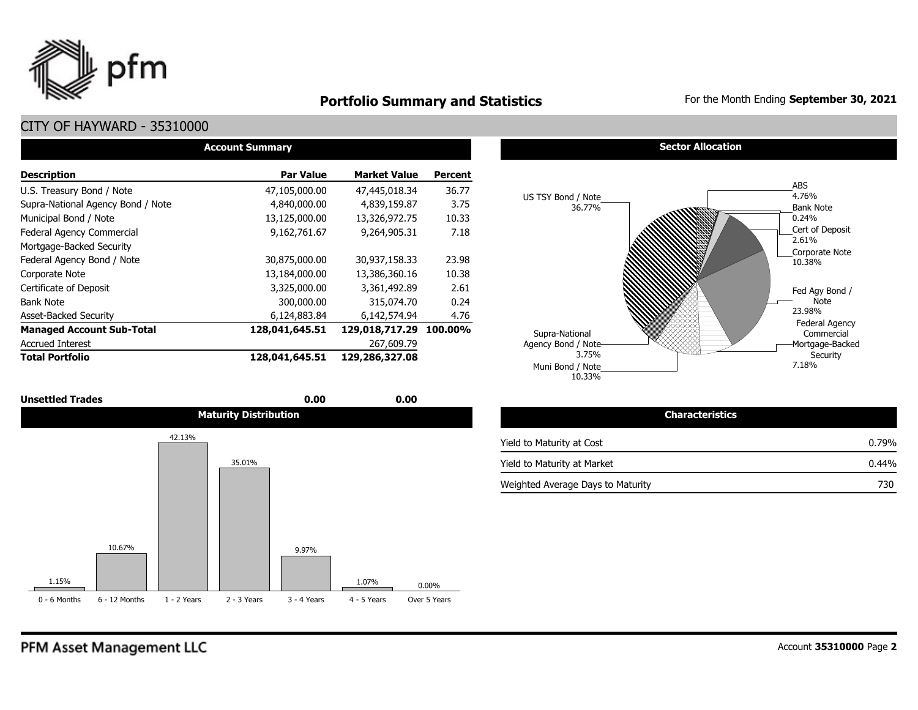

## **Portfolio Summary and Statistics** For the Month Ending September 30, 2021

## CITY OF HAYWARD - 35310000

| <b>Account Summary</b>            |                  |                     |                |  |  |  |  |  |  |
|-----------------------------------|------------------|---------------------|----------------|--|--|--|--|--|--|
| <b>Description</b>                | <b>Par Value</b> | <b>Market Value</b> | <b>Percent</b> |  |  |  |  |  |  |
| U.S. Treasury Bond / Note         | 47,105,000.00    | 47,445,018.34       | 36.77          |  |  |  |  |  |  |
| Supra-National Agency Bond / Note | 4,840,000.00     | 4,839,159.87        | 3.75           |  |  |  |  |  |  |
| Municipal Bond / Note             | 13,125,000.00    | 13,326,972.75       | 10.33          |  |  |  |  |  |  |
| Federal Agency Commercial         | 9,162,761.67     | 9,264,905.31        | 7.18           |  |  |  |  |  |  |
| Mortgage-Backed Security          |                  |                     |                |  |  |  |  |  |  |
| Federal Agency Bond / Note        | 30,875,000.00    | 30,937,158.33       | 23.98          |  |  |  |  |  |  |
| Corporate Note                    | 13,184,000.00    | 13,386,360.16       | 10.38          |  |  |  |  |  |  |
| Certificate of Deposit            | 3,325,000.00     | 3,361,492.89        | 2.61           |  |  |  |  |  |  |
| <b>Bank Note</b>                  | 300,000.00       | 315,074.70          | 0.24           |  |  |  |  |  |  |
| <b>Asset-Backed Security</b>      | 6,124,883.84     | 6,142,574.94        | 4.76           |  |  |  |  |  |  |
| <b>Managed Account Sub-Total</b>  | 128,041,645.51   | 129,018,717.29      | 100.00%        |  |  |  |  |  |  |
| <b>Accrued Interest</b>           |                  | 267.609.79          |                |  |  |  |  |  |  |
| <b>Total Portfolio</b>            | 128,041,645.51   | 129,286,327.08      |                |  |  |  |  |  |  |

| <b>Unsettled Trades</b> | 0.00                         | 0.00 |                           |                        |
|-------------------------|------------------------------|------|---------------------------|------------------------|
|                         | <b>Maturity Distribution</b> |      |                           | <b>Characteristics</b> |
| 42.13%                  |                              |      | Yield to Maturity at Cost |                        |



#### **Sector Allocation**



| <b>Characteristics</b>            |          |
|-----------------------------------|----------|
| Yield to Maturity at Cost         | $0.79\%$ |
| Yield to Maturity at Market       | $0.44\%$ |
| Weighted Average Days to Maturity | 730      |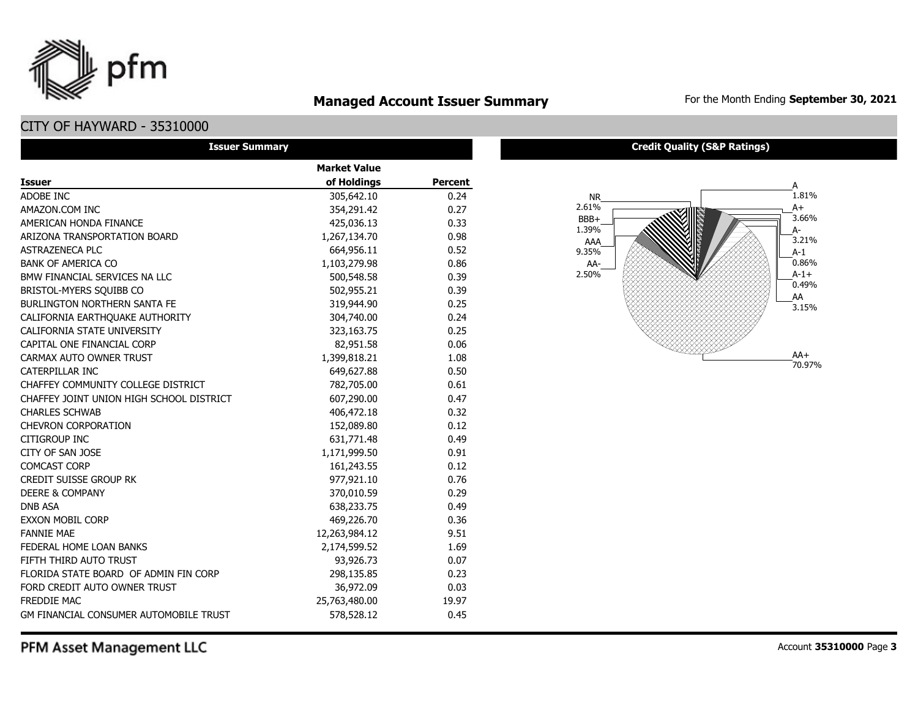

## **Managed Account Issuer Summary** For the Month Ending September 30, 2021

CITY OF HAYWARD - 35310000

| <b>Issuer Summary</b>                         |                     |         |
|-----------------------------------------------|---------------------|---------|
|                                               | <b>Market Value</b> |         |
| <b>Issuer</b>                                 | of Holdings         | Percent |
| ADOBE INC                                     | 305,642.10          | 0.24    |
| AMAZON.COM INC                                | 354,291.42          | 0.27    |
| AMERICAN HONDA FINANCE                        | 425,036.13          | 0.33    |
| ARIZONA TRANSPORTATION BOARD                  | 1,267,134.70        | 0.98    |
| <b>ASTRAZENECA PLC</b>                        | 664,956.11          | 0.52    |
| <b>BANK OF AMERICA CO</b>                     | 1,103,279.98        | 0.86    |
| BMW FINANCIAL SERVICES NA LLC                 | 500,548.58          | 0.39    |
| BRISTOL-MYERS SQUIBB CO                       | 502,955.21          | 0.39    |
| <b>BURLINGTON NORTHERN SANTA FE</b>           | 319,944.90          | 0.25    |
| CALIFORNIA EARTHQUAKE AUTHORITY               | 304,740.00          | 0.24    |
| CALIFORNIA STATE UNIVERSITY                   | 323,163.75          | 0.25    |
| CAPITAL ONE FINANCIAL CORP                    | 82,951.58           | 0.06    |
| CARMAX AUTO OWNER TRUST                       | 1,399,818.21        | 1.08    |
| <b>CATERPILLAR INC</b>                        | 649,627.88          | 0.50    |
| CHAFFEY COMMUNITY COLLEGE DISTRICT            | 782,705.00          | 0.61    |
| CHAFFEY JOINT UNION HIGH SCHOOL DISTRICT      | 607,290.00          | 0.47    |
| <b>CHARLES SCHWAB</b>                         | 406,472.18          | 0.32    |
| <b>CHEVRON CORPORATION</b>                    | 152,089.80          | 0.12    |
| <b>CITIGROUP INC</b>                          | 631,771.48          | 0.49    |
| CITY OF SAN JOSE                              | 1,171,999.50        | 0.91    |
| <b>COMCAST CORP</b>                           | 161,243.55          | 0.12    |
| <b>CREDIT SUISSE GROUP RK</b>                 | 977,921.10          | 0.76    |
| <b>DEERE &amp; COMPANY</b>                    | 370,010.59          | 0.29    |
| <b>DNB ASA</b>                                | 638,233.75          | 0.49    |
| <b>EXXON MOBIL CORP</b>                       | 469,226.70          | 0.36    |
| <b>FANNIE MAE</b>                             | 12,263,984.12       | 9.51    |
| FEDERAL HOME LOAN BANKS                       | 2,174,599.52        | 1.69    |
| FIFTH THIRD AUTO TRUST                        | 93,926.73           | 0.07    |
| FLORIDA STATE BOARD OF ADMIN FIN CORP         | 298,135.85          | 0.23    |
| FORD CREDIT AUTO OWNER TRUST                  | 36,972.09           | 0.03    |
| <b>FREDDIE MAC</b>                            | 25,763,480.00       | 19.97   |
| <b>GM FINANCIAL CONSUMER AUTOMOBILE TRUST</b> | 578,528.12          | 0.45    |

**Credit Quality (S&P Ratings)**



PFM Asset Management LLC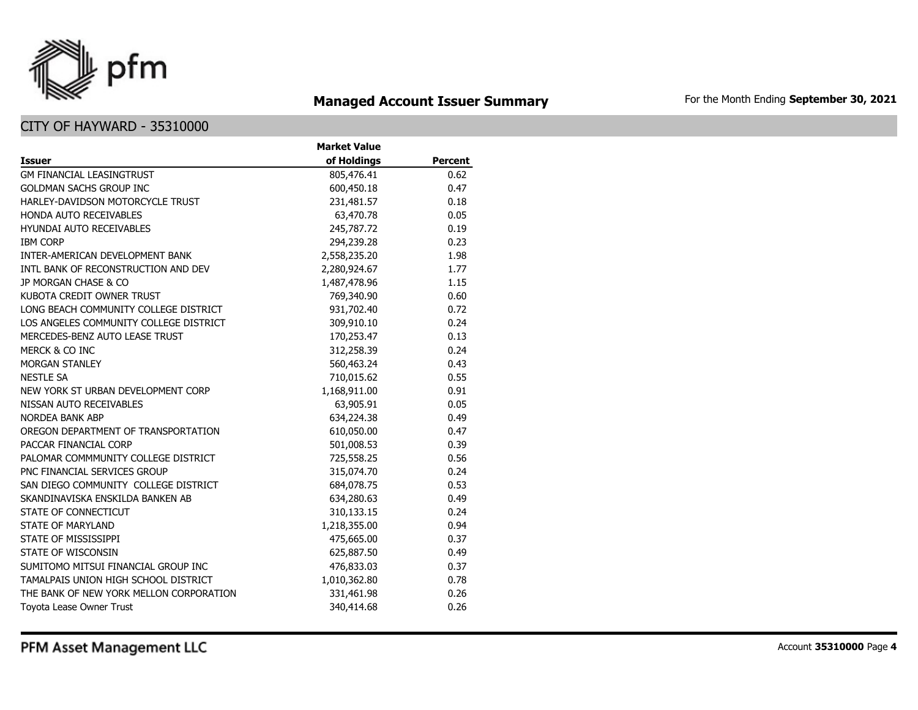

## **Managed Account Issuer Summary** For the Month Ending September 30, 2021

|                                         | <b>Market Value</b> |                |
|-----------------------------------------|---------------------|----------------|
| <b>Issuer</b>                           | of Holdings         | <b>Percent</b> |
| <b>GM FINANCIAL LEASINGTRUST</b>        | 805,476.41          | 0.62           |
| <b>GOLDMAN SACHS GROUP INC</b>          | 600,450.18          | 0.47           |
| HARLEY-DAVIDSON MOTORCYCLE TRUST        | 231,481.57          | 0.18           |
| <b>HONDA AUTO RECEIVABLES</b>           | 63,470.78           | 0.05           |
| <b>HYUNDAI AUTO RECEIVABLES</b>         | 245,787.72          | 0.19           |
| <b>IBM CORP</b>                         | 294,239.28          | 0.23           |
| INTER-AMERICAN DEVELOPMENT BANK         | 2,558,235.20        | 1.98           |
| INTL BANK OF RECONSTRUCTION AND DEV     | 2,280,924.67        | 1.77           |
| JP MORGAN CHASE & CO                    | 1,487,478.96        | 1.15           |
| KUBOTA CREDIT OWNER TRUST               | 769,340.90          | 0.60           |
| LONG BEACH COMMUNITY COLLEGE DISTRICT   | 931,702.40          | 0.72           |
| LOS ANGELES COMMUNITY COLLEGE DISTRICT  | 309,910.10          | 0.24           |
| MERCEDES-BENZ AUTO LEASE TRUST          | 170,253.47          | 0.13           |
| MERCK & CO INC                          | 312,258.39          | 0.24           |
| <b>MORGAN STANLEY</b>                   | 560,463.24          | 0.43           |
| <b>NESTLE SA</b>                        | 710,015.62          | 0.55           |
| NEW YORK ST URBAN DEVELOPMENT CORP      | 1,168,911.00        | 0.91           |
| NISSAN AUTO RECEIVABLES                 | 63,905.91           | 0.05           |
| <b>NORDEA BANK ABP</b>                  | 634,224.38          | 0.49           |
| OREGON DEPARTMENT OF TRANSPORTATION     | 610,050.00          | 0.47           |
| PACCAR FINANCIAL CORP                   | 501,008.53          | 0.39           |
| PALOMAR COMMMUNITY COLLEGE DISTRICT     | 725,558.25          | 0.56           |
| PNC FINANCIAL SERVICES GROUP            | 315,074.70          | 0.24           |
| SAN DIEGO COMMUNITY COLLEGE DISTRICT    | 684,078.75          | 0.53           |
| SKANDINAVISKA ENSKILDA BANKEN AB        | 634,280.63          | 0.49           |
| STATE OF CONNECTICUT                    | 310,133.15          | 0.24           |
| <b>STATE OF MARYLAND</b>                | 1,218,355.00        | 0.94           |
| STATE OF MISSISSIPPI                    | 475,665.00          | 0.37           |
| STATE OF WISCONSIN                      | 625,887.50          | 0.49           |
| SUMITOMO MITSUI FINANCIAL GROUP INC     | 476,833.03          | 0.37           |
| TAMALPAIS UNION HIGH SCHOOL DISTRICT    | 1,010,362.80        | 0.78           |
| THE BANK OF NEW YORK MELLON CORPORATION | 331,461.98          | 0.26           |
| Toyota Lease Owner Trust                | 340,414.68          | 0.26           |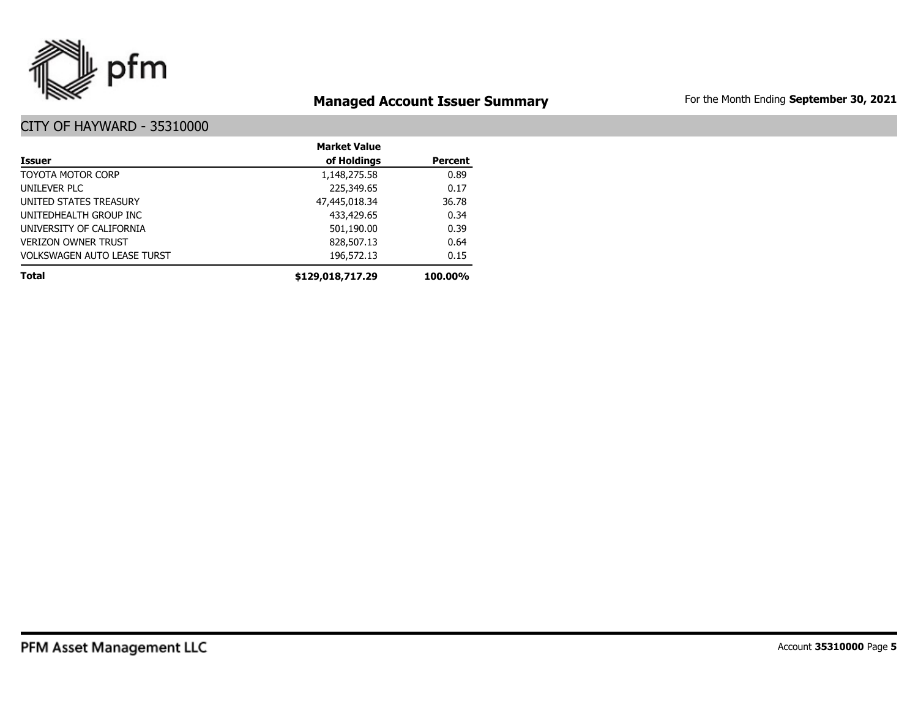

## **Managed Account Issuer Summary** For the Month Ending September 30, 2021

|                                    | <b>Market Value</b> |                |
|------------------------------------|---------------------|----------------|
| <b>Issuer</b>                      | of Holdings         | <b>Percent</b> |
| TOYOTA MOTOR CORP                  | 1,148,275.58        | 0.89           |
| UNILEVER PLC                       | 225,349.65          | 0.17           |
| UNITED STATES TREASURY             | 47,445,018.34       | 36.78          |
| UNITEDHEALTH GROUP INC             | 433,429.65          | 0.34           |
| UNIVERSITY OF CALIFORNIA           | 501,190.00          | 0.39           |
| <b>VERIZON OWNER TRUST</b>         | 828,507.13          | 0.64           |
| <b>VOLKSWAGEN AUTO LEASE TURST</b> | 196,572.13          | 0.15           |
| <b>Total</b>                       | \$129,018,717.29    | 100.00%        |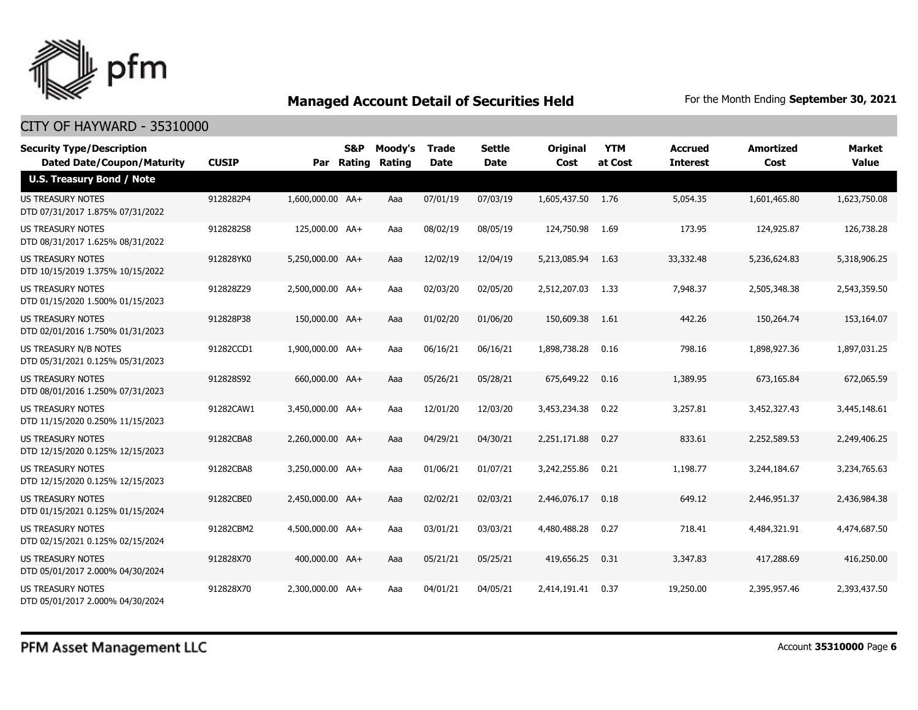

| <b>Security Type/Description</b><br><b>Dated Date/Coupon/Maturity</b> | <b>CUSIP</b> | Par              | S&P<br>Rating | Moody's<br>Rating | <b>Trade</b><br><b>Date</b> | <b>Settle</b><br><b>Date</b> | <b>Original</b><br>Cost | <b>YTM</b><br>at Cost | <b>Accrued</b><br><b>Interest</b> | <b>Amortized</b><br>Cost | <b>Market</b><br><b>Value</b> |
|-----------------------------------------------------------------------|--------------|------------------|---------------|-------------------|-----------------------------|------------------------------|-------------------------|-----------------------|-----------------------------------|--------------------------|-------------------------------|
| <b>U.S. Treasury Bond / Note</b>                                      |              |                  |               |                   |                             |                              |                         |                       |                                   |                          |                               |
| <b>US TREASURY NOTES</b><br>DTD 07/31/2017 1.875% 07/31/2022          | 9128282P4    | 1,600,000.00 AA+ |               | Aaa               | 07/01/19                    | 07/03/19                     | 1,605,437.50            | 1.76                  | 5,054.35                          | 1,601,465.80             | 1,623,750.08                  |
| US TREASURY NOTES<br>DTD 08/31/2017 1.625% 08/31/2022                 | 9128282S8    | 125,000.00 AA+   |               | Aaa               | 08/02/19                    | 08/05/19                     | 124,750.98              | 1.69                  | 173.95                            | 124,925.87               | 126,738.28                    |
| <b>US TREASURY NOTES</b><br>DTD 10/15/2019 1.375% 10/15/2022          | 912828YK0    | 5,250,000.00 AA+ |               | Aaa               | 12/02/19                    | 12/04/19                     | 5,213,085.94            | 1.63                  | 33,332.48                         | 5,236,624.83             | 5,318,906.25                  |
| <b>US TREASURY NOTES</b><br>DTD 01/15/2020 1.500% 01/15/2023          | 912828Z29    | 2.500.000.00 AA+ |               | Aaa               | 02/03/20                    | 02/05/20                     | 2,512,207.03            | - 1.33                | 7,948.37                          | 2,505,348.38             | 2,543,359.50                  |
| <b>US TREASURY NOTES</b><br>DTD 02/01/2016 1.750% 01/31/2023          | 912828P38    | 150,000.00 AA+   |               | Aaa               | 01/02/20                    | 01/06/20                     | 150,609.38              | 1.61                  | 442.26                            | 150,264.74               | 153,164.07                    |
| US TREASURY N/B NOTES<br>DTD 05/31/2021 0.125% 05/31/2023             | 91282CCD1    | 1,900,000.00 AA+ |               | Aaa               | 06/16/21                    | 06/16/21                     | 1,898,738.28            | 0.16                  | 798.16                            | 1,898,927.36             | 1,897,031.25                  |
| <b>US TREASURY NOTES</b><br>DTD 08/01/2016 1.250% 07/31/2023          | 912828S92    | 660,000.00 AA+   |               | Aaa               | 05/26/21                    | 05/28/21                     | 675,649.22              | 0.16                  | 1,389.95                          | 673,165.84               | 672,065.59                    |
| US TREASURY NOTES<br>DTD 11/15/2020 0.250% 11/15/2023                 | 91282CAW1    | 3,450,000.00 AA+ |               | Aaa               | 12/01/20                    | 12/03/20                     | 3,453,234.38            | 0.22                  | 3,257.81                          | 3,452,327.43             | 3,445,148.61                  |
| US TREASURY NOTES<br>DTD 12/15/2020 0.125% 12/15/2023                 | 91282CBA8    | 2,260,000.00 AA+ |               | Aaa               | 04/29/21                    | 04/30/21                     | 2,251,171.88            | 0.27                  | 833.61                            | 2,252,589.53             | 2,249,406.25                  |
| <b>US TREASURY NOTES</b><br>DTD 12/15/2020 0.125% 12/15/2023          | 91282CBA8    | 3,250,000.00 AA+ |               | Aaa               | 01/06/21                    | 01/07/21                     | 3,242,255.86            | 0.21                  | 1,198.77                          | 3,244,184.67             | 3,234,765.63                  |
| US TREASURY NOTES<br>DTD 01/15/2021 0.125% 01/15/2024                 | 91282CBE0    | 2,450,000.00 AA+ |               | Aaa               | 02/02/21                    | 02/03/21                     | 2,446,076.17            | 0.18                  | 649.12                            | 2,446,951.37             | 2,436,984.38                  |
| <b>US TREASURY NOTES</b><br>DTD 02/15/2021 0.125% 02/15/2024          | 91282CBM2    | 4,500,000.00 AA+ |               | Aaa               | 03/01/21                    | 03/03/21                     | 4,480,488.28            | 0.27                  | 718.41                            | 4,484,321.91             | 4,474,687.50                  |
| <b>US TREASURY NOTES</b><br>DTD 05/01/2017 2.000% 04/30/2024          | 912828X70    | 400,000,00 AA+   |               | Aaa               | 05/21/21                    | 05/25/21                     | 419,656.25              | 0.31                  | 3,347.83                          | 417,288.69               | 416,250.00                    |
| <b>US TREASURY NOTES</b><br>DTD 05/01/2017 2.000% 04/30/2024          | 912828X70    | 2,300,000.00 AA+ |               | Aaa               | 04/01/21                    | 04/05/21                     | 2.414.191.41            | 0.37                  | 19,250.00                         | 2,395,957.46             | 2,393,437.50                  |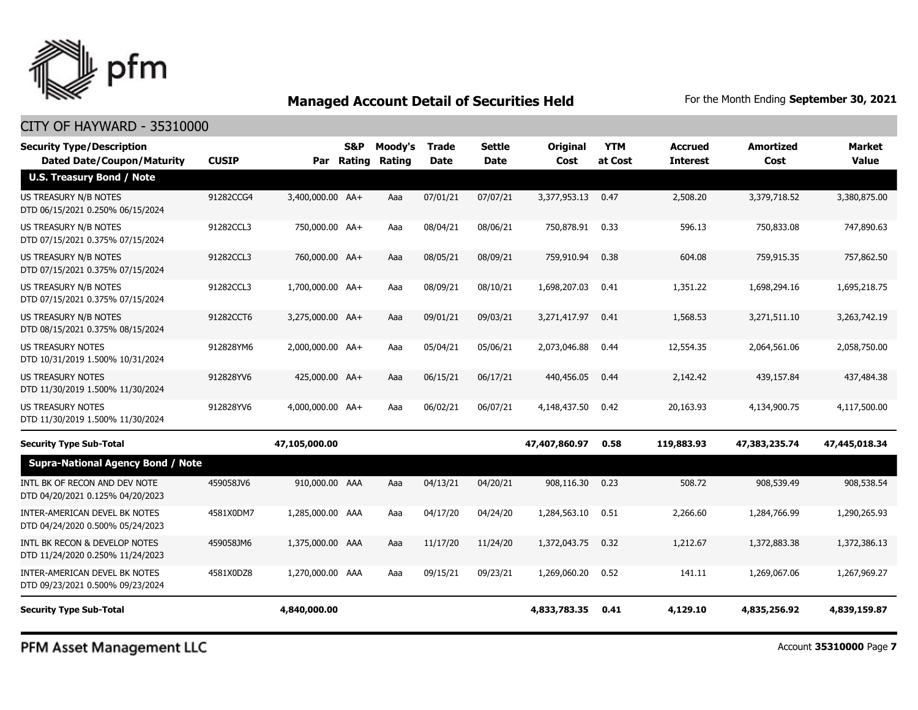

## CITY OF HAYWARD - 35310000

| <b>Security Type/Description</b><br><b>Dated Date/Coupon/Maturity</b> | <b>CUSIP</b> |                  | S&P<br>Par Rating | Moody's<br>Rating | <b>Trade</b><br><b>Date</b> | Settle<br>Date | <b>Original</b><br>Cost | <b>YTM</b><br>at Cost | <b>Accrued</b><br><b>Interest</b> | <b>Amortized</b><br>Cost | <b>Market</b><br><b>Value</b> |
|-----------------------------------------------------------------------|--------------|------------------|-------------------|-------------------|-----------------------------|----------------|-------------------------|-----------------------|-----------------------------------|--------------------------|-------------------------------|
| <b>U.S. Treasury Bond / Note</b>                                      |              |                  |                   |                   |                             |                |                         |                       |                                   |                          |                               |
| <b>US TREASURY N/B NOTES</b><br>DTD 06/15/2021 0.250% 06/15/2024      | 91282CCG4    | 3,400,000.00 AA+ |                   | Aaa               | 07/01/21                    | 07/07/21       | 3,377,953.13            | 0.47                  | 2,508.20                          | 3,379,718.52             | 3,380,875.00                  |
| US TREASURY N/B NOTES<br>DTD 07/15/2021 0.375% 07/15/2024             | 91282CCL3    | 750,000.00 AA+   |                   | Aaa               | 08/04/21                    | 08/06/21       | 750,878.91              | 0.33                  | 596.13                            | 750,833.08               | 747,890.63                    |
| US TREASURY N/B NOTES<br>DTD 07/15/2021 0.375% 07/15/2024             | 91282CCL3    | 760,000.00 AA+   |                   | Aaa               | 08/05/21                    | 08/09/21       | 759,910.94              | 0.38                  | 604.08                            | 759,915.35               | 757,862.50                    |
| US TREASURY N/B NOTES<br>DTD 07/15/2021 0.375% 07/15/2024             | 91282CCL3    | 1,700,000.00 AA+ |                   | Aaa               | 08/09/21                    | 08/10/21       | 1,698,207.03            | 0.41                  | 1,351.22                          | 1,698,294.16             | 1,695,218.75                  |
| US TREASURY N/B NOTES<br>DTD 08/15/2021 0.375% 08/15/2024             | 91282CCT6    | 3,275,000.00 AA+ |                   | Aaa               | 09/01/21                    | 09/03/21       | 3,271,417.97            | 0.41                  | 1,568.53                          | 3,271,511.10             | 3,263,742.19                  |
| <b>US TREASURY NOTES</b><br>DTD 10/31/2019 1.500% 10/31/2024          | 912828YM6    | 2,000,000.00 AA+ |                   | Aaa               | 05/04/21                    | 05/06/21       | 2,073,046.88            | 0.44                  | 12,554.35                         | 2,064,561.06             | 2,058,750.00                  |
| <b>US TREASURY NOTES</b><br>DTD 11/30/2019 1.500% 11/30/2024          | 912828YV6    | 425,000.00 AA+   |                   | Aaa               | 06/15/21                    | 06/17/21       | 440,456.05              | 0.44                  | 2,142.42                          | 439,157.84               | 437,484.38                    |
| <b>US TREASURY NOTES</b><br>DTD 11/30/2019 1.500% 11/30/2024          | 912828YV6    | 4,000,000.00 AA+ |                   | Aaa               | 06/02/21                    | 06/07/21       | 4,148,437.50            | 0.42                  | 20,163.93                         | 4,134,900.75             | 4,117,500.00                  |
| <b>Security Type Sub-Total</b>                                        |              | 47,105,000.00    |                   |                   |                             |                | 47,407,860.97           | 0.58                  | 119,883.93                        | 47,383,235.74            | 47,445,018.34                 |
| <b>Supra-National Agency Bond / Note</b>                              |              |                  |                   |                   |                             |                |                         |                       |                                   |                          |                               |
| INTL BK OF RECON AND DEV NOTE<br>DTD 04/20/2021 0.125% 04/20/2023     | 459058JV6    | 910,000.00 AAA   |                   | Aaa               | 04/13/21                    | 04/20/21       | 908,116.30              | 0.23                  | 508.72                            | 908,539.49               | 908,538.54                    |
| INTER-AMERICAN DEVEL BK NOTES<br>DTD 04/24/2020 0.500% 05/24/2023     | 4581X0DM7    | 1,285,000.00 AAA |                   | Aaa               | 04/17/20                    | 04/24/20       | 1,284,563.10            | 0.51                  | 2,266.60                          | 1,284,766.99             | 1,290,265.93                  |
| INTL BK RECON & DEVELOP NOTES<br>DTD 11/24/2020 0.250% 11/24/2023     | 459058JM6    | 1,375,000.00 AAA |                   | Aaa               | 11/17/20                    | 11/24/20       | 1,372,043.75            | 0.32                  | 1,212.67                          | 1,372,883.38             | 1,372,386.13                  |
| INTER-AMERICAN DEVEL BK NOTES<br>DTD 09/23/2021 0.500% 09/23/2024     | 4581X0DZ8    | 1,270,000.00 AAA |                   | Aaa               | 09/15/21                    | 09/23/21       | 1,269,060.20            | 0.52                  | 141.11                            | 1,269,067.06             | 1,267,969.27                  |
| <b>Security Type Sub-Total</b>                                        |              | 4,840,000.00     |                   |                   |                             |                | 4,833,783.35            | 0.41                  | 4,129.10                          | 4,835,256.92             | 4,839,159.87                  |

PFM Asset Management LLC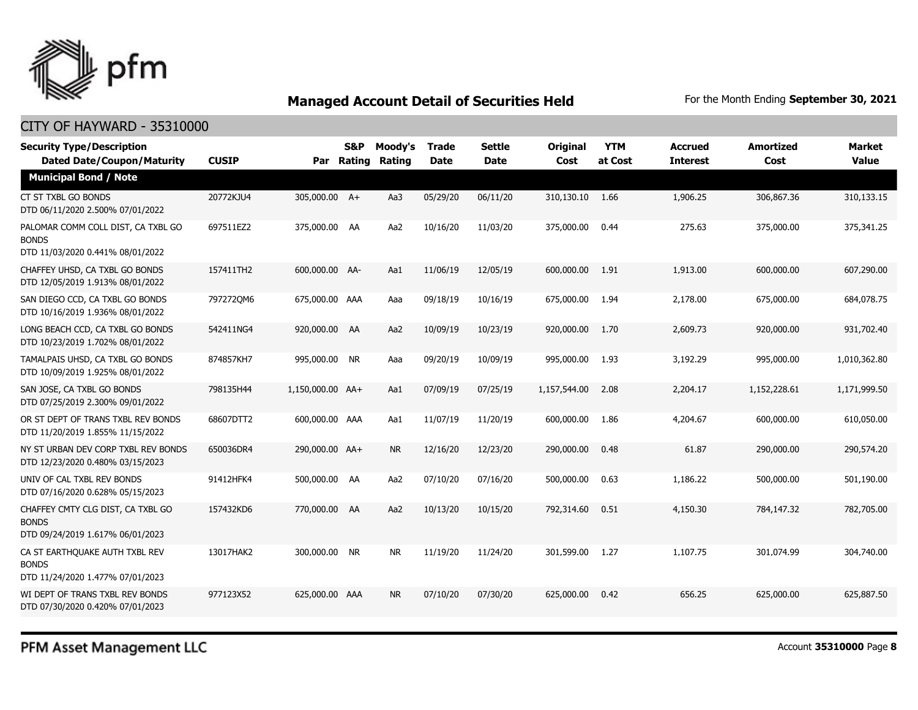

| <b>Security Type/Description</b><br><b>Dated Date/Coupon/Maturity</b>                  | <b>CUSIP</b> |                  | <b>S&amp;P</b><br>Par Rating | Moody's<br>Rating | <b>Trade</b><br><b>Date</b> | <b>Settle</b><br><b>Date</b> | <b>Original</b><br>Cost | <b>YTM</b><br>at Cost | <b>Accrued</b><br><b>Interest</b> | <b>Amortized</b><br>Cost | <b>Market</b><br><b>Value</b> |
|----------------------------------------------------------------------------------------|--------------|------------------|------------------------------|-------------------|-----------------------------|------------------------------|-------------------------|-----------------------|-----------------------------------|--------------------------|-------------------------------|
| <b>Municipal Bond / Note</b>                                                           |              |                  |                              |                   |                             |                              |                         |                       |                                   |                          |                               |
| CT ST TXBL GO BONDS<br>DTD 06/11/2020 2.500% 07/01/2022                                | 20772KJU4    | 305,000.00 A+    |                              | Aa3               | 05/29/20                    | 06/11/20                     | 310,130.10              | 1.66                  | 1,906.25                          | 306,867.36               | 310,133.15                    |
| PALOMAR COMM COLL DIST, CA TXBL GO<br><b>BONDS</b><br>DTD 11/03/2020 0.441% 08/01/2022 | 697511EZ2    | 375,000.00 AA    |                              | Aa2               | 10/16/20                    | 11/03/20                     | 375,000.00              | 0.44                  | 275.63                            | 375,000.00               | 375,341.25                    |
| CHAFFEY UHSD, CA TXBL GO BONDS<br>DTD 12/05/2019 1.913% 08/01/2022                     | 157411TH2    | 600,000.00 AA-   |                              | Aa1               | 11/06/19                    | 12/05/19                     | 600,000.00              | 1.91                  | 1,913.00                          | 600,000.00               | 607,290.00                    |
| SAN DIEGO CCD, CA TXBL GO BONDS<br>DTD 10/16/2019 1.936% 08/01/2022                    | 7972720M6    | 675,000.00 AAA   |                              | Aaa               | 09/18/19                    | 10/16/19                     | 675,000.00              | 1.94                  | 2,178.00                          | 675,000.00               | 684,078.75                    |
| LONG BEACH CCD, CA TXBL GO BONDS<br>DTD 10/23/2019 1.702% 08/01/2022                   | 542411NG4    | 920,000.00 AA    |                              | Aa2               | 10/09/19                    | 10/23/19                     | 920,000.00              | 1.70                  | 2,609.73                          | 920,000.00               | 931,702.40                    |
| TAMALPAIS UHSD, CA TXBL GO BONDS<br>DTD 10/09/2019 1.925% 08/01/2022                   | 874857KH7    | 995,000.00 NR    |                              | Aaa               | 09/20/19                    | 10/09/19                     | 995,000.00              | 1.93                  | 3,192.29                          | 995,000.00               | 1,010,362.80                  |
| SAN JOSE, CA TXBL GO BONDS<br>DTD 07/25/2019 2.300% 09/01/2022                         | 798135H44    | 1,150,000.00 AA+ |                              | Aa1               | 07/09/19                    | 07/25/19                     | 1,157,544.00            | 2.08                  | 2,204.17                          | 1,152,228.61             | 1,171,999.50                  |
| OR ST DEPT OF TRANS TXBL REV BONDS<br>DTD 11/20/2019 1.855% 11/15/2022                 | 68607DTT2    | 600,000.00 AAA   |                              | Aa1               | 11/07/19                    | 11/20/19                     | 600,000.00              | 1.86                  | 4,204.67                          | 600,000.00               | 610,050.00                    |
| NY ST URBAN DEV CORP TXBL REV BONDS<br>DTD 12/23/2020 0.480% 03/15/2023                | 650036DR4    | 290,000.00 AA+   |                              | <b>NR</b>         | 12/16/20                    | 12/23/20                     | 290,000.00              | 0.48                  | 61.87                             | 290,000.00               | 290,574.20                    |
| UNIV OF CAL TXBL REV BONDS<br>DTD 07/16/2020 0.628% 05/15/2023                         | 91412HFK4    | 500,000.00 AA    |                              | Aa2               | 07/10/20                    | 07/16/20                     | 500,000.00              | 0.63                  | 1,186.22                          | 500,000.00               | 501,190.00                    |
| CHAFFEY CMTY CLG DIST, CA TXBL GO<br><b>BONDS</b><br>DTD 09/24/2019 1.617% 06/01/2023  | 157432KD6    | 770,000.00 AA    |                              | Aa2               | 10/13/20                    | 10/15/20                     | 792,314.60              | 0.51                  | 4,150.30                          | 784,147.32               | 782,705.00                    |
| CA ST EARTHOUAKE AUTH TXBL REV<br><b>BONDS</b><br>DTD 11/24/2020 1.477% 07/01/2023     | 13017HAK2    | 300,000.00 NR    |                              | <b>NR</b>         | 11/19/20                    | 11/24/20                     | 301,599.00              | 1.27                  | 1,107.75                          | 301,074.99               | 304,740.00                    |
| WI DEPT OF TRANS TXBL REV BONDS<br>DTD 07/30/2020 0.420% 07/01/2023                    | 977123X52    | 625,000.00 AAA   |                              | <b>NR</b>         | 07/10/20                    | 07/30/20                     | 625,000.00              | 0.42                  | 656.25                            | 625,000,00               | 625,887.50                    |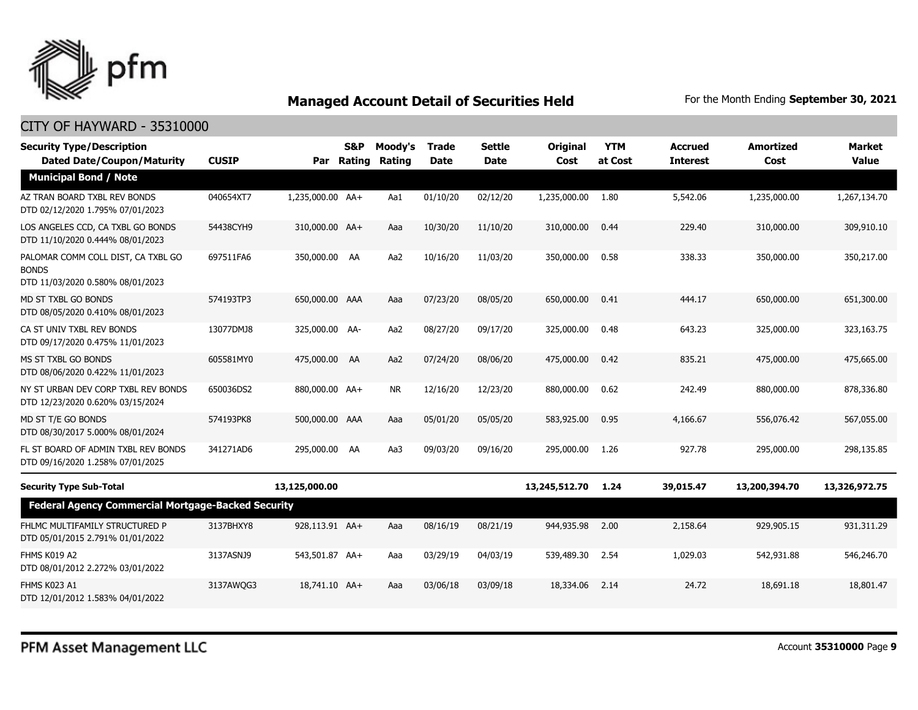

| <b>Security Type/Description</b><br><b>Dated Date/Coupon/Maturity</b>                  | <b>CUSIP</b> |                  | <b>S&amp;P</b><br>Par Rating | Moody's<br>Rating | <b>Trade</b><br><b>Date</b> | <b>Settle</b><br>Date | <b>Original</b><br>Cost | <b>YTM</b><br>at Cost | <b>Accrued</b><br><b>Interest</b> | <b>Amortized</b><br>Cost | <b>Market</b><br><b>Value</b> |
|----------------------------------------------------------------------------------------|--------------|------------------|------------------------------|-------------------|-----------------------------|-----------------------|-------------------------|-----------------------|-----------------------------------|--------------------------|-------------------------------|
| <b>Municipal Bond / Note</b>                                                           |              |                  |                              |                   |                             |                       |                         |                       |                                   |                          |                               |
| AZ TRAN BOARD TXBL REV BONDS<br>DTD 02/12/2020 1.795% 07/01/2023                       | 040654XT7    | 1,235,000.00 AA+ |                              | Aa1               | 01/10/20                    | 02/12/20              | 1,235,000.00            | 1.80                  | 5,542.06                          | 1,235,000.00             | 1,267,134.70                  |
| LOS ANGELES CCD, CA TXBL GO BONDS<br>DTD 11/10/2020 0.444% 08/01/2023                  | 54438CYH9    | 310,000.00 AA+   |                              | Aaa               | 10/30/20                    | 11/10/20              | 310,000.00              | 0.44                  | 229.40                            | 310,000.00               | 309,910.10                    |
| PALOMAR COMM COLL DIST, CA TXBL GO<br><b>BONDS</b><br>DTD 11/03/2020 0.580% 08/01/2023 | 697511FA6    | 350,000.00 AA    |                              | Aa2               | 10/16/20                    | 11/03/20              | 350,000.00              | 0.58                  | 338.33                            | 350,000.00               | 350,217.00                    |
| MD ST TXBL GO BONDS<br>DTD 08/05/2020 0.410% 08/01/2023                                | 574193TP3    | 650,000.00 AAA   |                              | Aaa               | 07/23/20                    | 08/05/20              | 650,000,00              | 0.41                  | 444.17                            | 650,000.00               | 651,300.00                    |
| CA ST UNIV TXBL REV BONDS<br>DTD 09/17/2020 0.475% 11/01/2023                          | 13077DMJ8    | 325,000.00 AA-   |                              | Aa2               | 08/27/20                    | 09/17/20              | 325,000.00              | 0.48                  | 643.23                            | 325,000.00               | 323,163.75                    |
| MS ST TXBL GO BONDS<br>DTD 08/06/2020 0.422% 11/01/2023                                | 605581MY0    | 475,000.00 AA    |                              | Aa2               | 07/24/20                    | 08/06/20              | 475,000.00              | 0.42                  | 835.21                            | 475,000.00               | 475,665,00                    |
| NY ST URBAN DEV CORP TXBL REV BONDS<br>DTD 12/23/2020 0.620% 03/15/2024                | 650036DS2    | 880,000.00 AA+   |                              | NR.               | 12/16/20                    | 12/23/20              | 880,000.00              | 0.62                  | 242.49                            | 880,000.00               | 878,336.80                    |
| MD ST T/E GO BONDS<br>DTD 08/30/2017 5.000% 08/01/2024                                 | 574193PK8    | 500,000.00 AAA   |                              | Aaa               | 05/01/20                    | 05/05/20              | 583,925.00              | 0.95                  | 4,166,67                          | 556,076.42               | 567,055,00                    |
| FL ST BOARD OF ADMIN TXBL REV BONDS<br>DTD 09/16/2020 1.258% 07/01/2025                | 341271AD6    | 295,000.00 AA    |                              | Aa3               | 09/03/20                    | 09/16/20              | 295,000.00              | 1.26                  | 927.78                            | 295,000.00               | 298,135.85                    |
| <b>Security Type Sub-Total</b>                                                         |              | 13,125,000.00    |                              |                   |                             |                       | 13,245,512.70           | 1.24                  | 39,015.47                         | 13,200,394.70            | 13,326,972.75                 |
| <b>Federal Agency Commercial Mortgage-Backed Security</b>                              |              |                  |                              |                   |                             |                       |                         |                       |                                   |                          |                               |
| FHLMC MULTIFAMILY STRUCTURED P<br>DTD 05/01/2015 2.791% 01/01/2022                     | 3137BHXY8    | 928,113.91 AA+   |                              | Aaa               | 08/16/19                    | 08/21/19              | 944,935.98              | 2.00                  | 2,158.64                          | 929,905.15               | 931,311.29                    |
| FHMS K019 A2<br>DTD 08/01/2012 2.272% 03/01/2022                                       | 3137ASNJ9    | 543,501.87 AA+   |                              | Aaa               | 03/29/19                    | 04/03/19              | 539,489.30              | 2.54                  | 1,029.03                          | 542,931.88               | 546,246.70                    |
| <b>FHMS K023 A1</b><br>DTD 12/01/2012 1.583% 04/01/2022                                | 3137AWQG3    | 18,741.10 AA+    |                              | Aaa               | 03/06/18                    | 03/09/18              | 18,334.06               | 2.14                  | 24.72                             | 18,691.18                | 18,801.47                     |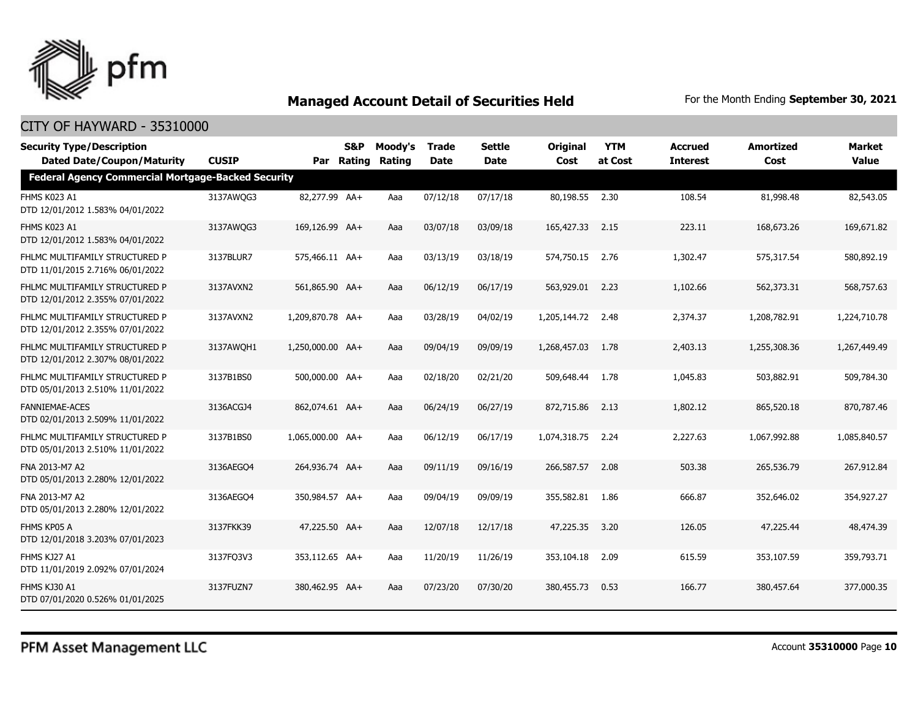

| <b>Security Type/Description</b><br><b>Dated Date/Coupon/Maturity</b> | <b>CUSIP</b> |                  | <b>S&amp;P</b><br>Par Rating | Moody's<br>Rating | <b>Trade</b><br>Date | <b>Settle</b><br><b>Date</b> | <b>Original</b><br>Cost | <b>YTM</b><br>at Cost | <b>Accrued</b><br><b>Interest</b> | <b>Amortized</b><br>Cost | <b>Market</b><br>Value |
|-----------------------------------------------------------------------|--------------|------------------|------------------------------|-------------------|----------------------|------------------------------|-------------------------|-----------------------|-----------------------------------|--------------------------|------------------------|
| <b>Federal Agency Commercial Mortgage-Backed Security</b>             |              |                  |                              |                   |                      |                              |                         |                       |                                   |                          |                        |
| FHMS K023 A1<br>DTD 12/01/2012 1.583% 04/01/2022                      | 3137AWQG3    | 82,277.99 AA+    |                              | Aaa               | 07/12/18             | 07/17/18                     | 80,198.55 2.30          |                       | 108.54                            | 81,998.48                | 82,543.05              |
| FHMS K023 A1<br>DTD 12/01/2012 1.583% 04/01/2022                      | 3137AWQG3    | 169,126.99 AA+   |                              | Aaa               | 03/07/18             | 03/09/18                     | 165,427.33              | 2.15                  | 223.11                            | 168,673.26               | 169,671.82             |
| FHLMC MULTIFAMILY STRUCTURED P<br>DTD 11/01/2015 2.716% 06/01/2022    | 3137BLUR7    | 575,466.11 AA+   |                              | Aaa               | 03/13/19             | 03/18/19                     | 574,750.15              | 2.76                  | 1,302.47                          | 575,317.54               | 580,892.19             |
| FHLMC MULTIFAMILY STRUCTURED P<br>DTD 12/01/2012 2.355% 07/01/2022    | 3137AVXN2    | 561,865.90 AA+   |                              | Aaa               | 06/12/19             | 06/17/19                     | 563,929.01 2.23         |                       | 1,102.66                          | 562,373.31               | 568,757.63             |
| FHLMC MULTIFAMILY STRUCTURED P<br>DTD 12/01/2012 2.355% 07/01/2022    | 3137AVXN2    | 1,209,870.78 AA+ |                              | Aaa               | 03/28/19             | 04/02/19                     | 1,205,144.72            | 2.48                  | 2,374.37                          | 1,208,782.91             | 1,224,710.78           |
| FHLMC MULTIFAMILY STRUCTURED P<br>DTD 12/01/2012 2.307% 08/01/2022    | 3137AWQH1    | 1,250,000.00 AA+ |                              | Aaa               | 09/04/19             | 09/09/19                     | 1,268,457.03            | 1.78                  | 2,403.13                          | 1,255,308.36             | 1,267,449.49           |
| FHLMC MULTIFAMILY STRUCTURED P<br>DTD 05/01/2013 2.510% 11/01/2022    | 3137B1BS0    | 500,000.00 AA+   |                              | Aaa               | 02/18/20             | 02/21/20                     | 509,648.44              | 1.78                  | 1,045.83                          | 503,882.91               | 509,784.30             |
| <b>FANNIEMAE-ACES</b><br>DTD 02/01/2013 2.509% 11/01/2022             | 3136ACGJ4    | 862,074.61 AA+   |                              | Aaa               | 06/24/19             | 06/27/19                     | 872,715.86              | 2.13                  | 1,802.12                          | 865,520.18               | 870,787.46             |
| FHLMC MULTIFAMILY STRUCTURED P<br>DTD 05/01/2013 2.510% 11/01/2022    | 3137B1BS0    | 1,065,000.00 AA+ |                              | Aaa               | 06/12/19             | 06/17/19                     | 1,074,318.75            | 2.24                  | 2,227.63                          | 1,067,992.88             | 1,085,840.57           |
| FNA 2013-M7 A2<br>DTD 05/01/2013 2.280% 12/01/2022                    | 3136AEGO4    | 264,936.74 AA+   |                              | Aaa               | 09/11/19             | 09/16/19                     | 266,587.57              | 2.08                  | 503.38                            | 265,536.79               | 267,912.84             |
| FNA 2013-M7 A2<br>DTD 05/01/2013 2.280% 12/01/2022                    | 3136AEGO4    | 350,984.57 AA+   |                              | Aaa               | 09/04/19             | 09/09/19                     | 355,582.81 1.86         |                       | 666.87                            | 352,646.02               | 354,927,27             |
| FHMS KP05 A<br>DTD 12/01/2018 3.203% 07/01/2023                       | 3137FKK39    | 47,225.50 AA+    |                              | Aaa               | 12/07/18             | 12/17/18                     | 47,225,35               | 3.20                  | 126.05                            | 47,225.44                | 48,474.39              |
| FHMS KJ27 A1<br>DTD 11/01/2019 2.092% 07/01/2024                      | 3137FO3V3    | 353,112.65 AA+   |                              | Aaa               | 11/20/19             | 11/26/19                     | 353,104.18              | 2.09                  | 615.59                            | 353,107.59               | 359,793.71             |
| FHMS KJ30 A1<br>DTD 07/01/2020 0.526% 01/01/2025                      | 3137FUZN7    | 380,462.95 AA+   |                              | Aaa               | 07/23/20             | 07/30/20                     | 380,455.73              | 0.53                  | 166.77                            | 380,457.64               | 377,000.35             |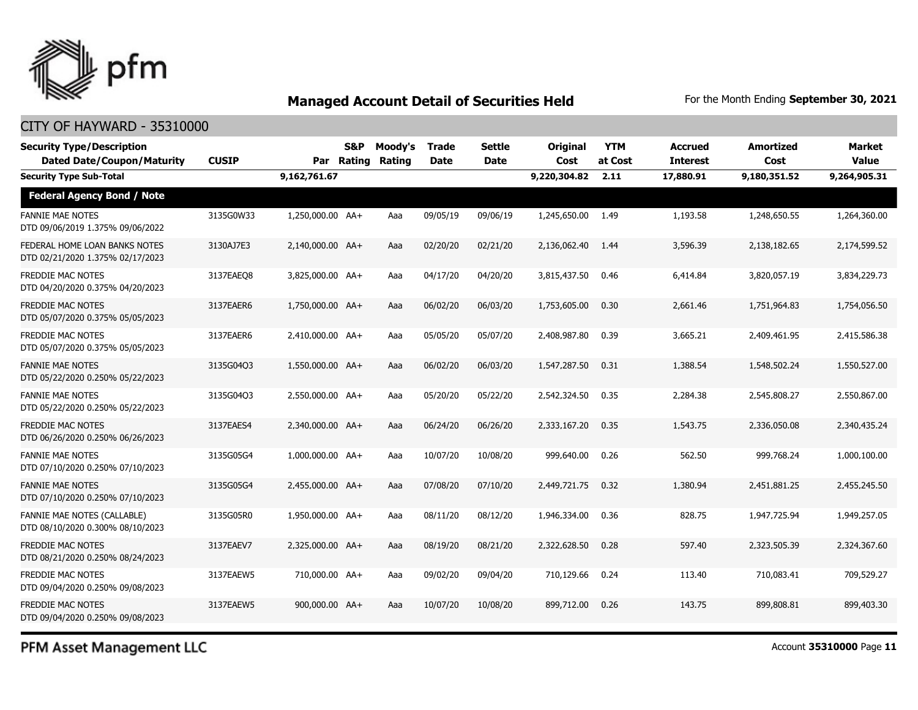

## CITY OF HAYWARD - 35310000

| <b>Security Type/Description</b><br><b>Dated Date/Coupon/Maturity</b> | <b>CUSIP</b> |                  | <b>S&amp;P</b><br>Par Rating | Moody's<br>Rating | <b>Trade</b><br><b>Date</b> | <b>Settle</b><br><b>Date</b> | Original<br>Cost | <b>YTM</b><br>at Cost | <b>Accrued</b><br><b>Interest</b> | <b>Amortized</b><br>Cost | <b>Market</b><br>Value |
|-----------------------------------------------------------------------|--------------|------------------|------------------------------|-------------------|-----------------------------|------------------------------|------------------|-----------------------|-----------------------------------|--------------------------|------------------------|
| <b>Security Type Sub-Total</b>                                        |              | 9,162,761.67     |                              |                   |                             |                              | 9,220,304.82     | 2.11                  | 17,880.91                         | 9,180,351.52             | 9,264,905.31           |
| <b>Federal Agency Bond / Note</b>                                     |              |                  |                              |                   |                             |                              |                  |                       |                                   |                          |                        |
| <b>FANNIE MAE NOTES</b><br>DTD 09/06/2019 1.375% 09/06/2022           | 3135G0W33    | 1,250,000.00 AA+ |                              | Aaa               | 09/05/19                    | 09/06/19                     | 1,245,650.00     | 1.49                  | 1,193.58                          | 1,248,650.55             | 1,264,360.00           |
| FEDERAL HOME LOAN BANKS NOTES<br>DTD 02/21/2020 1.375% 02/17/2023     | 3130AJ7E3    | 2,140,000.00 AA+ |                              | Aaa               | 02/20/20                    | 02/21/20                     | 2,136,062.40     | 1.44                  | 3,596.39                          | 2,138,182.65             | 2,174,599.52           |
| <b>FREDDIE MAC NOTES</b><br>DTD 04/20/2020 0.375% 04/20/2023          | 3137EAEO8    | 3,825,000.00 AA+ |                              | Aaa               | 04/17/20                    | 04/20/20                     | 3,815,437.50     | 0.46                  | 6,414.84                          | 3,820,057.19             | 3,834,229.73           |
| <b>FREDDIE MAC NOTES</b><br>DTD 05/07/2020 0.375% 05/05/2023          | 3137EAER6    | 1,750,000.00 AA+ |                              | Aaa               | 06/02/20                    | 06/03/20                     | 1,753,605.00     | 0.30                  | 2,661.46                          | 1,751,964.83             | 1,754,056.50           |
| <b>FREDDIE MAC NOTES</b><br>DTD 05/07/2020 0.375% 05/05/2023          | 3137EAER6    | 2,410,000.00 AA+ |                              | Aaa               | 05/05/20                    | 05/07/20                     | 2,408,987.80     | 0.39                  | 3,665.21                          | 2,409,461.95             | 2,415,586.38           |
| <b>FANNIE MAE NOTES</b><br>DTD 05/22/2020 0.250% 05/22/2023           | 3135G04Q3    | 1,550,000.00 AA+ |                              | Aaa               | 06/02/20                    | 06/03/20                     | 1,547,287.50     | 0.31                  | 1,388.54                          | 1,548,502.24             | 1,550,527.00           |
| <b>FANNIE MAE NOTES</b><br>DTD 05/22/2020 0.250% 05/22/2023           | 3135G04Q3    | 2,550,000.00 AA+ |                              | Aaa               | 05/20/20                    | 05/22/20                     | 2,542,324.50     | 0.35                  | 2,284.38                          | 2,545,808.27             | 2,550,867.00           |
| <b>FREDDIE MAC NOTES</b><br>DTD 06/26/2020 0.250% 06/26/2023          | 3137EAES4    | 2.340.000.00 AA+ |                              | Aaa               | 06/24/20                    | 06/26/20                     | 2,333,167.20     | 0.35                  | 1,543,75                          | 2,336,050,08             | 2,340,435,24           |
| <b>FANNIE MAE NOTES</b><br>DTD 07/10/2020 0.250% 07/10/2023           | 3135G05G4    | 1,000,000.00 AA+ |                              | Aaa               | 10/07/20                    | 10/08/20                     | 999,640.00       | 0.26                  | 562.50                            | 999,768.24               | 1,000,100.00           |
| <b>FANNIE MAE NOTES</b><br>DTD 07/10/2020 0.250% 07/10/2023           | 3135G05G4    | 2,455,000.00 AA+ |                              | Aaa               | 07/08/20                    | 07/10/20                     | 2,449,721.75     | 0.32                  | 1,380.94                          | 2,451,881.25             | 2,455,245.50           |
| FANNIE MAE NOTES (CALLABLE)<br>DTD 08/10/2020 0.300% 08/10/2023       | 3135G05R0    | 1,950,000.00 AA+ |                              | Aaa               | 08/11/20                    | 08/12/20                     | 1,946,334.00     | 0.36                  | 828.75                            | 1,947,725.94             | 1,949,257.05           |
| <b>FREDDIE MAC NOTES</b><br>DTD 08/21/2020 0.250% 08/24/2023          | 3137EAEV7    | 2,325,000.00 AA+ |                              | Aaa               | 08/19/20                    | 08/21/20                     | 2,322,628.50     | 0.28                  | 597.40                            | 2,323,505.39             | 2,324,367.60           |
| <b>FREDDIE MAC NOTES</b><br>DTD 09/04/2020 0.250% 09/08/2023          | 3137EAEW5    | 710,000.00 AA+   |                              | Aaa               | 09/02/20                    | 09/04/20                     | 710,129.66       | 0.24                  | 113.40                            | 710,083.41               | 709,529.27             |
| <b>FREDDIE MAC NOTES</b><br>DTD 09/04/2020 0.250% 09/08/2023          | 3137EAEW5    | 900,000.00 AA+   |                              | Aaa               | 10/07/20                    | 10/08/20                     | 899,712.00       | 0.26                  | 143.75                            | 899,808.81               | 899,403.30             |

PFM Asset Management LLC

Account **35310000** Page **11**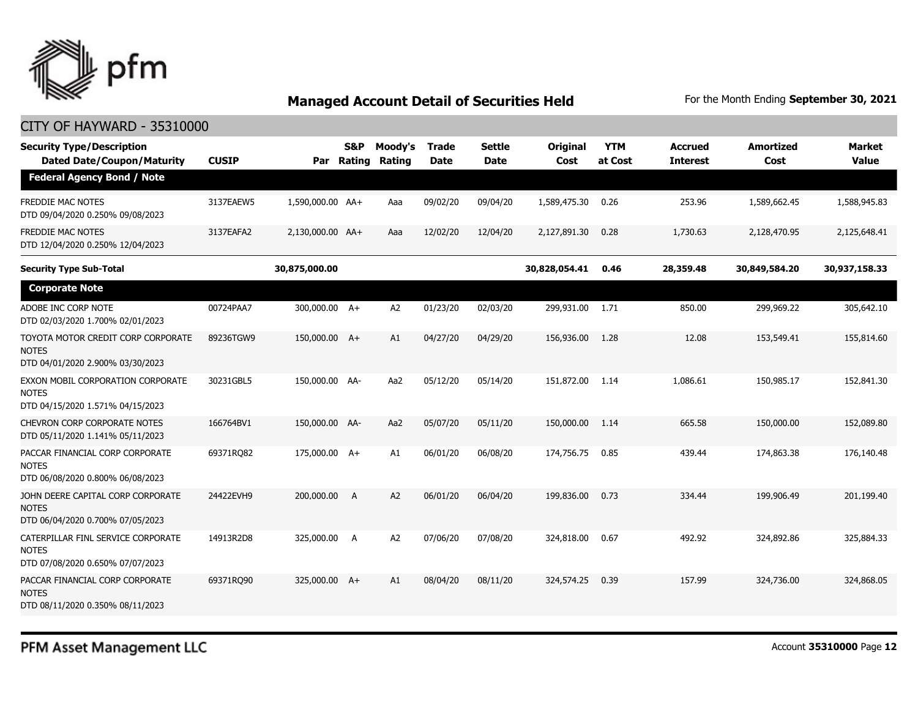

| <b>Security Type/Description</b><br><b>Dated Date/Coupon/Maturity</b>                  | <b>CUSIP</b> | Par              | <b>S&amp;P</b><br>Rating | Moody's<br>Rating | Trade<br><b>Date</b> | <b>Settle</b><br><b>Date</b> | Original<br>Cost | <b>YTM</b><br>at Cost | <b>Accrued</b><br><b>Interest</b> | <b>Amortized</b><br>Cost | <b>Market</b><br><b>Value</b> |
|----------------------------------------------------------------------------------------|--------------|------------------|--------------------------|-------------------|----------------------|------------------------------|------------------|-----------------------|-----------------------------------|--------------------------|-------------------------------|
| <b>Federal Agency Bond / Note</b>                                                      |              |                  |                          |                   |                      |                              |                  |                       |                                   |                          |                               |
| <b>FREDDIE MAC NOTES</b><br>DTD 09/04/2020 0.250% 09/08/2023                           | 3137EAEW5    | 1,590,000.00 AA+ |                          | Aaa               | 09/02/20             | 09/04/20                     | 1,589,475.30     | 0.26                  | 253.96                            | 1,589,662.45             | 1,588,945.83                  |
| <b>FREDDIE MAC NOTES</b><br>DTD 12/04/2020 0.250% 12/04/2023                           | 3137EAFA2    | 2,130,000.00 AA+ |                          | Aaa               | 12/02/20             | 12/04/20                     | 2,127,891.30     | 0.28                  | 1,730.63                          | 2,128,470.95             | 2,125,648.41                  |
| <b>Security Type Sub-Total</b>                                                         |              | 30,875,000.00    |                          |                   |                      |                              | 30,828,054.41    | 0.46                  | 28,359.48                         | 30,849,584.20            | 30,937,158.33                 |
| <b>Corporate Note</b>                                                                  |              |                  |                          |                   |                      |                              |                  |                       |                                   |                          |                               |
| ADOBE INC CORP NOTE<br>DTD 02/03/2020 1.700% 02/01/2023                                | 00724PAA7    | 300,000.00 A+    |                          | A2                | 01/23/20             | 02/03/20                     | 299,931.00       | 1.71                  | 850.00                            | 299,969.22               | 305,642.10                    |
| TOYOTA MOTOR CREDIT CORP CORPORATE<br><b>NOTES</b><br>DTD 04/01/2020 2.900% 03/30/2023 | 89236TGW9    | 150,000.00 A+    |                          | A1                | 04/27/20             | 04/29/20                     | 156,936.00       | 1.28                  | 12.08                             | 153,549.41               | 155,814.60                    |
| EXXON MOBIL CORPORATION CORPORATE<br><b>NOTES</b><br>DTD 04/15/2020 1.571% 04/15/2023  | 30231GBL5    | 150,000.00 AA-   |                          | Aa2               | 05/12/20             | 05/14/20                     | 151,872.00       | 1.14                  | 1,086.61                          | 150,985.17               | 152,841.30                    |
| <b>CHEVRON CORP CORPORATE NOTES</b><br>DTD 05/11/2020 1.141% 05/11/2023                | 166764BV1    | 150,000.00 AA-   |                          | Aa2               | 05/07/20             | 05/11/20                     | 150,000.00       | 1.14                  | 665.58                            | 150,000.00               | 152,089.80                    |
| PACCAR FINANCIAL CORP CORPORATE<br><b>NOTES</b><br>DTD 06/08/2020 0.800% 06/08/2023    | 69371RQ82    | 175,000.00 A+    |                          | A1                | 06/01/20             | 06/08/20                     | 174,756.75       | 0.85                  | 439.44                            | 174,863.38               | 176,140.48                    |
| JOHN DEERE CAPITAL CORP CORPORATE<br><b>NOTES</b><br>DTD 06/04/2020 0.700% 07/05/2023  | 24422EVH9    | 200,000.00       | A                        | A2                | 06/01/20             | 06/04/20                     | 199,836.00       | 0.73                  | 334.44                            | 199,906.49               | 201,199.40                    |
| CATERPILLAR FINL SERVICE CORPORATE<br><b>NOTES</b><br>DTD 07/08/2020 0.650% 07/07/2023 | 14913R2D8    | 325,000.00       | A                        | A2                | 07/06/20             | 07/08/20                     | 324,818.00       | 0.67                  | 492.92                            | 324,892.86               | 325,884.33                    |
| PACCAR FINANCIAL CORP CORPORATE<br><b>NOTES</b><br>DTD 08/11/2020 0.350% 08/11/2023    | 69371RQ90    | 325,000.00 A+    |                          | A1                | 08/04/20             | 08/11/20                     | 324,574.25       | 0.39                  | 157.99                            | 324,736.00               | 324,868.05                    |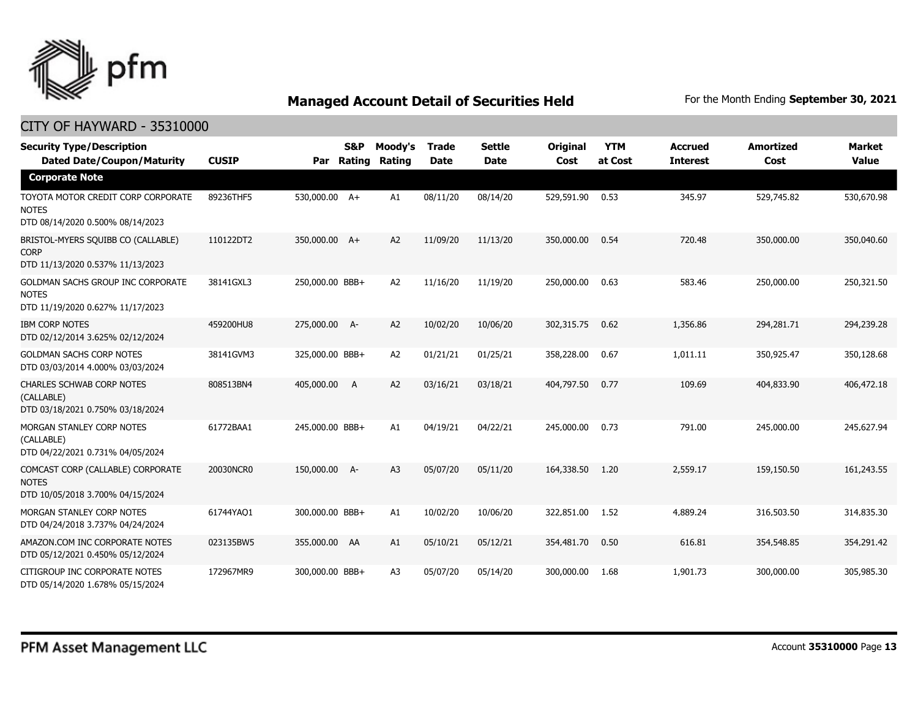

| <b>Security Type/Description</b><br><b>Dated Date/Coupon/Maturity</b>                        | <b>CUSIP</b> | Par             | <b>S&amp;P</b><br>Rating | Moody's<br>Rating | <b>Trade</b><br><b>Date</b> | <b>Settle</b><br><b>Date</b> | Original<br>Cost | <b>YTM</b><br>at Cost | <b>Accrued</b><br><b>Interest</b> | <b>Amortized</b><br>Cost | <b>Market</b><br><b>Value</b> |
|----------------------------------------------------------------------------------------------|--------------|-----------------|--------------------------|-------------------|-----------------------------|------------------------------|------------------|-----------------------|-----------------------------------|--------------------------|-------------------------------|
| <b>Corporate Note</b>                                                                        |              |                 |                          |                   |                             |                              |                  |                       |                                   |                          |                               |
| TOYOTA MOTOR CREDIT CORP CORPORATE<br><b>NOTES</b><br>DTD 08/14/2020 0.500% 08/14/2023       | 89236THF5    | 530,000.00 A+   |                          | A1                | 08/11/20                    | 08/14/20                     | 529,591.90       | 0.53                  | 345.97                            | 529,745.82               | 530,670.98                    |
| BRISTOL-MYERS SQUIBB CO (CALLABLE)<br><b>CORP</b><br>DTD 11/13/2020 0.537% 11/13/2023        | 110122DT2    | 350,000.00 A+   |                          | A2                | 11/09/20                    | 11/13/20                     | 350,000.00       | 0.54                  | 720.48                            | 350,000.00               | 350,040.60                    |
| <b>GOLDMAN SACHS GROUP INC CORPORATE</b><br><b>NOTES</b><br>DTD 11/19/2020 0.627% 11/17/2023 | 38141GXL3    | 250,000.00 BBB+ |                          | A2                | 11/16/20                    | 11/19/20                     | 250,000.00       | 0.63                  | 583.46                            | 250,000.00               | 250,321.50                    |
| <b>IBM CORP NOTES</b><br>DTD 02/12/2014 3.625% 02/12/2024                                    | 459200HU8    | 275,000.00 A-   |                          | A <sub>2</sub>    | 10/02/20                    | 10/06/20                     | 302,315.75       | 0.62                  | 1,356.86                          | 294,281.71               | 294,239.28                    |
| <b>GOLDMAN SACHS CORP NOTES</b><br>DTD 03/03/2014 4.000% 03/03/2024                          | 38141GVM3    | 325,000.00 BBB+ |                          | A2                | 01/21/21                    | 01/25/21                     | 358,228.00       | 0.67                  | 1,011.11                          | 350,925.47               | 350,128.68                    |
| CHARLES SCHWAB CORP NOTES<br>(CALLABLE)<br>DTD 03/18/2021 0.750% 03/18/2024                  | 808513BN4    | 405,000.00      | - A                      | A2                | 03/16/21                    | 03/18/21                     | 404,797.50       | 0.77                  | 109.69                            | 404,833.90               | 406,472.18                    |
| MORGAN STANLEY CORP NOTES<br>(CALLABLE)<br>DTD 04/22/2021 0.731% 04/05/2024                  | 61772BAA1    | 245,000.00 BBB+ |                          | A1                | 04/19/21                    | 04/22/21                     | 245,000.00       | 0.73                  | 791.00                            | 245,000.00               | 245,627.94                    |
| COMCAST CORP (CALLABLE) CORPORATE<br><b>NOTES</b><br>DTD 10/05/2018 3.700% 04/15/2024        | 20030NCR0    | 150,000.00 A-   |                          | A <sub>3</sub>    | 05/07/20                    | 05/11/20                     | 164,338.50       | 1.20                  | 2,559.17                          | 159,150.50               | 161,243.55                    |
| MORGAN STANLEY CORP NOTES<br>DTD 04/24/2018 3.737% 04/24/2024                                | 61744YAO1    | 300,000.00 BBB+ |                          | A1                | 10/02/20                    | 10/06/20                     | 322,851.00       | 1.52                  | 4,889.24                          | 316,503.50               | 314,835.30                    |
| AMAZON.COM INC CORPORATE NOTES<br>DTD 05/12/2021 0.450% 05/12/2024                           | 023135BW5    | 355,000.00 AA   |                          | A1                | 05/10/21                    | 05/12/21                     | 354,481.70       | 0.50                  | 616.81                            | 354,548.85               | 354,291.42                    |
| CITIGROUP INC CORPORATE NOTES<br>DTD 05/14/2020 1.678% 05/15/2024                            | 172967MR9    | 300,000.00 BBB+ |                          | A <sub>3</sub>    | 05/07/20                    | 05/14/20                     | 300,000.00       | 1.68                  | 1,901.73                          | 300,000.00               | 305,985.30                    |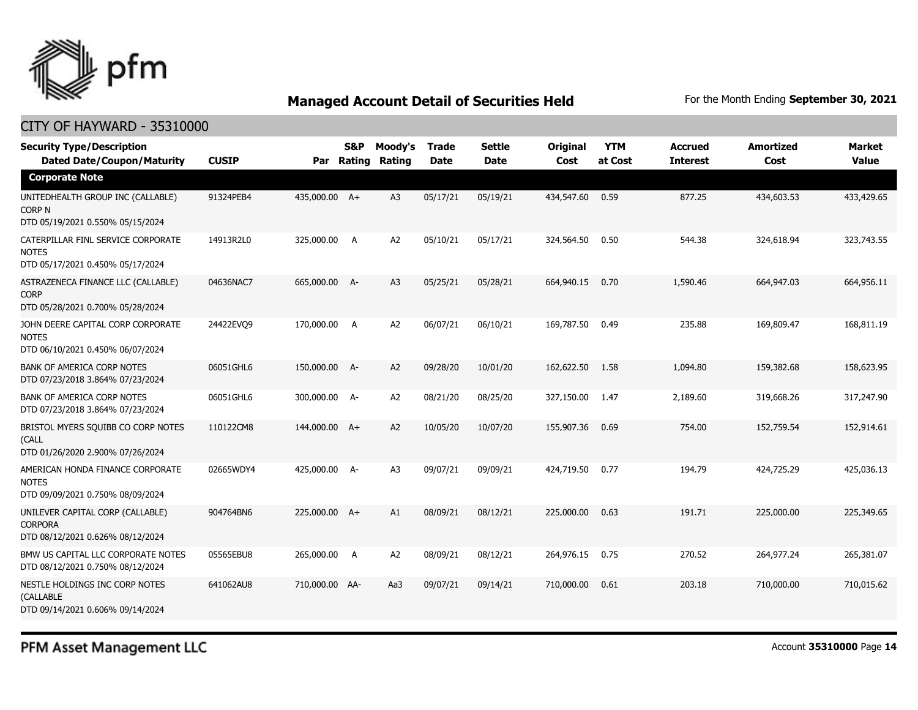

## CITY OF HAYWARD - 35310000

| <b>Security Type/Description</b><br><b>Dated Date/Coupon/Maturity</b>                  | <b>CUSIP</b> | Par            | S&P<br>Rating | Moody's<br>Rating | <b>Trade</b><br>Date | <b>Settle</b><br><b>Date</b> | Original<br>Cost | <b>YTM</b><br>at Cost | <b>Accrued</b><br><b>Interest</b> | <b>Amortized</b><br>Cost | <b>Market</b><br><b>Value</b> |
|----------------------------------------------------------------------------------------|--------------|----------------|---------------|-------------------|----------------------|------------------------------|------------------|-----------------------|-----------------------------------|--------------------------|-------------------------------|
| <b>Corporate Note</b>                                                                  |              |                |               |                   |                      |                              |                  |                       |                                   |                          |                               |
| UNITEDHEALTH GROUP INC (CALLABLE)<br><b>CORP N</b><br>DTD 05/19/2021 0.550% 05/15/2024 | 91324PEB4    | 435,000.00 A+  |               | A <sub>3</sub>    | 05/17/21             | 05/19/21                     | 434,547.60       | 0.59                  | 877.25                            | 434,603.53               | 433,429.65                    |
| CATERPILLAR FINL SERVICE CORPORATE<br><b>NOTES</b><br>DTD 05/17/2021 0.450% 05/17/2024 | 14913R2L0    | 325,000.00     | A             | A <sub>2</sub>    | 05/10/21             | 05/17/21                     | 324,564.50       | 0.50                  | 544.38                            | 324,618.94               | 323,743.55                    |
| ASTRAZENECA FINANCE LLC (CALLABLE)<br><b>CORP</b><br>DTD 05/28/2021 0.700% 05/28/2024  | 04636NAC7    | 665,000.00 A-  |               | A <sub>3</sub>    | 05/25/21             | 05/28/21                     | 664,940.15       | 0.70                  | 1,590.46                          | 664,947.03               | 664,956.11                    |
| JOHN DEERE CAPITAL CORP CORPORATE<br><b>NOTES</b><br>DTD 06/10/2021 0.450% 06/07/2024  | 24422EVO9    | 170,000.00     | A             | A <sub>2</sub>    | 06/07/21             | 06/10/21                     | 169,787.50       | 0.49                  | 235.88                            | 169,809.47               | 168,811.19                    |
| <b>BANK OF AMERICA CORP NOTES</b><br>DTD 07/23/2018 3.864% 07/23/2024                  | 06051GHL6    | 150,000.00 A-  |               | A <sub>2</sub>    | 09/28/20             | 10/01/20                     | 162,622.50       | 1.58                  | 1,094.80                          | 159,382.68               | 158,623.95                    |
| <b>BANK OF AMERICA CORP NOTES</b><br>DTD 07/23/2018 3.864% 07/23/2024                  | 06051GHL6    | 300,000.00 A-  |               | A <sub>2</sub>    | 08/21/20             | 08/25/20                     | 327,150.00       | 1.47                  | 2,189.60                          | 319,668.26               | 317,247.90                    |
| BRISTOL MYERS SQUIBB CO CORP NOTES<br>(CALL<br>DTD 01/26/2020 2.900% 07/26/2024        | 110122CM8    | 144,000.00 A+  |               | A2                | 10/05/20             | 10/07/20                     | 155,907.36       | 0.69                  | 754.00                            | 152,759.54               | 152,914.61                    |
| AMERICAN HONDA FINANCE CORPORATE<br><b>NOTES</b><br>DTD 09/09/2021 0.750% 08/09/2024   | 02665WDY4    | 425,000.00 A-  |               | A3                | 09/07/21             | 09/09/21                     | 424,719.50       | 0.77                  | 194.79                            | 424,725.29               | 425,036.13                    |
| UNILEVER CAPITAL CORP (CALLABLE)<br><b>CORPORA</b><br>DTD 08/12/2021 0.626% 08/12/2024 | 904764BN6    | 225,000.00 A+  |               | A1                | 08/09/21             | 08/12/21                     | 225,000.00       | 0.63                  | 191.71                            | 225,000.00               | 225,349.65                    |
| BMW US CAPITAL LLC CORPORATE NOTES<br>DTD 08/12/2021 0.750% 08/12/2024                 | 05565EBU8    | 265,000.00     | A             | A2                | 08/09/21             | 08/12/21                     | 264,976.15       | 0.75                  | 270.52                            | 264,977.24               | 265,381.07                    |
| NESTLE HOLDINGS INC CORP NOTES<br>(CALLABLE<br>DTD 09/14/2021 0.606% 09/14/2024        | 641062AU8    | 710,000.00 AA- |               | Aa3               | 09/07/21             | 09/14/21                     | 710,000.00       | 0.61                  | 203.18                            | 710,000.00               | 710,015.62                    |

PFM Asset Management LLC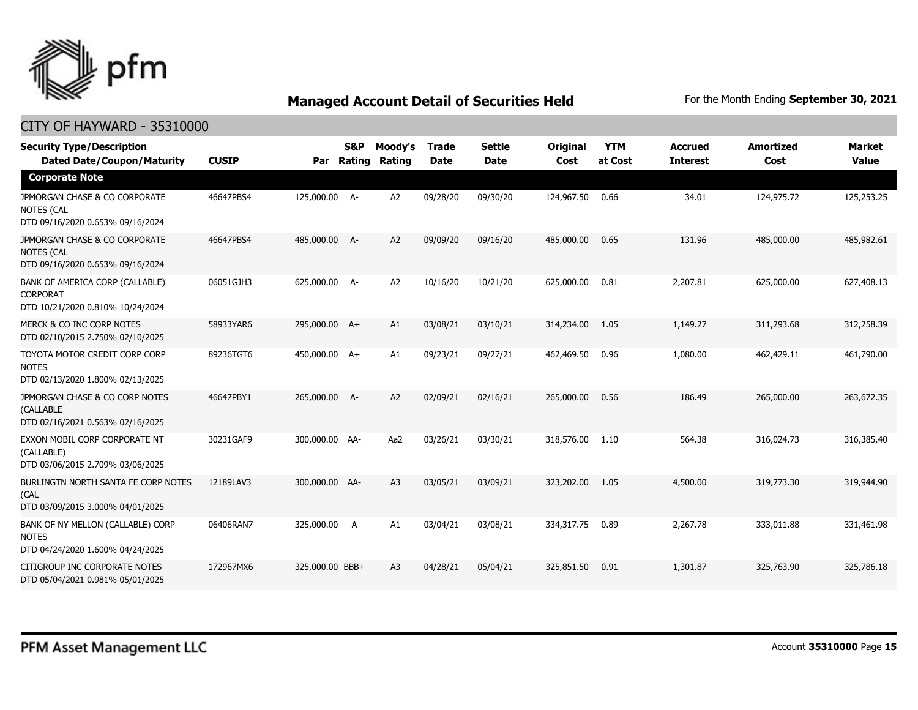

| <b>Security Type/Description</b><br><b>Dated Date/Coupon/Maturity</b>                  | <b>CUSIP</b> | Par             | <b>S&amp;P</b><br>Rating | Moody's<br>Rating | <b>Trade</b><br><b>Date</b> | <b>Settle</b><br><b>Date</b> | Original<br>Cost | <b>YTM</b><br>at Cost | <b>Accrued</b><br><b>Interest</b> | <b>Amortized</b><br>Cost | <b>Market</b><br><b>Value</b> |
|----------------------------------------------------------------------------------------|--------------|-----------------|--------------------------|-------------------|-----------------------------|------------------------------|------------------|-----------------------|-----------------------------------|--------------------------|-------------------------------|
| <b>Corporate Note</b>                                                                  |              |                 |                          |                   |                             |                              |                  |                       |                                   |                          |                               |
| JPMORGAN CHASE & CO CORPORATE<br><b>NOTES (CAL</b><br>DTD 09/16/2020 0.653% 09/16/2024 | 46647PBS4    | 125,000.00 A-   |                          | A2                | 09/28/20                    | 09/30/20                     | 124,967.50       | 0.66                  | 34.01                             | 124,975.72               | 125,253.25                    |
| JPMORGAN CHASE & CO CORPORATE<br><b>NOTES (CAL</b><br>DTD 09/16/2020 0.653% 09/16/2024 | 46647PBS4    | 485,000.00 A-   |                          | A2                | 09/09/20                    | 09/16/20                     | 485,000.00       | 0.65                  | 131.96                            | 485,000.00               | 485,982.61                    |
| BANK OF AMERICA CORP (CALLABLE)<br><b>CORPORAT</b><br>DTD 10/21/2020 0.810% 10/24/2024 | 06051GJH3    | 625,000.00 A-   |                          | A2                | 10/16/20                    | 10/21/20                     | 625,000.00       | 0.81                  | 2,207.81                          | 625,000.00               | 627,408.13                    |
| MERCK & CO INC CORP NOTES<br>DTD 02/10/2015 2.750% 02/10/2025                          | 58933YAR6    | 295,000.00 A+   |                          | A1                | 03/08/21                    | 03/10/21                     | 314,234.00       | 1.05                  | 1,149.27                          | 311,293.68               | 312,258.39                    |
| TOYOTA MOTOR CREDIT CORP CORP<br><b>NOTES</b><br>DTD 02/13/2020 1.800% 02/13/2025      | 89236TGT6    | 450,000.00 A+   |                          | A1                | 09/23/21                    | 09/27/21                     | 462,469.50       | 0.96                  | 1,080.00                          | 462,429.11               | 461,790.00                    |
| JPMORGAN CHASE & CO CORP NOTES<br>(CALLABLE<br>DTD 02/16/2021 0.563% 02/16/2025        | 46647PBY1    | 265,000.00 A-   |                          | A2                | 02/09/21                    | 02/16/21                     | 265,000.00       | 0.56                  | 186.49                            | 265,000.00               | 263,672.35                    |
| EXXON MOBIL CORP CORPORATE NT<br>(CALLABLE)<br>DTD 03/06/2015 2.709% 03/06/2025        | 30231GAF9    | 300,000.00 AA-  |                          | Aa2               | 03/26/21                    | 03/30/21                     | 318,576.00       | 1.10                  | 564.38                            | 316,024.73               | 316,385.40                    |
| BURLINGTN NORTH SANTA FE CORP NOTES<br>(CAL<br>DTD 03/09/2015 3.000% 04/01/2025        | 12189LAV3    | 300,000.00 AA-  |                          | A <sub>3</sub>    | 03/05/21                    | 03/09/21                     | 323,202.00       | 1.05                  | 4,500.00                          | 319,773.30               | 319,944.90                    |
| BANK OF NY MELLON (CALLABLE) CORP<br><b>NOTES</b><br>DTD 04/24/2020 1.600% 04/24/2025  | 06406RAN7    | 325,000.00 A    |                          | A1                | 03/04/21                    | 03/08/21                     | 334,317.75       | 0.89                  | 2,267.78                          | 333,011.88               | 331,461.98                    |
| CITIGROUP INC CORPORATE NOTES<br>DTD 05/04/2021 0.981% 05/01/2025                      | 172967MX6    | 325,000.00 BBB+ |                          | A <sub>3</sub>    | 04/28/21                    | 05/04/21                     | 325,851.50       | 0.91                  | 1,301.87                          | 325,763.90               | 325,786.18                    |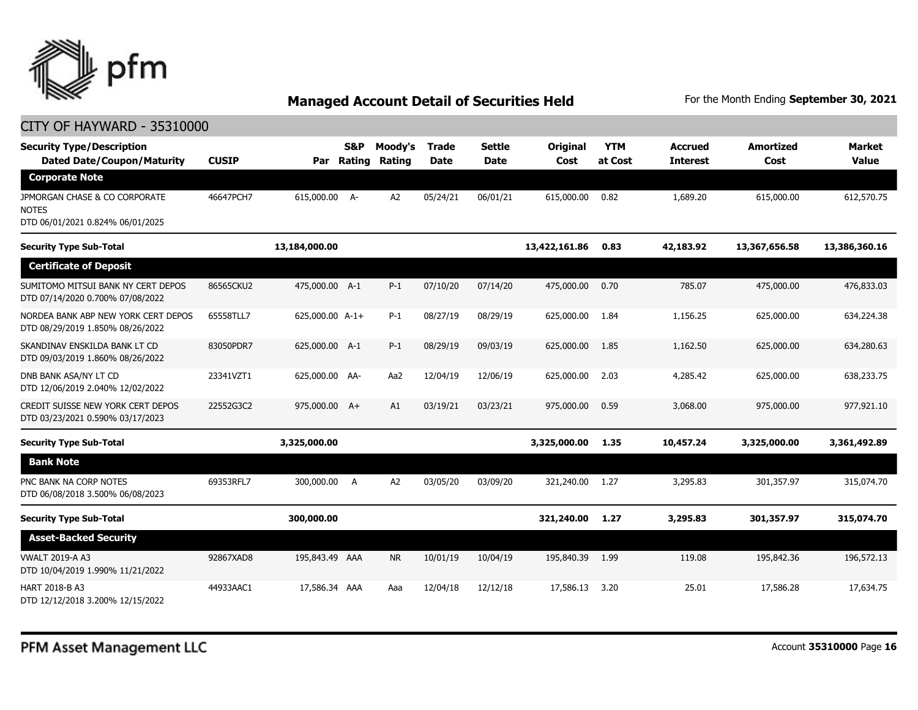

| <b>Security Type/Description</b><br><b>Dated Date/Coupon/Maturity</b>             | <b>CUSIP</b> | Par             | <b>S&amp;P</b><br>Rating | Moody's<br>Rating | <b>Trade</b><br><b>Date</b> | <b>Settle</b><br><b>Date</b> | Original<br>Cost | <b>YTM</b><br>at Cost | <b>Accrued</b><br><b>Interest</b> | <b>Amortized</b><br>Cost | <b>Market</b><br><b>Value</b> |
|-----------------------------------------------------------------------------------|--------------|-----------------|--------------------------|-------------------|-----------------------------|------------------------------|------------------|-----------------------|-----------------------------------|--------------------------|-------------------------------|
| <b>Corporate Note</b>                                                             |              |                 |                          |                   |                             |                              |                  |                       |                                   |                          |                               |
| JPMORGAN CHASE & CO CORPORATE<br><b>NOTES</b><br>DTD 06/01/2021 0.824% 06/01/2025 | 46647PCH7    | 615,000.00 A-   |                          | A <sub>2</sub>    | 05/24/21                    | 06/01/21                     | 615,000.00       | 0.82                  | 1,689.20                          | 615,000.00               | 612,570.75                    |
| <b>Security Type Sub-Total</b>                                                    |              | 13,184,000.00   |                          |                   |                             |                              | 13,422,161.86    | 0.83                  | 42,183.92                         | 13,367,656.58            | 13,386,360.16                 |
| <b>Certificate of Deposit</b>                                                     |              |                 |                          |                   |                             |                              |                  |                       |                                   |                          |                               |
| SUMITOMO MITSUI BANK NY CERT DEPOS<br>DTD 07/14/2020 0.700% 07/08/2022            | 86565CKU2    | 475,000.00 A-1  |                          | $P-1$             | 07/10/20                    | 07/14/20                     | 475,000.00       | 0.70                  | 785.07                            | 475,000.00               | 476,833.03                    |
| NORDEA BANK ABP NEW YORK CERT DEPOS<br>DTD 08/29/2019 1.850% 08/26/2022           | 65558TLL7    | 625,000.00 A-1+ |                          | $P-1$             | 08/27/19                    | 08/29/19                     | 625,000.00       | 1.84                  | 1,156.25                          | 625,000.00               | 634,224.38                    |
| SKANDINAV ENSKILDA BANK LT CD<br>DTD 09/03/2019 1.860% 08/26/2022                 | 83050PDR7    | 625,000.00 A-1  |                          | $P-1$             | 08/29/19                    | 09/03/19                     | 625,000.00       | 1.85                  | 1,162.50                          | 625,000.00               | 634,280.63                    |
| DNB BANK ASA/NY LT CD<br>DTD 12/06/2019 2.040% 12/02/2022                         | 23341VZT1    | 625,000.00 AA-  |                          | Aa2               | 12/04/19                    | 12/06/19                     | 625,000.00       | 2.03                  | 4,285.42                          | 625,000.00               | 638,233.75                    |
| CREDIT SUISSE NEW YORK CERT DEPOS<br>DTD 03/23/2021 0.590% 03/17/2023             | 22552G3C2    | 975,000.00 A+   |                          | A1                | 03/19/21                    | 03/23/21                     | 975,000.00       | 0.59                  | 3,068.00                          | 975,000.00               | 977,921.10                    |
| <b>Security Type Sub-Total</b>                                                    |              | 3,325,000.00    |                          |                   |                             |                              | 3,325,000.00     | 1.35                  | 10,457.24                         | 3,325,000.00             | 3,361,492.89                  |
| <b>Bank Note</b>                                                                  |              |                 |                          |                   |                             |                              |                  |                       |                                   |                          |                               |
| PNC BANK NA CORP NOTES<br>DTD 06/08/2018 3.500% 06/08/2023                        | 69353RFL7    | 300,000.00      | <b>A</b>                 | A <sub>2</sub>    | 03/05/20                    | 03/09/20                     | 321,240.00       | 1.27                  | 3,295.83                          | 301,357.97               | 315,074.70                    |
| <b>Security Type Sub-Total</b>                                                    |              | 300,000.00      |                          |                   |                             |                              | 321,240.00       | 1.27                  | 3,295.83                          | 301,357.97               | 315,074.70                    |
| <b>Asset-Backed Security</b>                                                      |              |                 |                          |                   |                             |                              |                  |                       |                                   |                          |                               |
| <b>VWALT 2019-A A3</b><br>DTD 10/04/2019 1.990% 11/21/2022                        | 92867XAD8    | 195,843.49 AAA  |                          | NR.               | 10/01/19                    | 10/04/19                     | 195,840,39       | 1.99                  | 119.08                            | 195,842.36               | 196,572.13                    |
| <b>HART 2018-B A3</b><br>DTD 12/12/2018 3.200% 12/15/2022                         | 44933AAC1    | 17,586,34 AAA   |                          | Aaa               | 12/04/18                    | 12/12/18                     | 17,586.13        | 3.20                  | 25.01                             | 17,586.28                | 17,634.75                     |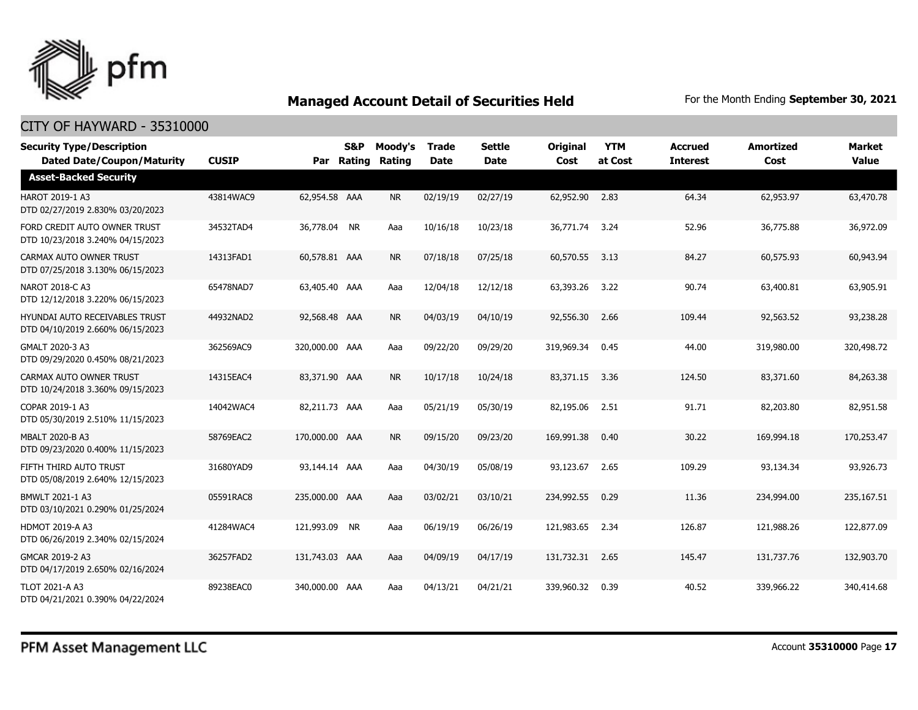

| <b>Security Type/Description</b><br><b>Dated Date/Coupon/Maturity</b>     | <b>CUSIP</b> | Par            | <b>S&amp;P</b><br>Rating | Moody's<br>Rating | <b>Trade</b><br><b>Date</b> | <b>Settle</b><br><b>Date</b> | <b>Original</b><br>Cost | <b>YTM</b><br>at Cost | <b>Accrued</b><br><b>Interest</b> | <b>Amortized</b><br>Cost | <b>Market</b><br><b>Value</b> |
|---------------------------------------------------------------------------|--------------|----------------|--------------------------|-------------------|-----------------------------|------------------------------|-------------------------|-----------------------|-----------------------------------|--------------------------|-------------------------------|
| <b>Asset-Backed Security</b>                                              |              |                |                          |                   |                             |                              |                         |                       |                                   |                          |                               |
| HAROT 2019-1 A3<br>DTD 02/27/2019 2.830% 03/20/2023                       | 43814WAC9    | 62,954.58 AAA  |                          | <b>NR</b>         | 02/19/19                    | 02/27/19                     | 62,952.90               | 2.83                  | 64.34                             | 62,953.97                | 63,470.78                     |
| FORD CREDIT AUTO OWNER TRUST<br>DTD 10/23/2018 3.240% 04/15/2023          | 34532TAD4    | 36,778.04 NR   |                          | Aaa               | 10/16/18                    | 10/23/18                     | 36,771.74               | 3.24                  | 52.96                             | 36,775.88                | 36,972.09                     |
| CARMAX AUTO OWNER TRUST<br>DTD 07/25/2018 3.130% 06/15/2023               | 14313FAD1    | 60,578.81 AAA  |                          | <b>NR</b>         | 07/18/18                    | 07/25/18                     | 60,570.55               | 3.13                  | 84.27                             | 60,575.93                | 60,943.94                     |
| NAROT 2018-C A3<br>DTD 12/12/2018 3.220% 06/15/2023                       | 65478NAD7    | 63,405.40 AAA  |                          | Aaa               | 12/04/18                    | 12/12/18                     | 63,393.26               | 3.22                  | 90.74                             | 63,400.81                | 63,905.91                     |
| <b>HYUNDAI AUTO RECEIVABLES TRUST</b><br>DTD 04/10/2019 2.660% 06/15/2023 | 44932NAD2    | 92,568.48 AAA  |                          | <b>NR</b>         | 04/03/19                    | 04/10/19                     | 92,556.30               | 2.66                  | 109.44                            | 92,563.52                | 93,238.28                     |
| GMALT 2020-3 A3<br>DTD 09/29/2020 0.450% 08/21/2023                       | 362569AC9    | 320,000.00 AAA |                          | Aaa               | 09/22/20                    | 09/29/20                     | 319,969.34              | 0.45                  | 44.00                             | 319,980.00               | 320,498.72                    |
| CARMAX AUTO OWNER TRUST<br>DTD 10/24/2018 3.360% 09/15/2023               | 14315EAC4    | 83,371.90 AAA  |                          | <b>NR</b>         | 10/17/18                    | 10/24/18                     | 83,371.15               | 3.36                  | 124.50                            | 83,371.60                | 84,263.38                     |
| COPAR 2019-1 A3<br>DTD 05/30/2019 2.510% 11/15/2023                       | 14042WAC4    | 82,211.73 AAA  |                          | Aaa               | 05/21/19                    | 05/30/19                     | 82,195.06               | 2.51                  | 91.71                             | 82,203.80                | 82,951.58                     |
| <b>MBALT 2020-B A3</b><br>DTD 09/23/2020 0.400% 11/15/2023                | 58769EAC2    | 170,000.00 AAA |                          | <b>NR</b>         | 09/15/20                    | 09/23/20                     | 169,991.38              | 0.40                  | 30.22                             | 169,994.18               | 170,253.47                    |
| FIFTH THIRD AUTO TRUST<br>DTD 05/08/2019 2.640% 12/15/2023                | 31680YAD9    | 93,144.14 AAA  |                          | Aaa               | 04/30/19                    | 05/08/19                     | 93,123.67               | 2.65                  | 109.29                            | 93,134.34                | 93,926.73                     |
| BMWLT 2021-1 A3<br>DTD 03/10/2021 0.290% 01/25/2024                       | 05591RAC8    | 235,000.00 AAA |                          | Aaa               | 03/02/21                    | 03/10/21                     | 234,992.55              | 0.29                  | 11.36                             | 234,994.00               | 235,167.51                    |
| <b>HDMOT 2019-A A3</b><br>DTD 06/26/2019 2.340% 02/15/2024                | 41284WAC4    | 121,993.09 NR  |                          | Aaa               | 06/19/19                    | 06/26/19                     | 121,983.65              | 2.34                  | 126.87                            | 121,988.26               | 122,877.09                    |
| GMCAR 2019-2 A3<br>DTD 04/17/2019 2.650% 02/16/2024                       | 36257FAD2    | 131,743.03 AAA |                          | Aaa               | 04/09/19                    | 04/17/19                     | 131,732.31              | 2.65                  | 145.47                            | 131,737,76               | 132,903.70                    |
| <b>TLOT 2021-A A3</b><br>DTD 04/21/2021 0.390% 04/22/2024                 | 89238EAC0    | 340,000.00 AAA |                          | Aaa               | 04/13/21                    | 04/21/21                     | 339,960.32              | 0.39                  | 40.52                             | 339,966.22               | 340,414.68                    |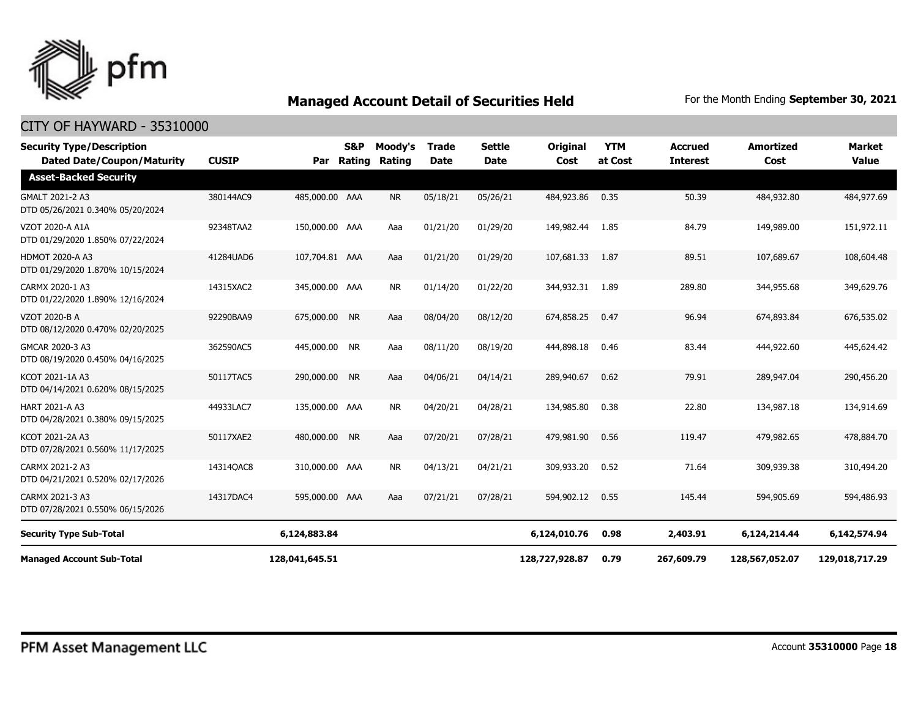

| <b>Security Type/Description</b><br><b>Dated Date/Coupon/Maturity</b> | <b>CUSIP</b> | Par            | S&P<br>Rating | Moody's<br>Rating | <b>Trade</b><br><b>Date</b> | <b>Settle</b><br>Date | Original<br>Cost | <b>YTM</b><br>at Cost | <b>Accrued</b><br><b>Interest</b> | <b>Amortized</b><br>Cost | <b>Market</b><br><b>Value</b> |
|-----------------------------------------------------------------------|--------------|----------------|---------------|-------------------|-----------------------------|-----------------------|------------------|-----------------------|-----------------------------------|--------------------------|-------------------------------|
| <b>Asset-Backed Security</b>                                          |              |                |               |                   |                             |                       |                  |                       |                                   |                          |                               |
| GMALT 2021-2 A3<br>DTD 05/26/2021 0.340% 05/20/2024                   | 380144AC9    | 485,000.00 AAA |               | <b>NR</b>         | 05/18/21                    | 05/26/21              | 484,923.86       | 0.35                  | 50.39                             | 484,932.80               | 484,977.69                    |
| VZOT 2020-A A1A<br>DTD 01/29/2020 1.850% 07/22/2024                   | 92348TAA2    | 150,000.00 AAA |               | Aaa               | 01/21/20                    | 01/29/20              | 149,982.44       | 1.85                  | 84.79                             | 149,989.00               | 151,972.11                    |
| <b>HDMOT 2020-A A3</b><br>DTD 01/29/2020 1.870% 10/15/2024            | 41284UAD6    | 107,704.81 AAA |               | Aaa               | 01/21/20                    | 01/29/20              | 107,681.33       | 1.87                  | 89.51                             | 107,689.67               | 108,604.48                    |
| CARMX 2020-1 A3<br>DTD 01/22/2020 1.890% 12/16/2024                   | 14315XAC2    | 345,000.00 AAA |               | <b>NR</b>         | 01/14/20                    | 01/22/20              | 344,932.31 1.89  |                       | 289.80                            | 344,955.68               | 349,629.76                    |
| <b>VZOT 2020-B A</b><br>DTD 08/12/2020 0.470% 02/20/2025              | 92290BAA9    | 675,000.00 NR  |               | Aaa               | 08/04/20                    | 08/12/20              | 674,858.25       | 0.47                  | 96.94                             | 674,893.84               | 676,535.02                    |
| GMCAR 2020-3 A3<br>DTD 08/19/2020 0.450% 04/16/2025                   | 362590AC5    | 445,000.00 NR  |               | Aaa               | 08/11/20                    | 08/19/20              | 444,898.18       | 0.46                  | 83.44                             | 444,922.60               | 445,624.42                    |
| KCOT 2021-1A A3<br>DTD 04/14/2021 0.620% 08/15/2025                   | 50117TAC5    | 290,000.00 NR  |               | Aaa               | 04/06/21                    | 04/14/21              | 289,940.67       | 0.62                  | 79.91                             | 289,947.04               | 290,456.20                    |
| <b>HART 2021-A A3</b><br>DTD 04/28/2021 0.380% 09/15/2025             | 44933LAC7    | 135,000.00 AAA |               | <b>NR</b>         | 04/20/21                    | 04/28/21              | 134,985.80       | 0.38                  | 22.80                             | 134,987.18               | 134,914.69                    |
| KCOT 2021-2A A3<br>DTD 07/28/2021 0.560% 11/17/2025                   | 50117XAE2    | 480,000,00 NR  |               | Aaa               | 07/20/21                    | 07/28/21              | 479,981.90       | 0.56                  | 119.47                            | 479,982.65               | 478,884.70                    |
| CARMX 2021-2 A3<br>DTD 04/21/2021 0.520% 02/17/2026                   | 14314QAC8    | 310,000.00 AAA |               | <b>NR</b>         | 04/13/21                    | 04/21/21              | 309,933.20       | 0.52                  | 71.64                             | 309,939.38               | 310,494.20                    |
| CARMX 2021-3 A3<br>DTD 07/28/2021 0.550% 06/15/2026                   | 14317DAC4    | 595,000.00 AAA |               | Aaa               | 07/21/21                    | 07/28/21              | 594,902.12       | 0.55                  | 145.44                            | 594,905.69               | 594,486.93                    |
| <b>Security Type Sub-Total</b>                                        |              | 6,124,883.84   |               |                   |                             |                       | 6,124,010.76     | 0.98                  | 2,403.91                          | 6,124,214.44             | 6,142,574.94                  |
| <b>Managed Account Sub-Total</b>                                      |              | 128,041,645.51 |               |                   |                             |                       | 128,727,928.87   | 0.79                  | 267,609.79                        | 128,567,052.07           | 129,018,717.29                |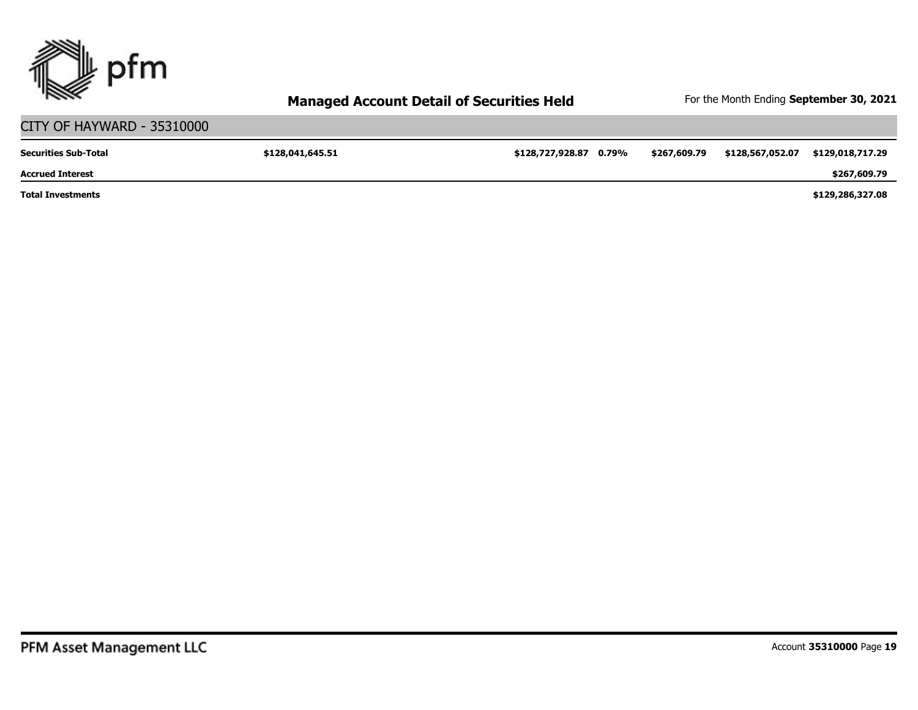

#### CITY OF HAYWARD - 35310000 **\$128,041,645.51 \$128,727,928.87 0.79% \$267,609.79 \$128,567,052.07 \$129,018,717.29 \$129,286,327.08 \$267,609.79 Total Investments Accrued Interest Securities Sub-Total**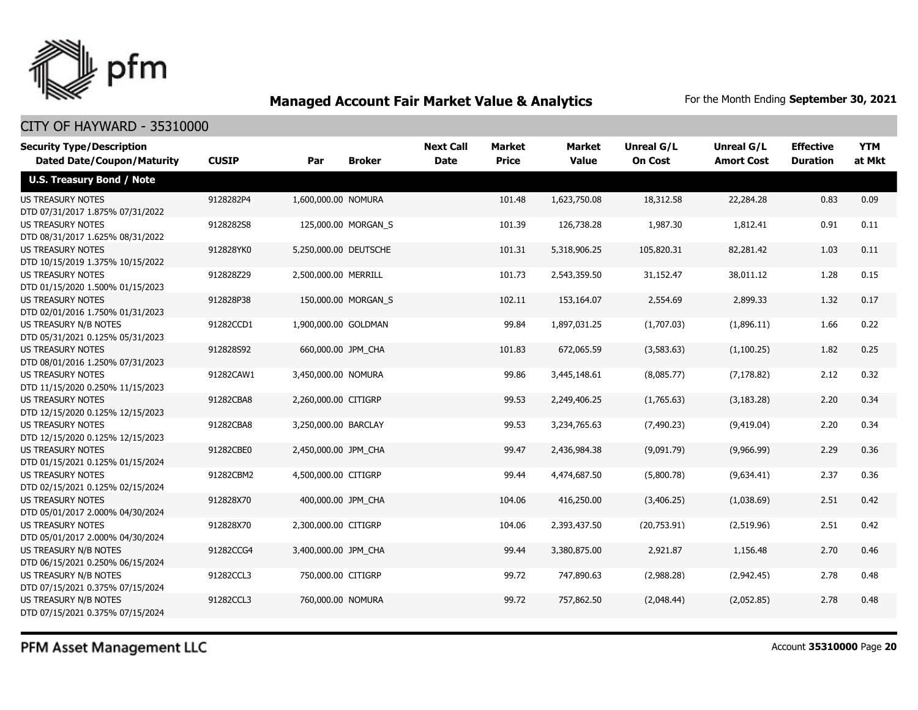

## CITY OF HAYWARD - 35310000

| <b>Security Type/Description</b><br><b>Dated Date/Coupon/Maturity</b> | <b>CUSIP</b> | Par                   | <b>Broker</b>       | <b>Next Call</b><br><b>Date</b> | <b>Market</b><br><b>Price</b> | <b>Market</b><br><b>Value</b> | <b>Unreal G/L</b><br><b>On Cost</b> | Unreal G/L<br><b>Amort Cost</b> | <b>Effective</b><br><b>Duration</b> | <b>YTM</b><br>at Mkt |
|-----------------------------------------------------------------------|--------------|-----------------------|---------------------|---------------------------------|-------------------------------|-------------------------------|-------------------------------------|---------------------------------|-------------------------------------|----------------------|
| <b>U.S. Treasury Bond / Note</b>                                      |              |                       |                     |                                 |                               |                               |                                     |                                 |                                     |                      |
| <b>US TREASURY NOTES</b><br>DTD 07/31/2017 1.875% 07/31/2022          | 9128282P4    | 1,600,000.00 NOMURA   |                     |                                 | 101.48                        | 1,623,750.08                  | 18,312.58                           | 22,284.28                       | 0.83                                | 0.09                 |
| <b>US TREASURY NOTES</b><br>DTD 08/31/2017 1.625% 08/31/2022          | 9128282S8    |                       | 125,000.00 MORGAN_S |                                 | 101.39                        | 126,738.28                    | 1,987.30                            | 1,812.41                        | 0.91                                | 0.11                 |
| <b>US TREASURY NOTES</b><br>DTD 10/15/2019 1.375% 10/15/2022          | 912828YK0    | 5,250,000.00 DEUTSCHE |                     |                                 | 101.31                        | 5,318,906.25                  | 105,820.31                          | 82,281.42                       | 1.03                                | 0.11                 |
| <b>US TREASURY NOTES</b><br>DTD 01/15/2020 1.500% 01/15/2023          | 912828Z29    | 2,500,000.00 MERRILL  |                     |                                 | 101.73                        | 2,543,359.50                  | 31,152.47                           | 38,011.12                       | 1.28                                | 0.15                 |
| <b>US TREASURY NOTES</b><br>DTD 02/01/2016 1.750% 01/31/2023          | 912828P38    |                       | 150,000.00 MORGAN_S |                                 | 102.11                        | 153,164.07                    | 2,554.69                            | 2,899.33                        | 1.32                                | 0.17                 |
| US TREASURY N/B NOTES<br>DTD 05/31/2021 0.125% 05/31/2023             | 91282CCD1    | 1,900,000.00 GOLDMAN  |                     |                                 | 99.84                         | 1,897,031.25                  | (1,707.03)                          | (1,896.11)                      | 1.66                                | 0.22                 |
| <b>US TREASURY NOTES</b><br>DTD 08/01/2016 1.250% 07/31/2023          | 912828S92    | 660,000.00 JPM CHA    |                     |                                 | 101.83                        | 672,065.59                    | (3,583.63)                          | (1,100.25)                      | 1.82                                | 0.25                 |
| <b>US TREASURY NOTES</b><br>DTD 11/15/2020 0.250% 11/15/2023          | 91282CAW1    | 3,450,000.00 NOMURA   |                     |                                 | 99.86                         | 3,445,148.61                  | (8,085.77)                          | (7, 178.82)                     | 2.12                                | 0.32                 |
| <b>US TREASURY NOTES</b><br>DTD 12/15/2020 0.125% 12/15/2023          | 91282CBA8    | 2,260,000.00 CITIGRP  |                     |                                 | 99.53                         | 2,249,406.25                  | (1,765.63)                          | (3, 183.28)                     | 2.20                                | 0.34                 |
| <b>US TREASURY NOTES</b><br>DTD 12/15/2020 0.125% 12/15/2023          | 91282CBA8    | 3,250,000.00 BARCLAY  |                     |                                 | 99.53                         | 3,234,765.63                  | (7, 490.23)                         | (9,419.04)                      | 2.20                                | 0.34                 |
| <b>US TREASURY NOTES</b><br>DTD 01/15/2021 0.125% 01/15/2024          | 91282CBE0    | 2,450,000.00 JPM_CHA  |                     |                                 | 99.47                         | 2,436,984.38                  | (9,091.79)                          | (9,966.99)                      | 2.29                                | 0.36                 |
| <b>US TREASURY NOTES</b><br>DTD 02/15/2021 0.125% 02/15/2024          | 91282CBM2    | 4,500,000.00 CITIGRP  |                     |                                 | 99.44                         | 4,474,687.50                  | (5,800.78)                          | (9,634.41)                      | 2.37                                | 0.36                 |
| <b>US TREASURY NOTES</b><br>DTD 05/01/2017 2.000% 04/30/2024          | 912828X70    | 400,000.00 JPM_CHA    |                     |                                 | 104.06                        | 416,250.00                    | (3,406.25)                          | (1,038.69)                      | 2.51                                | 0.42                 |
| <b>US TREASURY NOTES</b><br>DTD 05/01/2017 2.000% 04/30/2024          | 912828X70    | 2,300,000.00 CITIGRP  |                     |                                 | 104.06                        | 2,393,437.50                  | (20,753.91)                         | (2,519.96)                      | 2.51                                | 0.42                 |
| US TREASURY N/B NOTES<br>DTD 06/15/2021 0.250% 06/15/2024             | 91282CCG4    | 3,400,000.00 JPM CHA  |                     |                                 | 99.44                         | 3,380,875.00                  | 2,921.87                            | 1,156.48                        | 2.70                                | 0.46                 |
| US TREASURY N/B NOTES<br>DTD 07/15/2021 0.375% 07/15/2024             | 91282CCL3    | 750,000.00 CITIGRP    |                     |                                 | 99.72                         | 747,890.63                    | (2,988.28)                          | (2,942.45)                      | 2.78                                | 0.48                 |
| US TREASURY N/B NOTES<br>DTD 07/15/2021 0.375% 07/15/2024             | 91282CCL3    | 760,000.00 NOMURA     |                     |                                 | 99.72                         | 757,862.50                    | (2,048.44)                          | (2,052.85)                      | 2.78                                | 0.48                 |

PFM Asset Management LLC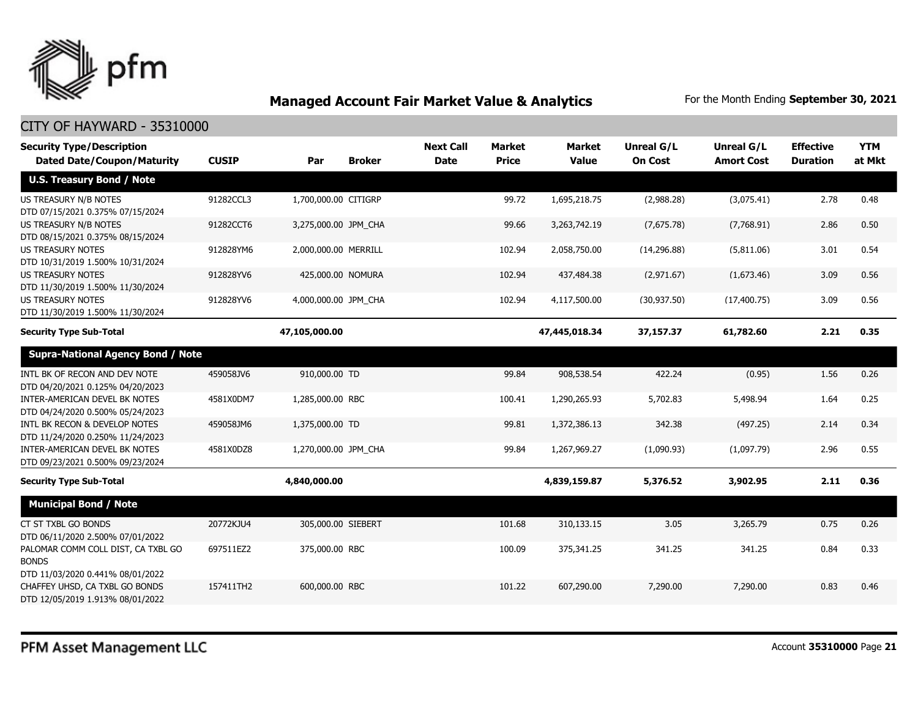

| <b>Security Type/Description</b><br><b>Dated Date/Coupon/Maturity</b>                                  | <b>CUSIP</b> | Par                  | <b>Broker</b> | <b>Next Call</b><br><b>Date</b> | <b>Market</b><br><b>Price</b> | <b>Market</b><br><b>Value</b> | Unreal G/L<br><b>On Cost</b> | Unreal G/L<br><b>Amort Cost</b> | <b>Effective</b><br><b>Duration</b> | <b>YTM</b><br>at Mkt |
|--------------------------------------------------------------------------------------------------------|--------------|----------------------|---------------|---------------------------------|-------------------------------|-------------------------------|------------------------------|---------------------------------|-------------------------------------|----------------------|
|                                                                                                        |              |                      |               |                                 |                               |                               |                              |                                 |                                     |                      |
| <b>U.S. Treasury Bond / Note</b>                                                                       |              |                      |               |                                 |                               |                               |                              |                                 |                                     |                      |
| US TREASURY N/B NOTES<br>DTD 07/15/2021 0.375% 07/15/2024                                              | 91282CCL3    | 1,700,000.00 CITIGRP |               |                                 | 99.72                         | 1,695,218.75                  | (2,988.28)                   | (3,075.41)                      | 2.78                                | 0.48                 |
| <b>US TREASURY N/B NOTES</b><br>DTD 08/15/2021 0.375% 08/15/2024                                       | 91282CCT6    | 3,275,000.00 JPM_CHA |               |                                 | 99.66                         | 3,263,742.19                  | (7,675.78)                   | (7,768.91)                      | 2.86                                | 0.50                 |
| <b>US TREASURY NOTES</b><br>DTD 10/31/2019 1.500% 10/31/2024                                           | 912828YM6    | 2,000,000.00 MERRILL |               |                                 | 102.94                        | 2,058,750.00                  | (14, 296.88)                 | (5,811.06)                      | 3.01                                | 0.54                 |
| <b>US TREASURY NOTES</b><br>DTD 11/30/2019 1.500% 11/30/2024                                           | 912828YV6    | 425,000.00 NOMURA    |               |                                 | 102.94                        | 437,484.38                    | (2,971.67)                   | (1,673.46)                      | 3.09                                | 0.56                 |
| <b>US TREASURY NOTES</b><br>DTD 11/30/2019 1.500% 11/30/2024                                           | 912828YV6    | 4,000,000.00 JPM CHA |               |                                 | 102.94                        | 4,117,500.00                  | (30, 937.50)                 | (17, 400, 75)                   | 3.09                                | 0.56                 |
| <b>Security Type Sub-Total</b>                                                                         |              | 47,105,000.00        |               |                                 |                               | 47,445,018.34                 | 37,157.37                    | 61,782.60                       | 2.21                                | 0.35                 |
| <b>Supra-National Agency Bond / Note</b>                                                               |              |                      |               |                                 |                               |                               |                              |                                 |                                     |                      |
| INTL BK OF RECON AND DEV NOTE<br>DTD 04/20/2021 0.125% 04/20/2023                                      | 459058JV6    | 910,000.00 TD        |               |                                 | 99.84                         | 908,538.54                    | 422.24                       | (0.95)                          | 1.56                                | 0.26                 |
| INTER-AMERICAN DEVEL BK NOTES<br>DTD 04/24/2020 0.500% 05/24/2023                                      | 4581X0DM7    | 1,285,000.00 RBC     |               |                                 | 100.41                        | 1,290,265.93                  | 5,702.83                     | 5,498.94                        | 1.64                                | 0.25                 |
| INTL BK RECON & DEVELOP NOTES<br>DTD 11/24/2020 0.250% 11/24/2023                                      | 459058JM6    | 1,375,000.00 TD      |               |                                 | 99.81                         | 1,372,386.13                  | 342.38                       | (497.25)                        | 2.14                                | 0.34                 |
| INTER-AMERICAN DEVEL BK NOTES<br>DTD 09/23/2021 0.500% 09/23/2024                                      | 4581X0DZ8    | 1,270,000.00 JPM CHA |               |                                 | 99.84                         | 1,267,969.27                  | (1,090.93)                   | (1,097.79)                      | 2.96                                | 0.55                 |
| <b>Security Type Sub-Total</b>                                                                         |              | 4,840,000.00         |               |                                 |                               | 4,839,159.87                  | 5,376.52                     | 3,902.95                        | 2.11                                | 0.36                 |
| <b>Municipal Bond / Note</b>                                                                           |              |                      |               |                                 |                               |                               |                              |                                 |                                     |                      |
| CT ST TXBL GO BONDS<br>DTD 06/11/2020 2.500% 07/01/2022                                                | 20772KJU4    | 305,000.00 SIEBERT   |               |                                 | 101.68                        | 310,133.15                    | 3.05                         | 3,265.79                        | 0.75                                | 0.26                 |
| PALOMAR COMM COLL DIST, CA TXBL GO<br><b>BONDS</b>                                                     | 697511EZ2    | 375,000.00 RBC       |               |                                 | 100.09                        | 375,341.25                    | 341.25                       | 341.25                          | 0.84                                | 0.33                 |
| DTD 11/03/2020 0.441% 08/01/2022<br>CHAFFEY UHSD, CA TXBL GO BONDS<br>DTD 12/05/2019 1.913% 08/01/2022 | 157411TH2    | 600,000.00 RBC       |               |                                 | 101.22                        | 607,290.00                    | 7,290.00                     | 7,290.00                        | 0.83                                | 0.46                 |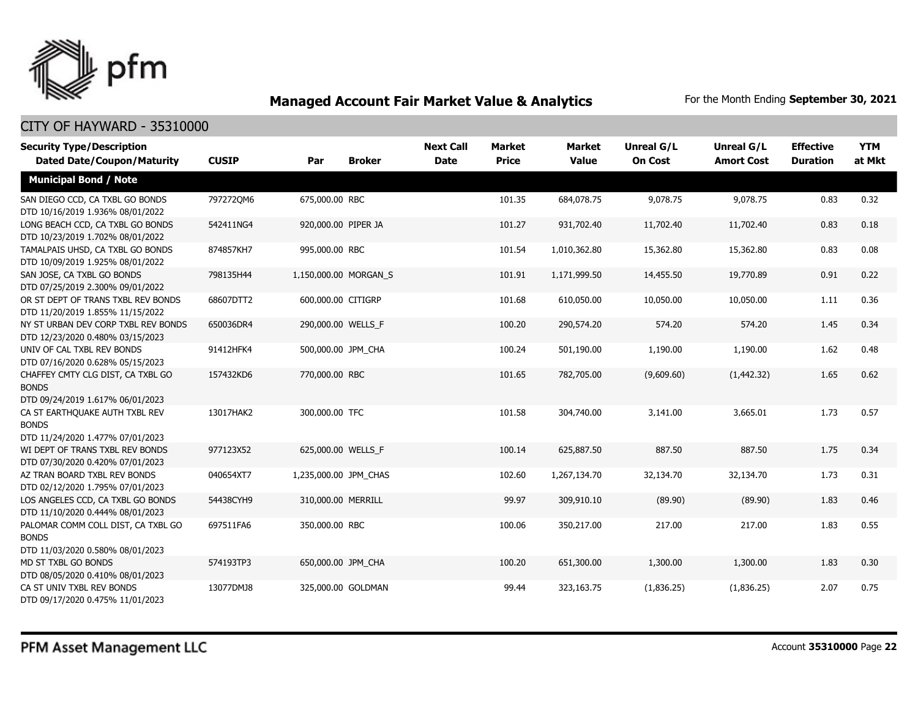

| <b>Security Type/Description</b><br><b>Dated Date/Coupon/Maturity</b>                  | <b>CUSIP</b> | Par                   | <b>Broker</b> | <b>Next Call</b><br><b>Date</b> | <b>Market</b><br><b>Price</b> | <b>Market</b><br><b>Value</b> | <b>Unreal G/L</b><br><b>On Cost</b> | Unreal G/L<br><b>Amort Cost</b> | <b>Effective</b><br><b>Duration</b> | <b>YTM</b><br>at Mkt |
|----------------------------------------------------------------------------------------|--------------|-----------------------|---------------|---------------------------------|-------------------------------|-------------------------------|-------------------------------------|---------------------------------|-------------------------------------|----------------------|
| <b>Municipal Bond / Note</b>                                                           |              |                       |               |                                 |                               |                               |                                     |                                 |                                     |                      |
| SAN DIEGO CCD, CA TXBL GO BONDS<br>DTD 10/16/2019 1.936% 08/01/2022                    | 7972720M6    | 675,000.00 RBC        |               |                                 | 101.35                        | 684,078.75                    | 9,078.75                            | 9,078.75                        | 0.83                                | 0.32                 |
| LONG BEACH CCD, CA TXBL GO BONDS<br>DTD 10/23/2019 1.702% 08/01/2022                   | 542411NG4    | 920,000.00 PIPER JA   |               |                                 | 101.27                        | 931,702.40                    | 11,702.40                           | 11,702.40                       | 0.83                                | 0.18                 |
| TAMALPAIS UHSD, CA TXBL GO BONDS<br>DTD 10/09/2019 1.925% 08/01/2022                   | 874857KH7    | 995,000.00 RBC        |               |                                 | 101.54                        | 1,010,362.80                  | 15,362.80                           | 15,362.80                       | 0.83                                | 0.08                 |
| SAN JOSE, CA TXBL GO BONDS<br>DTD 07/25/2019 2.300% 09/01/2022                         | 798135H44    | 1,150,000.00 MORGAN_S |               |                                 | 101.91                        | 1,171,999.50                  | 14,455.50                           | 19,770.89                       | 0.91                                | 0.22                 |
| OR ST DEPT OF TRANS TXBL REV BONDS<br>DTD 11/20/2019 1.855% 11/15/2022                 | 68607DTT2    | 600,000.00 CITIGRP    |               |                                 | 101.68                        | 610,050.00                    | 10,050.00                           | 10,050.00                       | 1.11                                | 0.36                 |
| NY ST URBAN DEV CORP TXBL REV BONDS<br>DTD 12/23/2020 0.480% 03/15/2023                | 650036DR4    | 290,000.00 WELLS_F    |               |                                 | 100.20                        | 290,574.20                    | 574.20                              | 574.20                          | 1.45                                | 0.34                 |
| UNIV OF CAL TXBL REV BONDS<br>DTD 07/16/2020 0.628% 05/15/2023                         | 91412HFK4    | 500,000.00 JPM_CHA    |               |                                 | 100.24                        | 501,190.00                    | 1,190.00                            | 1,190.00                        | 1.62                                | 0.48                 |
| CHAFFEY CMTY CLG DIST, CA TXBL GO<br><b>BONDS</b><br>DTD 09/24/2019 1.617% 06/01/2023  | 157432KD6    | 770,000.00 RBC        |               |                                 | 101.65                        | 782,705.00                    | (9,609.60)                          | (1,442.32)                      | 1.65                                | 0.62                 |
| CA ST EARTHQUAKE AUTH TXBL REV<br><b>BONDS</b><br>DTD 11/24/2020 1.477% 07/01/2023     | 13017HAK2    | 300,000.00 TFC        |               |                                 | 101.58                        | 304,740.00                    | 3,141.00                            | 3,665.01                        | 1.73                                | 0.57                 |
| WI DEPT OF TRANS TXBL REV BONDS<br>DTD 07/30/2020 0.420% 07/01/2023                    | 977123X52    | 625,000.00 WELLS F    |               |                                 | 100.14                        | 625,887.50                    | 887.50                              | 887.50                          | 1.75                                | 0.34                 |
| AZ TRAN BOARD TXBL REV BONDS<br>DTD 02/12/2020 1.795% 07/01/2023                       | 040654XT7    | 1,235,000.00 JPM_CHAS |               |                                 | 102.60                        | 1,267,134.70                  | 32,134.70                           | 32,134.70                       | 1.73                                | 0.31                 |
| LOS ANGELES CCD, CA TXBL GO BONDS<br>DTD 11/10/2020 0.444% 08/01/2023                  | 54438CYH9    | 310,000.00 MERRILL    |               |                                 | 99.97                         | 309,910.10                    | (89.90)                             | (89.90)                         | 1.83                                | 0.46                 |
| PALOMAR COMM COLL DIST, CA TXBL GO<br><b>BONDS</b><br>DTD 11/03/2020 0.580% 08/01/2023 | 697511FA6    | 350,000.00 RBC        |               |                                 | 100.06                        | 350,217.00                    | 217.00                              | 217.00                          | 1.83                                | 0.55                 |
| MD ST TXBL GO BONDS<br>DTD 08/05/2020 0.410% 08/01/2023                                | 574193TP3    | 650,000.00 JPM_CHA    |               |                                 | 100.20                        | 651,300.00                    | 1,300.00                            | 1,300.00                        | 1.83                                | 0.30                 |
| CA ST UNIV TXBL REV BONDS<br>DTD 09/17/2020 0.475% 11/01/2023                          | 13077DMJ8    | 325,000.00 GOLDMAN    |               |                                 | 99.44                         | 323,163.75                    | (1,836.25)                          | (1,836.25)                      | 2.07                                | 0.75                 |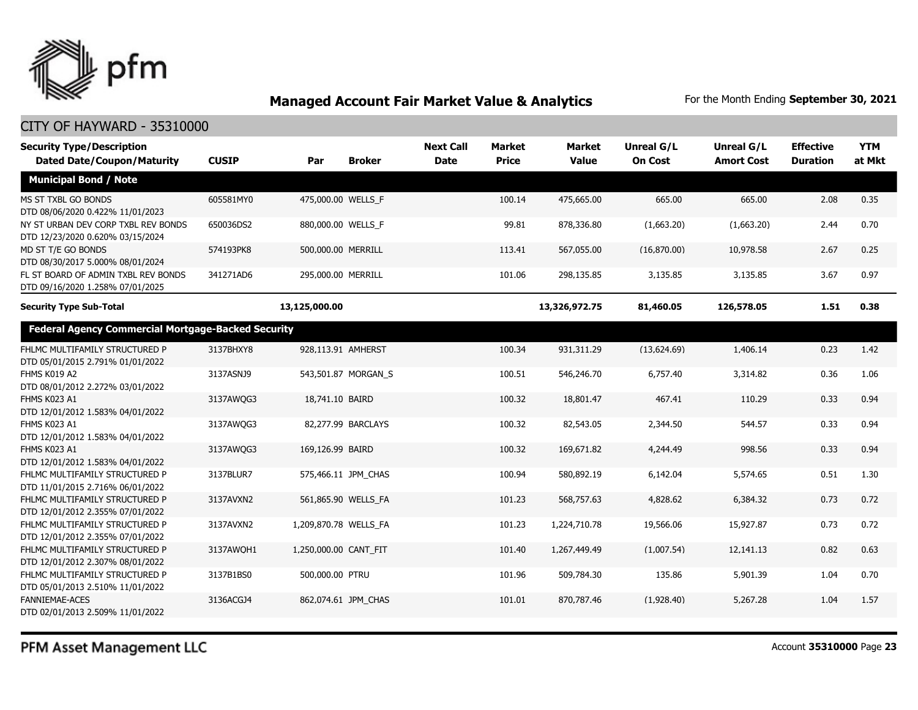

| <b>Security Type/Description</b><br><b>Dated Date/Coupon/Maturity</b>   | <b>CUSIP</b> | Par                   | <b>Broker</b>       | <b>Next Call</b><br><b>Date</b> | <b>Market</b><br><b>Price</b> | <b>Market</b><br><b>Value</b> | Unreal G/L<br><b>On Cost</b> | Unreal G/L<br><b>Amort Cost</b> | <b>Effective</b><br><b>Duration</b> | <b>YTM</b><br>at Mkt |
|-------------------------------------------------------------------------|--------------|-----------------------|---------------------|---------------------------------|-------------------------------|-------------------------------|------------------------------|---------------------------------|-------------------------------------|----------------------|
| <b>Municipal Bond / Note</b>                                            |              |                       |                     |                                 |                               |                               |                              |                                 |                                     |                      |
| MS ST TXBL GO BONDS<br>DTD 08/06/2020 0.422% 11/01/2023                 | 605581MY0    | 475,000.00 WELLS F    |                     |                                 | 100.14                        | 475,665.00                    | 665.00                       | 665.00                          | 2.08                                | 0.35                 |
| NY ST URBAN DEV CORP TXBL REV BONDS<br>DTD 12/23/2020 0.620% 03/15/2024 | 650036DS2    | 880,000.00 WELLS_F    |                     |                                 | 99.81                         | 878,336.80                    | (1,663.20)                   | (1,663.20)                      | 2.44                                | 0.70                 |
| MD ST T/E GO BONDS<br>DTD 08/30/2017 5.000% 08/01/2024                  | 574193PK8    | 500,000.00 MERRILL    |                     |                                 | 113.41                        | 567,055.00                    | (16,870.00)                  | 10,978.58                       | 2.67                                | 0.25                 |
| FL ST BOARD OF ADMIN TXBL REV BONDS<br>DTD 09/16/2020 1.258% 07/01/2025 | 341271AD6    | 295,000.00 MERRILL    |                     |                                 | 101.06                        | 298,135.85                    | 3,135.85                     | 3,135.85                        | 3.67                                | 0.97                 |
| <b>Security Type Sub-Total</b>                                          |              | 13,125,000.00         |                     |                                 |                               | 13,326,972.75                 | 81,460.05                    | 126,578.05                      | 1.51                                | 0.38                 |
| <b>Federal Agency Commercial Mortgage-Backed Security</b>               |              |                       |                     |                                 |                               |                               |                              |                                 |                                     |                      |
| FHLMC MULTIFAMILY STRUCTURED P<br>DTD 05/01/2015 2.791% 01/01/2022      | 3137BHXY8    | 928,113.91 AMHERST    |                     |                                 | 100.34                        | 931,311.29                    | (13,624.69)                  | 1,406.14                        | 0.23                                | 1.42                 |
| FHMS K019 A2<br>DTD 08/01/2012 2.272% 03/01/2022                        | 3137ASNJ9    |                       | 543,501.87 MORGAN S |                                 | 100.51                        | 546,246.70                    | 6,757.40                     | 3,314.82                        | 0.36                                | 1.06                 |
| FHMS K023 A1<br>DTD 12/01/2012 1.583% 04/01/2022                        | 3137AWQG3    | 18,741.10 BAIRD       |                     |                                 | 100.32                        | 18,801.47                     | 467.41                       | 110.29                          | 0.33                                | 0.94                 |
| FHMS K023 A1<br>DTD 12/01/2012 1.583% 04/01/2022                        | 3137AWOG3    |                       | 82,277.99 BARCLAYS  |                                 | 100.32                        | 82,543.05                     | 2,344.50                     | 544.57                          | 0.33                                | 0.94                 |
| FHMS K023 A1<br>DTD 12/01/2012 1.583% 04/01/2022                        | 3137AWQG3    | 169,126.99 BAIRD      |                     |                                 | 100.32                        | 169,671.82                    | 4,244.49                     | 998.56                          | 0.33                                | 0.94                 |
| FHLMC MULTIFAMILY STRUCTURED P<br>DTD 11/01/2015 2.716% 06/01/2022      | 3137BLUR7    |                       | 575,466.11 JPM_CHAS |                                 | 100.94                        | 580,892.19                    | 6,142.04                     | 5,574.65                        | 0.51                                | 1.30                 |
| FHLMC MULTIFAMILY STRUCTURED P<br>DTD 12/01/2012 2.355% 07/01/2022      | 3137AVXN2    |                       | 561,865.90 WELLS_FA |                                 | 101.23                        | 568,757.63                    | 4,828.62                     | 6,384.32                        | 0.73                                | 0.72                 |
| FHLMC MULTIFAMILY STRUCTURED P<br>DTD 12/01/2012 2.355% 07/01/2022      | 3137AVXN2    | 1,209,870.78 WELLS_FA |                     |                                 | 101.23                        | 1,224,710.78                  | 19,566.06                    | 15,927.87                       | 0.73                                | 0.72                 |
| FHLMC MULTIFAMILY STRUCTURED P<br>DTD 12/01/2012 2.307% 08/01/2022      | 3137AWQH1    | 1,250,000.00 CANT FIT |                     |                                 | 101.40                        | 1,267,449.49                  | (1,007.54)                   | 12,141.13                       | 0.82                                | 0.63                 |
| FHLMC MULTIFAMILY STRUCTURED P<br>DTD 05/01/2013 2.510% 11/01/2022      | 3137B1BS0    | 500,000.00 PTRU       |                     |                                 | 101.96                        | 509,784.30                    | 135.86                       | 5,901.39                        | 1.04                                | 0.70                 |
| <b>FANNIEMAE-ACES</b><br>DTD 02/01/2013 2.509% 11/01/2022               | 3136ACGJ4    |                       | 862,074.61 JPM CHAS |                                 | 101.01                        | 870,787.46                    | (1,928.40)                   | 5,267.28                        | 1.04                                | 1.57                 |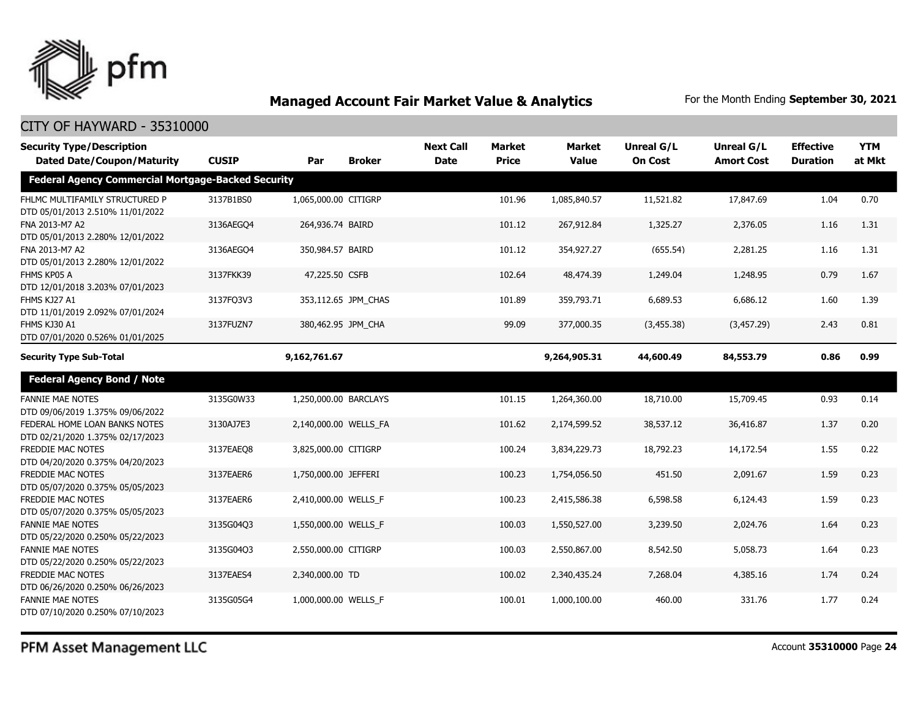

| <b>Security Type/Description</b><br><b>Dated Date/Coupon/Maturity</b> | <b>CUSIP</b> | Par                   | <b>Broker</b>       | <b>Next Call</b><br><b>Date</b> | <b>Market</b><br><b>Price</b> | <b>Market</b><br><b>Value</b> | <b>Unreal G/L</b><br><b>On Cost</b> | Unreal G/L<br><b>Amort Cost</b> | <b>Effective</b><br><b>Duration</b> | <b>YTM</b><br>at Mkt |
|-----------------------------------------------------------------------|--------------|-----------------------|---------------------|---------------------------------|-------------------------------|-------------------------------|-------------------------------------|---------------------------------|-------------------------------------|----------------------|
| <b>Federal Agency Commercial Mortgage-Backed Security</b>             |              |                       |                     |                                 |                               |                               |                                     |                                 |                                     |                      |
| FHLMC MULTIFAMILY STRUCTURED P<br>DTD 05/01/2013 2.510% 11/01/2022    | 3137B1BS0    | 1,065,000.00 CITIGRP  |                     |                                 | 101.96                        | 1,085,840.57                  | 11,521.82                           | 17,847.69                       | 1.04                                | 0.70                 |
| FNA 2013-M7 A2<br>DTD 05/01/2013 2.280% 12/01/2022                    | 3136AEGO4    | 264,936.74 BAIRD      |                     |                                 | 101.12                        | 267,912.84                    | 1,325.27                            | 2,376.05                        | 1.16                                | 1.31                 |
| FNA 2013-M7 A2<br>DTD 05/01/2013 2.280% 12/01/2022                    | 3136AEGO4    | 350,984.57 BAIRD      |                     |                                 | 101.12                        | 354,927.27                    | (655.54)                            | 2,281.25                        | 1.16                                | 1.31                 |
| FHMS KP05 A<br>DTD 12/01/2018 3.203% 07/01/2023                       | 3137FKK39    | 47,225.50 CSFB        |                     |                                 | 102.64                        | 48,474.39                     | 1,249.04                            | 1,248.95                        | 0.79                                | 1.67                 |
| FHMS KJ27 A1<br>DTD 11/01/2019 2.092% 07/01/2024                      | 3137FQ3V3    |                       | 353,112.65 JPM_CHAS |                                 | 101.89                        | 359,793.71                    | 6,689.53                            | 6,686.12                        | 1.60                                | 1.39                 |
| FHMS KJ30 A1<br>DTD 07/01/2020 0.526% 01/01/2025                      | 3137FUZN7    | 380,462.95 JPM_CHA    |                     |                                 | 99.09                         | 377,000.35                    | (3,455.38)                          | (3,457.29)                      | 2.43                                | 0.81                 |
| <b>Security Type Sub-Total</b>                                        |              | 9,162,761.67          |                     |                                 |                               | 9,264,905.31                  | 44,600.49                           | 84,553.79                       | 0.86                                | 0.99                 |
| <b>Federal Agency Bond / Note</b>                                     |              |                       |                     |                                 |                               |                               |                                     |                                 |                                     |                      |
| <b>FANNIE MAE NOTES</b><br>DTD 09/06/2019 1.375% 09/06/2022           | 3135G0W33    | 1,250,000.00 BARCLAYS |                     |                                 | 101.15                        | 1,264,360.00                  | 18,710.00                           | 15,709.45                       | 0.93                                | 0.14                 |
| FEDERAL HOME LOAN BANKS NOTES<br>DTD 02/21/2020 1.375% 02/17/2023     | 3130AJ7E3    | 2,140,000.00 WELLS_FA |                     |                                 | 101.62                        | 2,174,599.52                  | 38,537.12                           | 36,416.87                       | 1.37                                | 0.20                 |
| FREDDIE MAC NOTES<br>DTD 04/20/2020 0.375% 04/20/2023                 | 3137EAEO8    | 3,825,000.00 CITIGRP  |                     |                                 | 100.24                        | 3,834,229.73                  | 18,792.23                           | 14,172.54                       | 1.55                                | 0.22                 |
| <b>FREDDIE MAC NOTES</b><br>DTD 05/07/2020 0.375% 05/05/2023          | 3137EAER6    | 1,750,000.00 JEFFERI  |                     |                                 | 100.23                        | 1,754,056.50                  | 451.50                              | 2,091.67                        | 1.59                                | 0.23                 |
| <b>FREDDIE MAC NOTES</b><br>DTD 05/07/2020 0.375% 05/05/2023          | 3137EAER6    | 2,410,000.00 WELLS_F  |                     |                                 | 100.23                        | 2,415,586.38                  | 6,598.58                            | 6,124.43                        | 1.59                                | 0.23                 |
| <b>FANNIE MAE NOTES</b><br>DTD 05/22/2020 0.250% 05/22/2023           | 3135G04Q3    | 1,550,000.00 WELLS_F  |                     |                                 | 100.03                        | 1,550,527.00                  | 3,239.50                            | 2,024.76                        | 1.64                                | 0.23                 |
| <b>FANNIE MAE NOTES</b><br>DTD 05/22/2020 0.250% 05/22/2023           | 3135G04Q3    | 2,550,000.00 CITIGRP  |                     |                                 | 100.03                        | 2,550,867.00                  | 8,542.50                            | 5,058.73                        | 1.64                                | 0.23                 |
| FREDDIE MAC NOTES<br>DTD 06/26/2020 0.250% 06/26/2023                 | 3137EAES4    | 2,340,000.00 TD       |                     |                                 | 100.02                        | 2,340,435.24                  | 7,268.04                            | 4,385.16                        | 1.74                                | 0.24                 |
| <b>FANNIE MAE NOTES</b><br>DTD 07/10/2020 0.250% 07/10/2023           | 3135G05G4    | 1,000,000.00 WELLS F  |                     |                                 | 100.01                        | 1,000,100.00                  | 460.00                              | 331.76                          | 1.77                                | 0.24                 |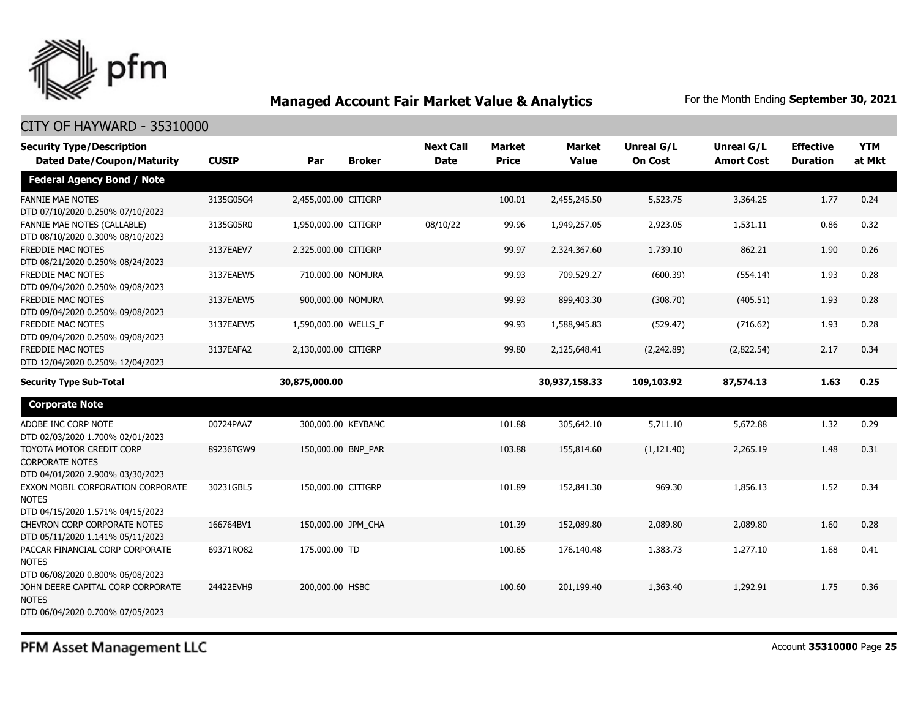

| <b>Security Type/Description</b><br><b>Dated Date/Coupon/Maturity</b>                  | <b>CUSIP</b> | Par                  | <b>Broker</b> | <b>Next Call</b><br><b>Date</b> | Market<br><b>Price</b> | Market<br><b>Value</b> | <b>Unreal G/L</b><br><b>On Cost</b> | Unreal G/L<br><b>Amort Cost</b> | <b>Effective</b><br><b>Duration</b> | <b>YTM</b><br>at Mkt |
|----------------------------------------------------------------------------------------|--------------|----------------------|---------------|---------------------------------|------------------------|------------------------|-------------------------------------|---------------------------------|-------------------------------------|----------------------|
| <b>Federal Agency Bond / Note</b>                                                      |              |                      |               |                                 |                        |                        |                                     |                                 |                                     |                      |
| <b>FANNIE MAE NOTES</b><br>DTD 07/10/2020 0.250% 07/10/2023                            | 3135G05G4    | 2,455,000.00 CITIGRP |               |                                 | 100.01                 | 2,455,245.50           | 5,523.75                            | 3,364.25                        | 1.77                                | 0.24                 |
| FANNIE MAE NOTES (CALLABLE)<br>DTD 08/10/2020 0.300% 08/10/2023                        | 3135G05R0    | 1,950,000.00 CITIGRP |               | 08/10/22                        | 99.96                  | 1,949,257.05           | 2,923.05                            | 1,531.11                        | 0.86                                | 0.32                 |
| FREDDIE MAC NOTES<br>DTD 08/21/2020 0.250% 08/24/2023                                  | 3137EAEV7    | 2,325,000.00 CITIGRP |               |                                 | 99.97                  | 2,324,367.60           | 1,739.10                            | 862.21                          | 1.90                                | 0.26                 |
| FREDDIE MAC NOTES<br>DTD 09/04/2020 0.250% 09/08/2023                                  | 3137EAEW5    | 710,000.00 NOMURA    |               |                                 | 99.93                  | 709,529.27             | (600.39)                            | (554.14)                        | 1.93                                | 0.28                 |
| <b>FREDDIE MAC NOTES</b><br>DTD 09/04/2020 0.250% 09/08/2023                           | 3137EAEW5    | 900,000.00 NOMURA    |               |                                 | 99.93                  | 899,403.30             | (308.70)                            | (405.51)                        | 1.93                                | 0.28                 |
| FREDDIE MAC NOTES<br>DTD 09/04/2020 0.250% 09/08/2023                                  | 3137EAEW5    | 1,590,000.00 WELLS_F |               |                                 | 99.93                  | 1,588,945.83           | (529.47)                            | (716.62)                        | 1.93                                | 0.28                 |
| <b>FREDDIE MAC NOTES</b><br>DTD 12/04/2020 0.250% 12/04/2023                           | 3137EAFA2    | 2,130,000.00 CITIGRP |               |                                 | 99.80                  | 2,125,648.41           | (2,242.89)                          | (2,822.54)                      | 2.17                                | 0.34                 |
| <b>Security Type Sub-Total</b>                                                         |              | 30,875,000.00        |               |                                 |                        | 30,937,158.33          | 109,103.92                          | 87,574.13                       | 1.63                                | 0.25                 |
| <b>Corporate Note</b>                                                                  |              |                      |               |                                 |                        |                        |                                     |                                 |                                     |                      |
| ADOBE INC CORP NOTE<br>DTD 02/03/2020 1.700% 02/01/2023                                | 00724PAA7    | 300,000.00 KEYBANC   |               |                                 | 101.88                 | 305,642.10             | 5,711.10                            | 5,672.88                        | 1.32                                | 0.29                 |
| TOYOTA MOTOR CREDIT CORP<br><b>CORPORATE NOTES</b><br>DTD 04/01/2020 2.900% 03/30/2023 | 89236TGW9    | 150,000.00 BNP_PAR   |               |                                 | 103.88                 | 155,814.60             | (1, 121.40)                         | 2,265.19                        | 1.48                                | 0.31                 |
| EXXON MOBIL CORPORATION CORPORATE<br><b>NOTES</b><br>DTD 04/15/2020 1.571% 04/15/2023  | 30231GBL5    | 150,000.00 CITIGRP   |               |                                 | 101.89                 | 152,841.30             | 969.30                              | 1,856.13                        | 1.52                                | 0.34                 |
| CHEVRON CORP CORPORATE NOTES<br>DTD 05/11/2020 1.141% 05/11/2023                       | 166764BV1    | 150,000.00 JPM_CHA   |               |                                 | 101.39                 | 152,089.80             | 2,089.80                            | 2,089.80                        | 1.60                                | 0.28                 |
| PACCAR FINANCIAL CORP CORPORATE<br><b>NOTES</b><br>DTD 06/08/2020 0.800% 06/08/2023    | 69371RQ82    | 175,000.00 TD        |               |                                 | 100.65                 | 176,140.48             | 1,383.73                            | 1,277.10                        | 1.68                                | 0.41                 |
| JOHN DEERE CAPITAL CORP CORPORATE<br><b>NOTES</b><br>DTD 06/04/2020 0.700% 07/05/2023  | 24422EVH9    | 200,000.00 HSBC      |               |                                 | 100.60                 | 201,199.40             | 1,363.40                            | 1,292.91                        | 1.75                                | 0.36                 |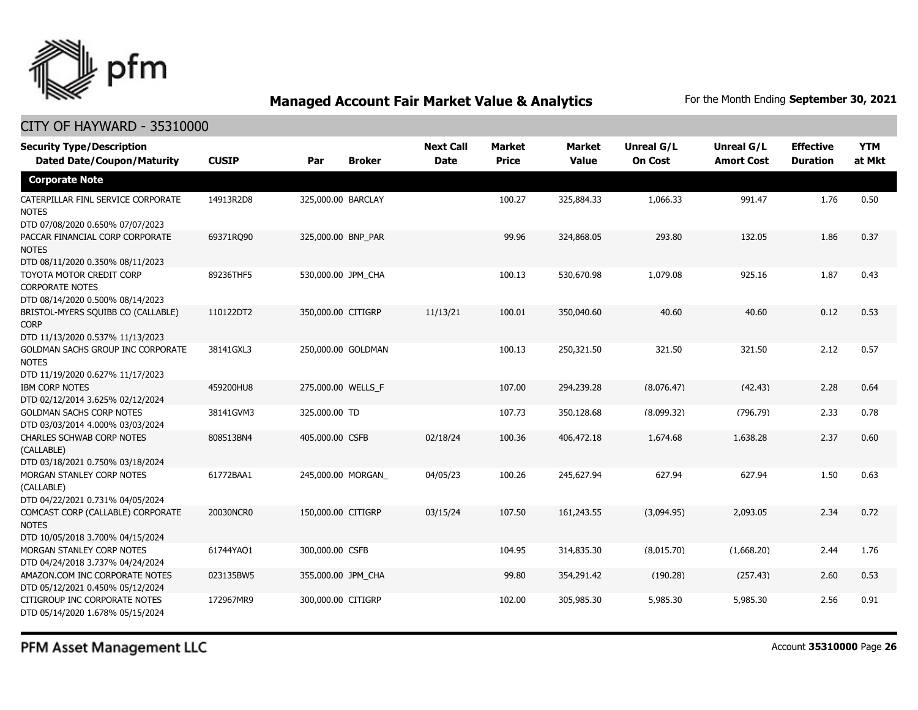

## CITY OF HAYWARD - 35310000

| <b>Security Type/Description</b><br><b>Dated Date/Coupon/Maturity</b>                  | <b>CUSIP</b> | Par                | <b>Broker</b> | <b>Next Call</b><br><b>Date</b> | <b>Market</b><br><b>Price</b> | <b>Market</b><br><b>Value</b> | <b>Unreal G/L</b><br><b>On Cost</b> | Unreal G/L<br><b>Amort Cost</b> | <b>Effective</b><br><b>Duration</b> | <b>YTM</b><br>at Mkt |
|----------------------------------------------------------------------------------------|--------------|--------------------|---------------|---------------------------------|-------------------------------|-------------------------------|-------------------------------------|---------------------------------|-------------------------------------|----------------------|
| <b>Corporate Note</b>                                                                  |              |                    |               |                                 |                               |                               |                                     |                                 |                                     |                      |
| CATERPILLAR FINL SERVICE CORPORATE<br><b>NOTES</b><br>DTD 07/08/2020 0.650% 07/07/2023 | 14913R2D8    | 325,000.00 BARCLAY |               |                                 | 100.27                        | 325,884.33                    | 1,066.33                            | 991.47                          | 1.76                                | 0.50                 |
| PACCAR FINANCIAL CORP CORPORATE<br><b>NOTES</b><br>DTD 08/11/2020 0.350% 08/11/2023    | 69371RQ90    | 325,000.00 BNP PAR |               |                                 | 99.96                         | 324,868.05                    | 293.80                              | 132.05                          | 1.86                                | 0.37                 |
| TOYOTA MOTOR CREDIT CORP<br><b>CORPORATE NOTES</b><br>DTD 08/14/2020 0.500% 08/14/2023 | 89236THF5    | 530,000.00 JPM_CHA |               |                                 | 100.13                        | 530,670.98                    | 1,079.08                            | 925.16                          | 1.87                                | 0.43                 |
| BRISTOL-MYERS SQUIBB CO (CALLABLE)<br><b>CORP</b><br>DTD 11/13/2020 0.537% 11/13/2023  | 110122DT2    | 350,000.00 CITIGRP |               | 11/13/21                        | 100.01                        | 350,040.60                    | 40.60                               | 40.60                           | 0.12                                | 0.53                 |
| GOLDMAN SACHS GROUP INC CORPORATE<br><b>NOTES</b><br>DTD 11/19/2020 0.627% 11/17/2023  | 38141GXL3    | 250,000.00 GOLDMAN |               |                                 | 100.13                        | 250,321.50                    | 321.50                              | 321.50                          | 2.12                                | 0.57                 |
| <b>IBM CORP NOTES</b><br>DTD 02/12/2014 3.625% 02/12/2024                              | 459200HU8    | 275,000.00 WELLS F |               |                                 | 107.00                        | 294,239.28                    | (8,076.47)                          | (42.43)                         | 2.28                                | 0.64                 |
| <b>GOLDMAN SACHS CORP NOTES</b><br>DTD 03/03/2014 4.000% 03/03/2024                    | 38141GVM3    | 325,000.00 TD      |               |                                 | 107.73                        | 350,128.68                    | (8,099.32)                          | (796.79)                        | 2.33                                | 0.78                 |
| CHARLES SCHWAB CORP NOTES<br>(CALLABLE)<br>DTD 03/18/2021 0.750% 03/18/2024            | 808513BN4    | 405,000.00 CSFB    |               | 02/18/24                        | 100.36                        | 406,472.18                    | 1,674.68                            | 1,638.28                        | 2.37                                | 0.60                 |
| MORGAN STANLEY CORP NOTES<br>(CALLABLE)<br>DTD 04/22/2021 0.731% 04/05/2024            | 61772BAA1    | 245,000.00 MORGAN  |               | 04/05/23                        | 100.26                        | 245,627.94                    | 627.94                              | 627.94                          | 1.50                                | 0.63                 |
| COMCAST CORP (CALLABLE) CORPORATE<br><b>NOTES</b><br>DTD 10/05/2018 3.700% 04/15/2024  | 20030NCR0    | 150,000.00 CITIGRP |               | 03/15/24                        | 107.50                        | 161,243.55                    | (3,094.95)                          | 2,093.05                        | 2.34                                | 0.72                 |
| MORGAN STANLEY CORP NOTES<br>DTD 04/24/2018 3.737% 04/24/2024                          | 61744YAQ1    | 300,000.00 CSFB    |               |                                 | 104.95                        | 314,835.30                    | (8,015.70)                          | (1,668.20)                      | 2.44                                | 1.76                 |
| AMAZON.COM INC CORPORATE NOTES<br>DTD 05/12/2021 0.450% 05/12/2024                     | 023135BW5    | 355,000.00 JPM_CHA |               |                                 | 99.80                         | 354,291.42                    | (190.28)                            | (257.43)                        | 2.60                                | 0.53                 |
| CITIGROUP INC CORPORATE NOTES<br>DTD 05/14/2020 1.678% 05/15/2024                      | 172967MR9    | 300,000.00 CITIGRP |               |                                 | 102.00                        | 305,985.30                    | 5,985.30                            | 5,985.30                        | 2.56                                | 0.91                 |

PFM Asset Management LLC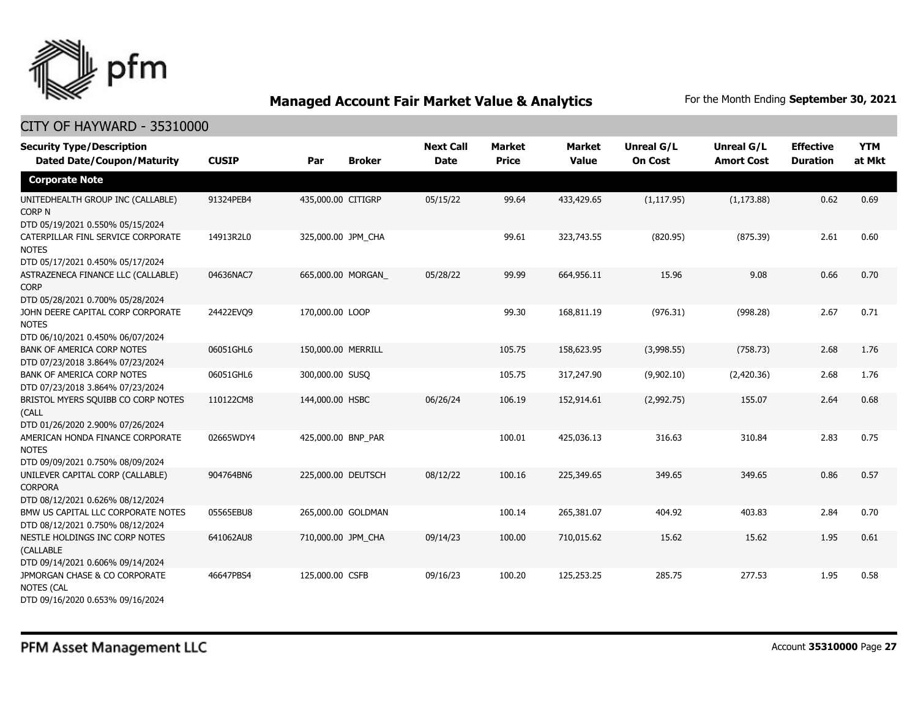

| <b>Security Type/Description</b><br><b>Dated Date/Coupon/Maturity</b>                  | <b>CUSIP</b> | Par                | <b>Broker</b> | <b>Next Call</b><br><b>Date</b> | <b>Market</b><br><b>Price</b> | <b>Market</b><br><b>Value</b> | <b>Unreal G/L</b><br><b>On Cost</b> | Unreal G/L<br><b>Amort Cost</b> | <b>Effective</b><br><b>Duration</b> | <b>YTM</b><br>at Mkt |
|----------------------------------------------------------------------------------------|--------------|--------------------|---------------|---------------------------------|-------------------------------|-------------------------------|-------------------------------------|---------------------------------|-------------------------------------|----------------------|
| <b>Corporate Note</b>                                                                  |              |                    |               |                                 |                               |                               |                                     |                                 |                                     |                      |
| UNITEDHEALTH GROUP INC (CALLABLE)<br>CORP N<br>DTD 05/19/2021 0.550% 05/15/2024        | 91324PEB4    | 435,000.00 CITIGRP |               | 05/15/22                        | 99.64                         | 433,429.65                    | (1, 117.95)                         | (1, 173.88)                     | 0.62                                | 0.69                 |
| CATERPILLAR FINL SERVICE CORPORATE<br><b>NOTES</b><br>DTD 05/17/2021 0.450% 05/17/2024 | 14913R2L0    | 325,000.00 JPM_CHA |               |                                 | 99.61                         | 323,743.55                    | (820.95)                            | (875.39)                        | 2.61                                | 0.60                 |
| ASTRAZENECA FINANCE LLC (CALLABLE)<br><b>CORP</b><br>DTD 05/28/2021 0.700% 05/28/2024  | 04636NAC7    | 665,000.00 MORGAN  |               | 05/28/22                        | 99.99                         | 664,956.11                    | 15.96                               | 9.08                            | 0.66                                | 0.70                 |
| JOHN DEERE CAPITAL CORP CORPORATE<br><b>NOTES</b><br>DTD 06/10/2021 0.450% 06/07/2024  | 24422EVO9    | 170,000.00 LOOP    |               |                                 | 99.30                         | 168,811.19                    | (976.31)                            | (998.28)                        | 2.67                                | 0.71                 |
| <b>BANK OF AMERICA CORP NOTES</b><br>DTD 07/23/2018 3.864% 07/23/2024                  | 06051GHL6    | 150,000.00 MERRILL |               |                                 | 105.75                        | 158,623.95                    | (3,998.55)                          | (758.73)                        | 2.68                                | 1.76                 |
| BANK OF AMERICA CORP NOTES<br>DTD 07/23/2018 3.864% 07/23/2024                         | 06051GHL6    | 300,000.00 SUSQ    |               |                                 | 105.75                        | 317,247.90                    | (9,902.10)                          | (2,420.36)                      | 2.68                                | 1.76                 |
| BRISTOL MYERS SQUIBB CO CORP NOTES<br>(CALL<br>DTD 01/26/2020 2.900% 07/26/2024        | 110122CM8    | 144,000.00 HSBC    |               | 06/26/24                        | 106.19                        | 152,914.61                    | (2,992.75)                          | 155.07                          | 2.64                                | 0.68                 |
| AMERICAN HONDA FINANCE CORPORATE<br><b>NOTES</b><br>DTD 09/09/2021 0.750% 08/09/2024   | 02665WDY4    | 425,000.00 BNP_PAR |               |                                 | 100.01                        | 425,036.13                    | 316.63                              | 310.84                          | 2.83                                | 0.75                 |
| UNILEVER CAPITAL CORP (CALLABLE)<br><b>CORPORA</b><br>DTD 08/12/2021 0.626% 08/12/2024 | 904764BN6    | 225,000.00 DEUTSCH |               | 08/12/22                        | 100.16                        | 225,349.65                    | 349.65                              | 349.65                          | 0.86                                | 0.57                 |
| BMW US CAPITAL LLC CORPORATE NOTES<br>DTD 08/12/2021 0.750% 08/12/2024                 | 05565EBU8    | 265,000.00 GOLDMAN |               |                                 | 100.14                        | 265,381.07                    | 404.92                              | 403.83                          | 2.84                                | 0.70                 |
| NESTLE HOLDINGS INC CORP NOTES<br>(CALLABLE<br>DTD 09/14/2021 0.606% 09/14/2024        | 641062AU8    | 710,000.00 JPM CHA |               | 09/14/23                        | 100.00                        | 710,015.62                    | 15.62                               | 15.62                           | 1.95                                | 0.61                 |
| JPMORGAN CHASE & CO CORPORATE<br><b>NOTES (CAL</b><br>DTD 09/16/2020 0.653% 09/16/2024 | 46647PBS4    | 125,000.00 CSFB    |               | 09/16/23                        | 100.20                        | 125,253.25                    | 285.75                              | 277.53                          | 1.95                                | 0.58                 |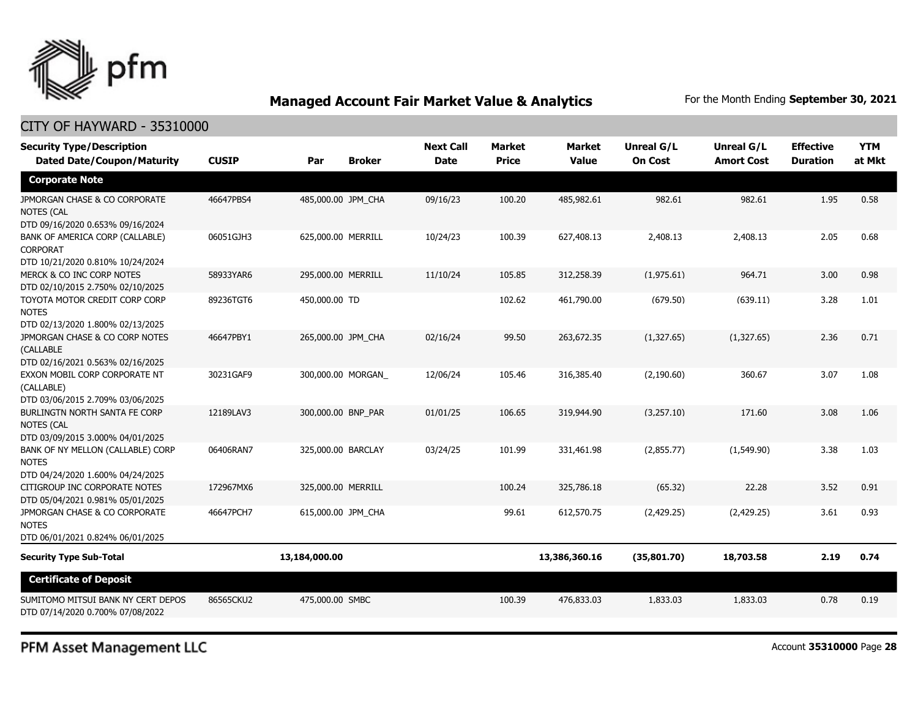

| <b>Security Type/Description</b><br><b>Dated Date/Coupon/Maturity</b>                  | <b>CUSIP</b> | Par                | <b>Broker</b>      | <b>Next Call</b><br><b>Date</b> | <b>Market</b><br><b>Price</b> | <b>Market</b><br><b>Value</b> | <b>Unreal G/L</b><br><b>On Cost</b> | Unreal G/L<br><b>Amort Cost</b> | <b>Effective</b><br><b>Duration</b> | <b>YTM</b><br>at Mkt |
|----------------------------------------------------------------------------------------|--------------|--------------------|--------------------|---------------------------------|-------------------------------|-------------------------------|-------------------------------------|---------------------------------|-------------------------------------|----------------------|
| <b>Corporate Note</b>                                                                  |              |                    |                    |                                 |                               |                               |                                     |                                 |                                     |                      |
| JPMORGAN CHASE & CO CORPORATE<br><b>NOTES (CAL</b><br>DTD 09/16/2020 0.653% 09/16/2024 | 46647PBS4    | 485,000.00 JPM_CHA |                    | 09/16/23                        | 100.20                        | 485,982.61                    | 982.61                              | 982.61                          | 1.95                                | 0.58                 |
| BANK OF AMERICA CORP (CALLABLE)<br><b>CORPORAT</b><br>DTD 10/21/2020 0.810% 10/24/2024 | 06051GJH3    | 625,000.00 MERRILL |                    | 10/24/23                        | 100.39                        | 627,408.13                    | 2,408.13                            | 2,408.13                        | 2.05                                | 0.68                 |
| MERCK & CO INC CORP NOTES<br>DTD 02/10/2015 2.750% 02/10/2025                          | 58933YAR6    | 295,000.00 MERRILL |                    | 11/10/24                        | 105.85                        | 312,258.39                    | (1,975.61)                          | 964.71                          | 3.00                                | 0.98                 |
| TOYOTA MOTOR CREDIT CORP CORP<br><b>NOTES</b><br>DTD 02/13/2020 1.800% 02/13/2025      | 89236TGT6    | 450,000.00 TD      |                    |                                 | 102.62                        | 461,790.00                    | (679.50)                            | (639.11)                        | 3.28                                | 1.01                 |
| JPMORGAN CHASE & CO CORP NOTES<br>(CALLABLE<br>DTD 02/16/2021 0.563% 02/16/2025        | 46647PBY1    | 265,000.00 JPM CHA |                    | 02/16/24                        | 99.50                         | 263,672.35                    | (1,327.65)                          | (1,327.65)                      | 2.36                                | 0.71                 |
| EXXON MOBIL CORP CORPORATE NT<br>(CALLABLE)<br>DTD 03/06/2015 2.709% 03/06/2025        | 30231GAF9    |                    | 300,000.00 MORGAN_ | 12/06/24                        | 105.46                        | 316,385.40                    | (2, 190.60)                         | 360.67                          | 3.07                                | 1.08                 |
| BURLINGTN NORTH SANTA FE CORP<br><b>NOTES (CAL</b><br>DTD 03/09/2015 3.000% 04/01/2025 | 12189LAV3    | 300,000.00 BNP_PAR |                    | 01/01/25                        | 106.65                        | 319,944.90                    | (3,257.10)                          | 171.60                          | 3.08                                | 1.06                 |
| BANK OF NY MELLON (CALLABLE) CORP<br><b>NOTES</b><br>DTD 04/24/2020 1.600% 04/24/2025  | 06406RAN7    | 325,000.00 BARCLAY |                    | 03/24/25                        | 101.99                        | 331,461.98                    | (2,855.77)                          | (1,549.90)                      | 3.38                                | 1.03                 |
| CITIGROUP INC CORPORATE NOTES<br>DTD 05/04/2021 0.981% 05/01/2025                      | 172967MX6    | 325,000.00 MERRILL |                    |                                 | 100.24                        | 325,786.18                    | (65.32)                             | 22.28                           | 3.52                                | 0.91                 |
| JPMORGAN CHASE & CO CORPORATE<br><b>NOTES</b>                                          | 46647PCH7    | 615,000.00 JPM_CHA |                    |                                 | 99.61                         | 612,570.75                    | (2,429.25)                          | (2,429.25)                      | 3.61                                | 0.93                 |
| DTD 06/01/2021 0.824% 06/01/2025                                                       |              |                    |                    |                                 |                               |                               |                                     |                                 |                                     |                      |
| <b>Security Type Sub-Total</b>                                                         |              | 13,184,000.00      |                    |                                 |                               | 13,386,360.16                 | (35,801.70)                         | 18,703.58                       | 2.19                                | 0.74                 |
| <b>Certificate of Deposit</b>                                                          |              |                    |                    |                                 |                               |                               |                                     |                                 |                                     |                      |
| SUMITOMO MITSUI BANK NY CERT DEPOS<br>DTD 07/14/2020 0.700% 07/08/2022                 | 86565CKU2    | 475,000.00 SMBC    |                    |                                 | 100.39                        | 476,833.03                    | 1,833.03                            | 1,833.03                        | 0.78                                | 0.19                 |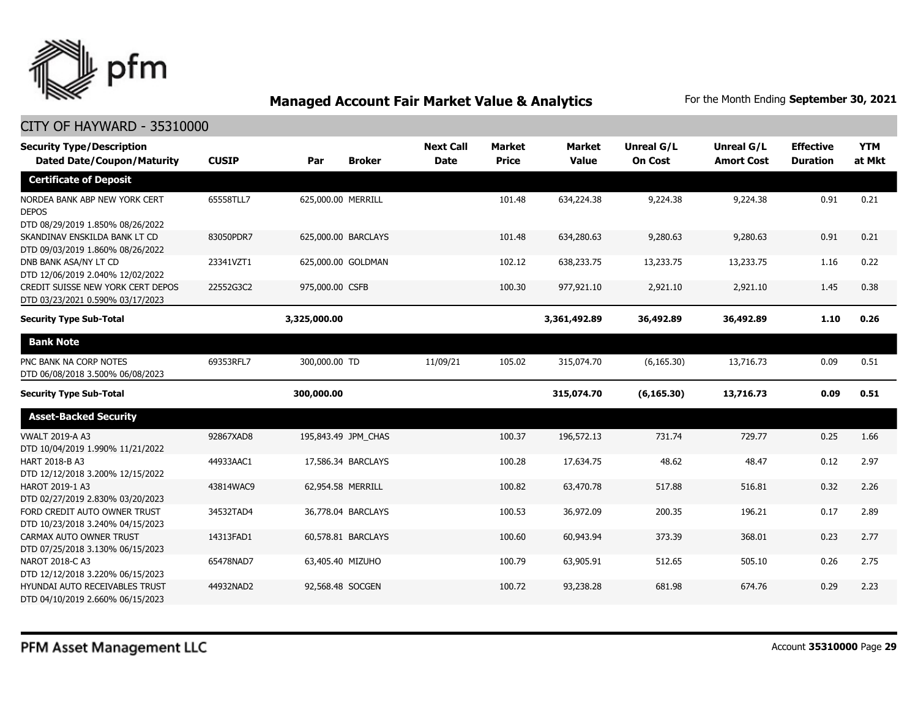

| <b>Security Type/Description</b><br><b>Dated Date/Coupon/Maturity</b>             | <b>CUSIP</b> | Par<br><b>Broker</b> | <b>Next Call</b><br><b>Date</b> | <b>Market</b><br><b>Price</b> | Market<br><b>Value</b> | <b>Unreal G/L</b><br><b>On Cost</b> | Unreal G/L<br><b>Amort Cost</b> | <b>Effective</b><br><b>Duration</b> | <b>YTM</b><br>at Mkt |
|-----------------------------------------------------------------------------------|--------------|----------------------|---------------------------------|-------------------------------|------------------------|-------------------------------------|---------------------------------|-------------------------------------|----------------------|
| <b>Certificate of Deposit</b>                                                     |              |                      |                                 |                               |                        |                                     |                                 |                                     |                      |
| NORDEA BANK ABP NEW YORK CERT<br><b>DEPOS</b><br>DTD 08/29/2019 1.850% 08/26/2022 | 65558TLL7    | 625,000.00 MERRILL   |                                 | 101.48                        | 634,224.38             | 9,224.38                            | 9,224.38                        | 0.91                                | 0.21                 |
| SKANDINAV ENSKILDA BANK LT CD<br>DTD 09/03/2019 1.860% 08/26/2022                 | 83050PDR7    | 625,000.00 BARCLAYS  |                                 | 101.48                        | 634,280.63             | 9,280.63                            | 9,280.63                        | 0.91                                | 0.21                 |
| DNB BANK ASA/NY LT CD<br>DTD 12/06/2019 2.040% 12/02/2022                         | 23341VZT1    | 625,000.00 GOLDMAN   |                                 | 102.12                        | 638,233.75             | 13,233.75                           | 13,233.75                       | 1.16                                | 0.22                 |
| CREDIT SUISSE NEW YORK CERT DEPOS<br>DTD 03/23/2021 0.590% 03/17/2023             | 22552G3C2    | 975,000.00 CSFB      |                                 | 100.30                        | 977,921.10             | 2,921.10                            | 2,921.10                        | 1.45                                | 0.38                 |
| <b>Security Type Sub-Total</b>                                                    |              | 3,325,000.00         |                                 |                               | 3,361,492.89           | 36,492.89                           | 36,492.89                       | 1.10                                | 0.26                 |
| <b>Bank Note</b>                                                                  |              |                      |                                 |                               |                        |                                     |                                 |                                     |                      |
| PNC BANK NA CORP NOTES<br>DTD 06/08/2018 3.500% 06/08/2023                        | 69353RFL7    | 300,000.00 TD        | 11/09/21                        | 105.02                        | 315,074.70             | (6, 165.30)                         | 13,716.73                       | 0.09                                | 0.51                 |
| <b>Security Type Sub-Total</b>                                                    |              | 300,000.00           |                                 |                               | 315,074.70             | (6, 165.30)                         | 13,716.73                       | 0.09                                | 0.51                 |
| <b>Asset-Backed Security</b>                                                      |              |                      |                                 |                               |                        |                                     |                                 |                                     |                      |
| <b>VWALT 2019-A A3</b><br>DTD 10/04/2019 1.990% 11/21/2022                        | 92867XAD8    | 195,843.49 JPM CHAS  |                                 | 100.37                        | 196,572.13             | 731.74                              | 729.77                          | 0.25                                | 1.66                 |
| HART 2018-B A3<br>DTD 12/12/2018 3.200% 12/15/2022                                | 44933AAC1    | 17,586.34 BARCLAYS   |                                 | 100.28                        | 17,634.75              | 48.62                               | 48.47                           | 0.12                                | 2.97                 |
| HAROT 2019-1 A3<br>DTD 02/27/2019 2.830% 03/20/2023                               | 43814WAC9    | 62.954.58 MERRILL    |                                 | 100.82                        | 63,470.78              | 517.88                              | 516.81                          | 0.32                                | 2.26                 |
| FORD CREDIT AUTO OWNER TRUST<br>DTD 10/23/2018 3.240% 04/15/2023                  | 34532TAD4    | 36,778.04 BARCLAYS   |                                 | 100.53                        | 36,972.09              | 200.35                              | 196.21                          | 0.17                                | 2.89                 |
| CARMAX AUTO OWNER TRUST<br>DTD 07/25/2018 3.130% 06/15/2023                       | 14313FAD1    | 60,578.81 BARCLAYS   |                                 | 100.60                        | 60,943.94              | 373.39                              | 368.01                          | 0.23                                | 2.77                 |
| NAROT 2018-C A3<br>DTD 12/12/2018 3.220% 06/15/2023                               | 65478NAD7    | 63,405.40 MIZUHO     |                                 | 100.79                        | 63,905.91              | 512.65                              | 505.10                          | 0.26                                | 2.75                 |
| HYUNDAI AUTO RECEIVABLES TRUST<br>DTD 04/10/2019 2.660% 06/15/2023                | 44932NAD2    | 92,568.48 SOCGEN     |                                 | 100.72                        | 93,238.28              | 681.98                              | 674.76                          | 0.29                                | 2.23                 |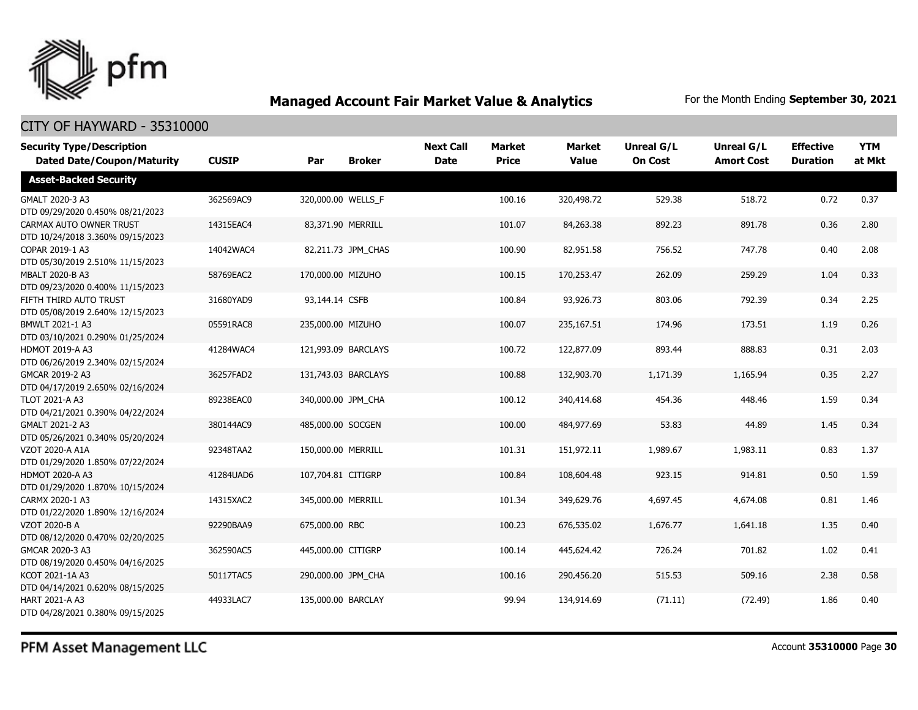

| <b>Security Type/Description</b><br><b>Dated Date/Coupon/Maturity</b> | <b>CUSIP</b> | Par                | <b>Broker</b>       | <b>Next Call</b><br><b>Date</b> | <b>Market</b><br><b>Price</b> | <b>Market</b><br><b>Value</b> | <b>Unreal G/L</b><br><b>On Cost</b> | Unreal G/L<br><b>Amort Cost</b> | <b>Effective</b><br><b>Duration</b> | <b>YTM</b><br>at Mkt |
|-----------------------------------------------------------------------|--------------|--------------------|---------------------|---------------------------------|-------------------------------|-------------------------------|-------------------------------------|---------------------------------|-------------------------------------|----------------------|
| <b>Asset-Backed Security</b>                                          |              |                    |                     |                                 |                               |                               |                                     |                                 |                                     |                      |
| GMALT 2020-3 A3<br>DTD 09/29/2020 0.450% 08/21/2023                   | 362569AC9    | 320,000.00 WELLS F |                     |                                 | 100.16                        | 320,498.72                    | 529.38                              | 518.72                          | 0.72                                | 0.37                 |
| CARMAX AUTO OWNER TRUST<br>DTD 10/24/2018 3.360% 09/15/2023           | 14315EAC4    |                    | 83,371.90 MERRILL   |                                 | 101.07                        | 84,263.38                     | 892.23                              | 891.78                          | 0.36                                | 2.80                 |
| COPAR 2019-1 A3<br>DTD 05/30/2019 2.510% 11/15/2023                   | 14042WAC4    |                    | 82,211.73 JPM_CHAS  |                                 | 100.90                        | 82,951.58                     | 756.52                              | 747.78                          | 0.40                                | 2.08                 |
| MBALT 2020-B A3<br>DTD 09/23/2020 0.400% 11/15/2023                   | 58769EAC2    | 170,000.00 MIZUHO  |                     |                                 | 100.15                        | 170,253.47                    | 262.09                              | 259.29                          | 1.04                                | 0.33                 |
| FIFTH THIRD AUTO TRUST<br>DTD 05/08/2019 2.640% 12/15/2023            | 31680YAD9    | 93,144.14 CSFB     |                     |                                 | 100.84                        | 93,926.73                     | 803.06                              | 792.39                          | 0.34                                | 2.25                 |
| BMWLT 2021-1 A3<br>DTD 03/10/2021 0.290% 01/25/2024                   | 05591RAC8    | 235,000.00 MIZUHO  |                     |                                 | 100.07                        | 235,167.51                    | 174.96                              | 173.51                          | 1.19                                | 0.26                 |
| <b>HDMOT 2019-A A3</b><br>DTD 06/26/2019 2.340% 02/15/2024            | 41284WAC4    |                    | 121,993.09 BARCLAYS |                                 | 100.72                        | 122,877.09                    | 893.44                              | 888.83                          | 0.31                                | 2.03                 |
| GMCAR 2019-2 A3<br>DTD 04/17/2019 2.650% 02/16/2024                   | 36257FAD2    |                    | 131,743.03 BARCLAYS |                                 | 100.88                        | 132,903.70                    | 1,171.39                            | 1,165.94                        | 0.35                                | 2.27                 |
| TLOT 2021-A A3<br>DTD 04/21/2021 0.390% 04/22/2024                    | 89238EAC0    |                    | 340,000.00 JPM CHA  |                                 | 100.12                        | 340,414.68                    | 454.36                              | 448.46                          | 1.59                                | 0.34                 |
| GMALT 2021-2 A3<br>DTD 05/26/2021 0.340% 05/20/2024                   | 380144AC9    | 485,000.00 SOCGEN  |                     |                                 | 100.00                        | 484,977.69                    | 53.83                               | 44.89                           | 1.45                                | 0.34                 |
| VZOT 2020-A A1A<br>DTD 01/29/2020 1.850% 07/22/2024                   | 92348TAA2    | 150,000.00 MERRILL |                     |                                 | 101.31                        | 151,972.11                    | 1,989.67                            | 1,983.11                        | 0.83                                | 1.37                 |
| <b>HDMOT 2020-A A3</b><br>DTD 01/29/2020 1.870% 10/15/2024            | 41284UAD6    | 107,704.81 CITIGRP |                     |                                 | 100.84                        | 108,604.48                    | 923.15                              | 914.81                          | 0.50                                | 1.59                 |
| CARMX 2020-1 A3<br>DTD 01/22/2020 1.890% 12/16/2024                   | 14315XAC2    | 345,000.00 MERRILL |                     |                                 | 101.34                        | 349,629.76                    | 4,697.45                            | 4,674.08                        | 0.81                                | 1.46                 |
| VZOT 2020-B A<br>DTD 08/12/2020 0.470% 02/20/2025                     | 92290BAA9    | 675,000.00 RBC     |                     |                                 | 100.23                        | 676,535.02                    | 1,676.77                            | 1,641.18                        | 1.35                                | 0.40                 |
| GMCAR 2020-3 A3<br>DTD 08/19/2020 0.450% 04/16/2025                   | 362590AC5    | 445,000.00 CITIGRP |                     |                                 | 100.14                        | 445,624.42                    | 726.24                              | 701.82                          | 1.02                                | 0.41                 |
| KCOT 2021-1A A3<br>DTD 04/14/2021 0.620% 08/15/2025                   | 50117TAC5    | 290,000.00 JPM CHA |                     |                                 | 100.16                        | 290,456.20                    | 515.53                              | 509.16                          | 2.38                                | 0.58                 |
| <b>HART 2021-A A3</b><br>DTD 04/28/2021 0.380% 09/15/2025             | 44933LAC7    | 135,000.00 BARCLAY |                     |                                 | 99.94                         | 134,914.69                    | (71.11)                             | (72.49)                         | 1.86                                | 0.40                 |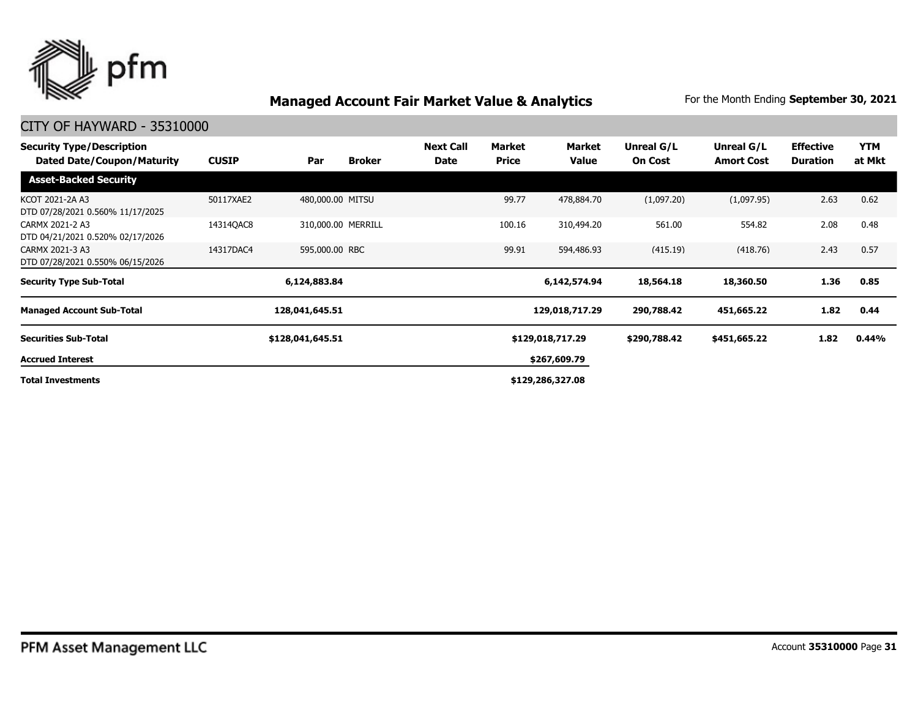

| <b>Security Type/Description</b><br><b>Dated Date/Coupon/Maturity</b> | <b>CUSIP</b> | Par              | <b>Broker</b>      | <b>Next Call</b><br>Date | Market<br><b>Price</b> | Market<br>Value  | Unreal G/L<br><b>On Cost</b> | Unreal G/L<br><b>Amort Cost</b> | <b>Effective</b><br><b>Duration</b> | <b>YTM</b><br>at Mkt |
|-----------------------------------------------------------------------|--------------|------------------|--------------------|--------------------------|------------------------|------------------|------------------------------|---------------------------------|-------------------------------------|----------------------|
| <b>Asset-Backed Security</b>                                          |              |                  |                    |                          |                        |                  |                              |                                 |                                     |                      |
| KCOT 2021-2A A3<br>DTD 07/28/2021 0.560% 11/17/2025                   | 50117XAE2    | 480,000.00 MITSU |                    |                          | 99.77                  | 478,884,70       | (1,097.20)                   | (1,097.95)                      | 2.63                                | 0.62                 |
| CARMX 2021-2 A3<br>DTD 04/21/2021 0.520% 02/17/2026                   | 14314QAC8    |                  | 310,000.00 MERRILL |                          | 100.16                 | 310,494.20       | 561.00                       | 554.82                          | 2.08                                | 0.48                 |
| CARMX 2021-3 A3<br>DTD 07/28/2021 0.550% 06/15/2026                   | 14317DAC4    | 595,000.00 RBC   |                    |                          | 99.91                  | 594,486.93       | (415.19)                     | (418.76)                        | 2.43                                | 0.57                 |
| <b>Security Type Sub-Total</b>                                        |              | 6,124,883.84     |                    |                          |                        | 6,142,574.94     | 18,564.18                    | 18,360.50                       | 1.36                                | 0.85                 |
| <b>Managed Account Sub-Total</b>                                      |              | 128,041,645.51   |                    |                          |                        | 129,018,717.29   | 290,788.42                   | 451,665.22                      | 1.82                                | 0.44                 |
| <b>Securities Sub-Total</b>                                           |              | \$128,041,645.51 |                    |                          |                        | \$129,018,717.29 | \$290,788.42                 | \$451,665.22                    | 1.82                                | 0.44%                |
| <b>Accrued Interest</b>                                               |              |                  |                    |                          |                        | \$267,609.79     |                              |                                 |                                     |                      |
| <b>Total Investments</b>                                              |              |                  |                    |                          |                        | \$129,286,327.08 |                              |                                 |                                     |                      |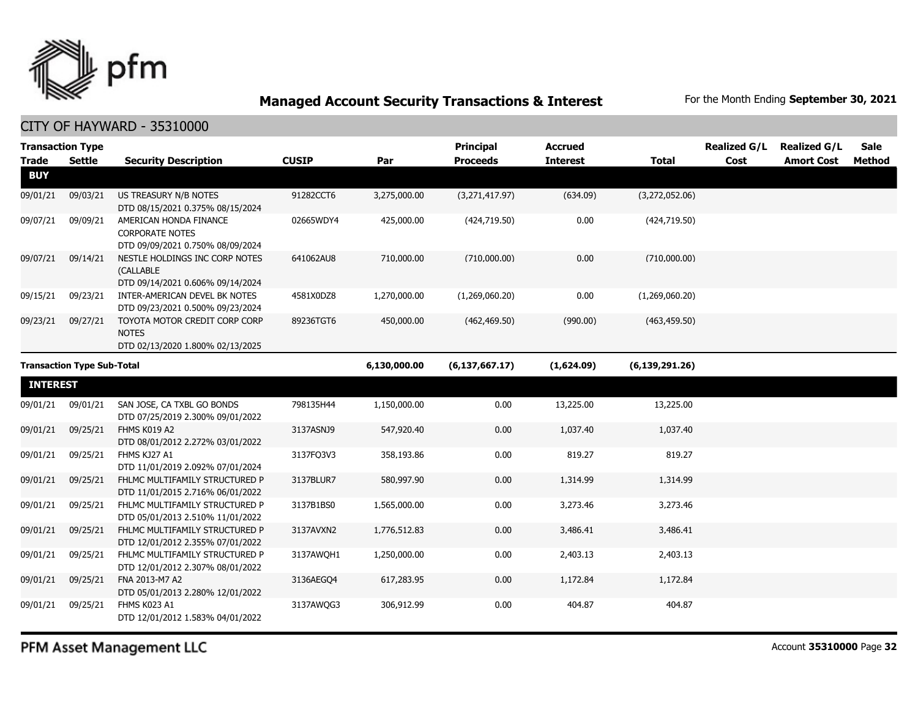

|                 | <b>Transaction Type</b>           |                                                                    |              |              | <b>Principal</b> | <b>Accrued</b>  |                  | <b>Realized G/L</b> | <b>Realized G/L</b> | <b>Sale</b> |
|-----------------|-----------------------------------|--------------------------------------------------------------------|--------------|--------------|------------------|-----------------|------------------|---------------------|---------------------|-------------|
| <b>Trade</b>    | <b>Settle</b>                     | <b>Security Description</b>                                        | <b>CUSIP</b> | Par          | <b>Proceeds</b>  | <b>Interest</b> | <b>Total</b>     | Cost                | <b>Amort Cost</b>   | Method      |
| <b>BUY</b>      |                                   |                                                                    |              |              |                  |                 |                  |                     |                     |             |
| 09/01/21        | 09/03/21                          | US TREASURY N/B NOTES                                              | 91282CCT6    | 3,275,000.00 | (3,271,417.97)   | (634.09)        | (3,272,052.06)   |                     |                     |             |
|                 | 09/09/21                          | DTD 08/15/2021 0.375% 08/15/2024                                   |              |              |                  | 0.00            |                  |                     |                     |             |
| 09/07/21        |                                   | AMERICAN HONDA FINANCE<br><b>CORPORATE NOTES</b>                   | 02665WDY4    | 425,000.00   | (424, 719.50)    |                 | (424, 719.50)    |                     |                     |             |
|                 |                                   | DTD 09/09/2021 0.750% 08/09/2024                                   |              |              |                  |                 |                  |                     |                     |             |
| 09/07/21        | 09/14/21                          | NESTLE HOLDINGS INC CORP NOTES<br>(CALLABLE                        | 641062AU8    | 710,000.00   | (710,000.00)     | 0.00            | (710,000.00)     |                     |                     |             |
|                 |                                   | DTD 09/14/2021 0.606% 09/14/2024                                   |              |              |                  |                 |                  |                     |                     |             |
| 09/15/21        | 09/23/21                          | INTER-AMERICAN DEVEL BK NOTES<br>DTD 09/23/2021 0.500% 09/23/2024  | 4581X0DZ8    | 1,270,000.00 | (1,269,060.20)   | 0.00            | (1,269,060.20)   |                     |                     |             |
| 09/23/21        | 09/27/21                          | TOYOTA MOTOR CREDIT CORP CORP                                      | 89236TGT6    | 450,000.00   | (462, 469.50)    | (990.00)        | (463, 459.50)    |                     |                     |             |
|                 |                                   | <b>NOTES</b>                                                       |              |              |                  |                 |                  |                     |                     |             |
|                 |                                   | DTD 02/13/2020 1.800% 02/13/2025                                   |              |              |                  |                 |                  |                     |                     |             |
|                 | <b>Transaction Type Sub-Total</b> |                                                                    |              | 6,130,000.00 | (6, 137, 667.17) | (1,624.09)      | (6, 139, 291.26) |                     |                     |             |
| <b>INTEREST</b> |                                   |                                                                    |              |              |                  |                 |                  |                     |                     |             |
| 09/01/21        | 09/01/21                          | SAN JOSE, CA TXBL GO BONDS<br>DTD 07/25/2019 2.300% 09/01/2022     | 798135H44    | 1,150,000.00 | 0.00             | 13,225.00       | 13,225.00        |                     |                     |             |
| 09/01/21        | 09/25/21                          | FHMS K019 A2                                                       | 3137ASNJ9    | 547,920.40   | 0.00             | 1,037.40        | 1,037.40         |                     |                     |             |
|                 |                                   | DTD 08/01/2012 2.272% 03/01/2022                                   |              |              |                  |                 |                  |                     |                     |             |
| 09/01/21        | 09/25/21                          | FHMS KJ27 A1<br>DTD 11/01/2019 2.092% 07/01/2024                   | 3137FO3V3    | 358,193.86   | 0.00             | 819.27          | 819.27           |                     |                     |             |
| 09/01/21        | 09/25/21                          | FHLMC MULTIFAMILY STRUCTURED P<br>DTD 11/01/2015 2.716% 06/01/2022 | 3137BLUR7    | 580,997.90   | 0.00             | 1,314.99        | 1,314.99         |                     |                     |             |
| 09/01/21        | 09/25/21                          | FHLMC MULTIFAMILY STRUCTURED P<br>DTD 05/01/2013 2.510% 11/01/2022 | 3137B1BS0    | 1,565,000.00 | 0.00             | 3,273.46        | 3,273.46         |                     |                     |             |
| 09/01/21        | 09/25/21                          | FHLMC MULTIFAMILY STRUCTURED P                                     | 3137AVXN2    | 1,776,512.83 | 0.00             | 3,486.41        | 3,486.41         |                     |                     |             |
|                 |                                   | DTD 12/01/2012 2.355% 07/01/2022                                   |              |              |                  |                 |                  |                     |                     |             |
| 09/01/21        | 09/25/21                          | FHLMC MULTIFAMILY STRUCTURED P<br>DTD 12/01/2012 2.307% 08/01/2022 | 3137AWOH1    | 1,250,000.00 | 0.00             | 2,403.13        | 2,403.13         |                     |                     |             |
| 09/01/21        | 09/25/21                          | FNA 2013-M7 A2<br>DTD 05/01/2013 2.280% 12/01/2022                 | 3136AEGO4    | 617,283.95   | 0.00             | 1,172.84        | 1,172.84         |                     |                     |             |
| 09/01/21        | 09/25/21                          | FHMS K023 A1<br>DTD 12/01/2012 1.583% 04/01/2022                   | 3137AWQG3    | 306,912.99   | 0.00             | 404.87          | 404.87           |                     |                     |             |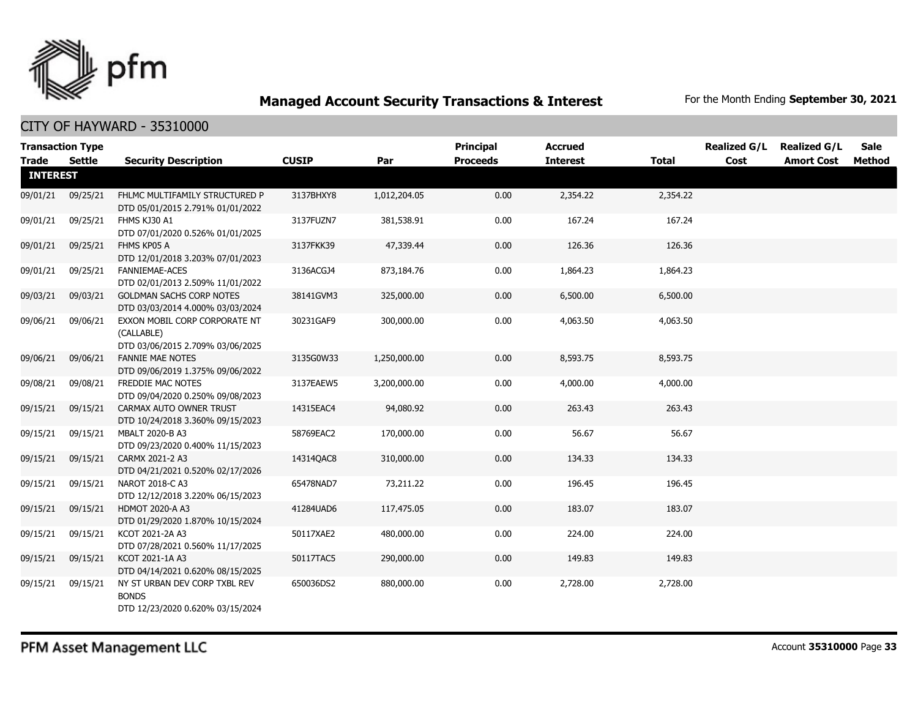

| <b>Trade</b>    | <b>Transaction Type</b><br>Settle | <b>Security Description</b>                                                       | <b>CUSIP</b> | Par          | Principal<br><b>Proceeds</b> | <b>Accrued</b><br><b>Interest</b> | <b>Total</b> | <b>Realized G/L</b><br>Cost | <b>Realized G/L</b><br><b>Amort Cost</b> | <b>Sale</b><br><b>Method</b> |
|-----------------|-----------------------------------|-----------------------------------------------------------------------------------|--------------|--------------|------------------------------|-----------------------------------|--------------|-----------------------------|------------------------------------------|------------------------------|
| <b>INTEREST</b> |                                   |                                                                                   |              |              |                              |                                   |              |                             |                                          |                              |
| 09/01/21        | 09/25/21                          | FHLMC MULTIFAMILY STRUCTURED P<br>DTD 05/01/2015 2.791% 01/01/2022                | 3137BHXY8    | 1,012,204.05 | 0.00                         | 2,354.22                          | 2,354.22     |                             |                                          |                              |
| 09/01/21        | 09/25/21                          | FHMS KJ30 A1<br>DTD 07/01/2020 0.526% 01/01/2025                                  | 3137FUZN7    | 381,538.91   | 0.00                         | 167.24                            | 167.24       |                             |                                          |                              |
| 09/01/21        | 09/25/21                          | FHMS KP05 A<br>DTD 12/01/2018 3.203% 07/01/2023                                   | 3137FKK39    | 47,339.44    | 0.00                         | 126.36                            | 126.36       |                             |                                          |                              |
| 09/01/21        | 09/25/21                          | <b>FANNIEMAE-ACES</b><br>DTD 02/01/2013 2.509% 11/01/2022                         | 3136ACGJ4    | 873,184.76   | 0.00                         | 1,864.23                          | 1,864.23     |                             |                                          |                              |
| 09/03/21        | 09/03/21                          | <b>GOLDMAN SACHS CORP NOTES</b><br>DTD 03/03/2014 4.000% 03/03/2024               | 38141GVM3    | 325,000.00   | 0.00                         | 6,500.00                          | 6,500.00     |                             |                                          |                              |
| 09/06/21        | 09/06/21                          | EXXON MOBIL CORP CORPORATE NT<br>(CALLABLE)<br>DTD 03/06/2015 2.709% 03/06/2025   | 30231GAF9    | 300,000.00   | 0.00                         | 4,063.50                          | 4,063.50     |                             |                                          |                              |
| 09/06/21        | 09/06/21                          | <b>FANNIE MAE NOTES</b><br>DTD 09/06/2019 1.375% 09/06/2022                       | 3135G0W33    | 1,250,000.00 | 0.00                         | 8,593.75                          | 8,593.75     |                             |                                          |                              |
| 09/08/21        | 09/08/21                          | FREDDIE MAC NOTES<br>DTD 09/04/2020 0.250% 09/08/2023                             | 3137EAEW5    | 3,200,000.00 | 0.00                         | 4,000.00                          | 4,000.00     |                             |                                          |                              |
| 09/15/21        | 09/15/21                          | CARMAX AUTO OWNER TRUST<br>DTD 10/24/2018 3.360% 09/15/2023                       | 14315EAC4    | 94,080.92    | 0.00                         | 263.43                            | 263.43       |                             |                                          |                              |
| 09/15/21        | 09/15/21                          | MBALT 2020-B A3<br>DTD 09/23/2020 0.400% 11/15/2023                               | 58769EAC2    | 170,000.00   | 0.00                         | 56.67                             | 56.67        |                             |                                          |                              |
| 09/15/21        | 09/15/21                          | CARMX 2021-2 A3<br>DTD 04/21/2021 0.520% 02/17/2026                               | 14314QAC8    | 310,000.00   | 0.00                         | 134.33                            | 134.33       |                             |                                          |                              |
| 09/15/21        | 09/15/21                          | NAROT 2018-C A3<br>DTD 12/12/2018 3.220% 06/15/2023                               | 65478NAD7    | 73,211.22    | 0.00                         | 196.45                            | 196.45       |                             |                                          |                              |
| 09/15/21        | 09/15/21                          | <b>HDMOT 2020-A A3</b><br>DTD 01/29/2020 1.870% 10/15/2024                        | 41284UAD6    | 117,475.05   | 0.00                         | 183.07                            | 183.07       |                             |                                          |                              |
| 09/15/21        | 09/15/21                          | KCOT 2021-2A A3<br>DTD 07/28/2021 0.560% 11/17/2025                               | 50117XAE2    | 480,000.00   | 0.00                         | 224.00                            | 224.00       |                             |                                          |                              |
| 09/15/21        | 09/15/21                          | KCOT 2021-1A A3<br>DTD 04/14/2021 0.620% 08/15/2025                               | 50117TAC5    | 290,000.00   | 0.00                         | 149.83                            | 149.83       |                             |                                          |                              |
| 09/15/21        | 09/15/21                          | NY ST URBAN DEV CORP TXBL REV<br><b>BONDS</b><br>DTD 12/23/2020 0.620% 03/15/2024 | 650036DS2    | 880,000.00   | 0.00                         | 2,728.00                          | 2,728.00     |                             |                                          |                              |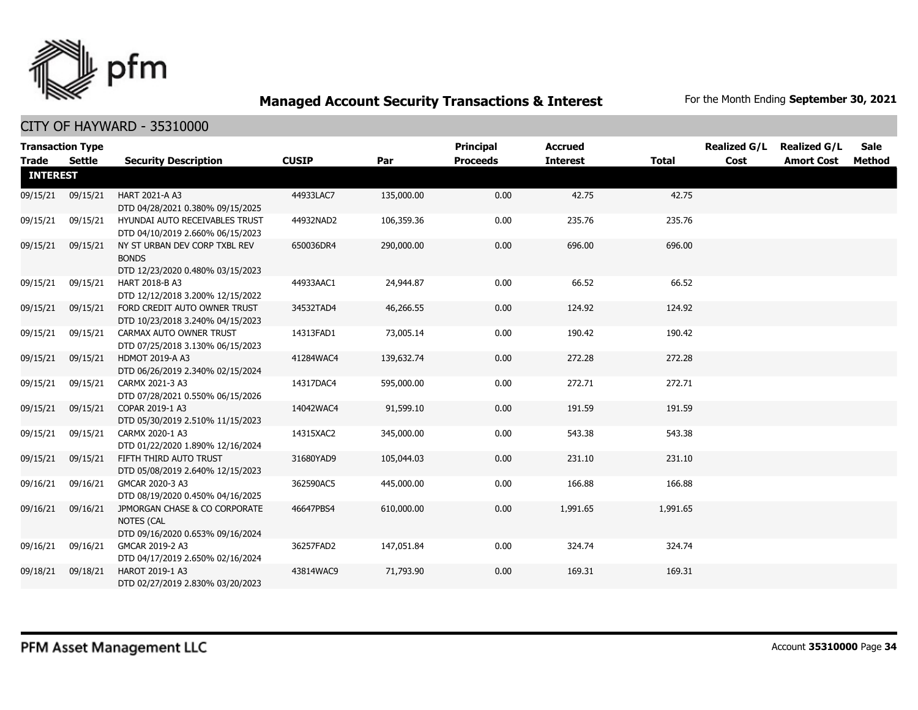

|                 | <b>Transaction Type</b> |                                                                                   |              |            | <b>Principal</b> | <b>Accrued</b>  |              | <b>Realized G/L</b> | <b>Realized G/L</b> | <b>Sale</b> |
|-----------------|-------------------------|-----------------------------------------------------------------------------------|--------------|------------|------------------|-----------------|--------------|---------------------|---------------------|-------------|
| <b>Trade</b>    | Settle                  | <b>Security Description</b>                                                       | <b>CUSIP</b> | Par        | <b>Proceeds</b>  | <b>Interest</b> | <b>Total</b> | Cost                | <b>Amort Cost</b>   | Method      |
| <b>INTEREST</b> |                         |                                                                                   |              |            |                  |                 |              |                     |                     |             |
| 09/15/21        | 09/15/21                | HART 2021-A A3<br>DTD 04/28/2021 0.380% 09/15/2025                                | 44933LAC7    | 135,000.00 | 0.00             | 42.75           | 42.75        |                     |                     |             |
| 09/15/21        | 09/15/21                | HYUNDAI AUTO RECEIVABLES TRUST<br>DTD 04/10/2019 2.660% 06/15/2023                | 44932NAD2    | 106,359.36 | 0.00             | 235.76          | 235.76       |                     |                     |             |
| 09/15/21        | 09/15/21                | NY ST URBAN DEV CORP TXBL REV<br><b>BONDS</b><br>DTD 12/23/2020 0.480% 03/15/2023 | 650036DR4    | 290,000.00 | 0.00             | 696.00          | 696.00       |                     |                     |             |
| 09/15/21        | 09/15/21                | <b>HART 2018-B A3</b><br>DTD 12/12/2018 3.200% 12/15/2022                         | 44933AAC1    | 24,944.87  | 0.00             | 66.52           | 66.52        |                     |                     |             |
| 09/15/21        | 09/15/21                | FORD CREDIT AUTO OWNER TRUST<br>DTD 10/23/2018 3.240% 04/15/2023                  | 34532TAD4    | 46,266.55  | 0.00             | 124.92          | 124.92       |                     |                     |             |
| 09/15/21        | 09/15/21                | CARMAX AUTO OWNER TRUST<br>DTD 07/25/2018 3.130% 06/15/2023                       | 14313FAD1    | 73,005.14  | 0.00             | 190.42          | 190.42       |                     |                     |             |
| 09/15/21        | 09/15/21                | <b>HDMOT 2019-A A3</b><br>DTD 06/26/2019 2.340% 02/15/2024                        | 41284WAC4    | 139,632.74 | 0.00             | 272.28          | 272.28       |                     |                     |             |
| 09/15/21        | 09/15/21                | CARMX 2021-3 A3<br>DTD 07/28/2021 0.550% 06/15/2026                               | 14317DAC4    | 595,000.00 | 0.00             | 272.71          | 272.71       |                     |                     |             |
| 09/15/21        | 09/15/21                | COPAR 2019-1 A3<br>DTD 05/30/2019 2.510% 11/15/2023                               | 14042WAC4    | 91,599.10  | 0.00             | 191.59          | 191.59       |                     |                     |             |
| 09/15/21        | 09/15/21                | CARMX 2020-1 A3<br>DTD 01/22/2020 1.890% 12/16/2024                               | 14315XAC2    | 345,000.00 | 0.00             | 543.38          | 543.38       |                     |                     |             |
| 09/15/21        | 09/15/21                | FIFTH THIRD AUTO TRUST<br>DTD 05/08/2019 2.640% 12/15/2023                        | 31680YAD9    | 105,044.03 | 0.00             | 231.10          | 231.10       |                     |                     |             |
| 09/16/21        | 09/16/21                | GMCAR 2020-3 A3<br>DTD 08/19/2020 0.450% 04/16/2025                               | 362590AC5    | 445,000.00 | 0.00             | 166.88          | 166.88       |                     |                     |             |
| 09/16/21        | 09/16/21                | JPMORGAN CHASE & CO CORPORATE<br>NOTES (CAL<br>DTD 09/16/2020 0.653% 09/16/2024   | 46647PBS4    | 610,000.00 | 0.00             | 1,991.65        | 1,991.65     |                     |                     |             |
| 09/16/21        | 09/16/21                | GMCAR 2019-2 A3<br>DTD 04/17/2019 2.650% 02/16/2024                               | 36257FAD2    | 147,051.84 | 0.00             | 324.74          | 324.74       |                     |                     |             |
| 09/18/21        | 09/18/21                | HAROT 2019-1 A3<br>DTD 02/27/2019 2.830% 03/20/2023                               | 43814WAC9    | 71,793.90  | 0.00             | 169.31          | 169.31       |                     |                     |             |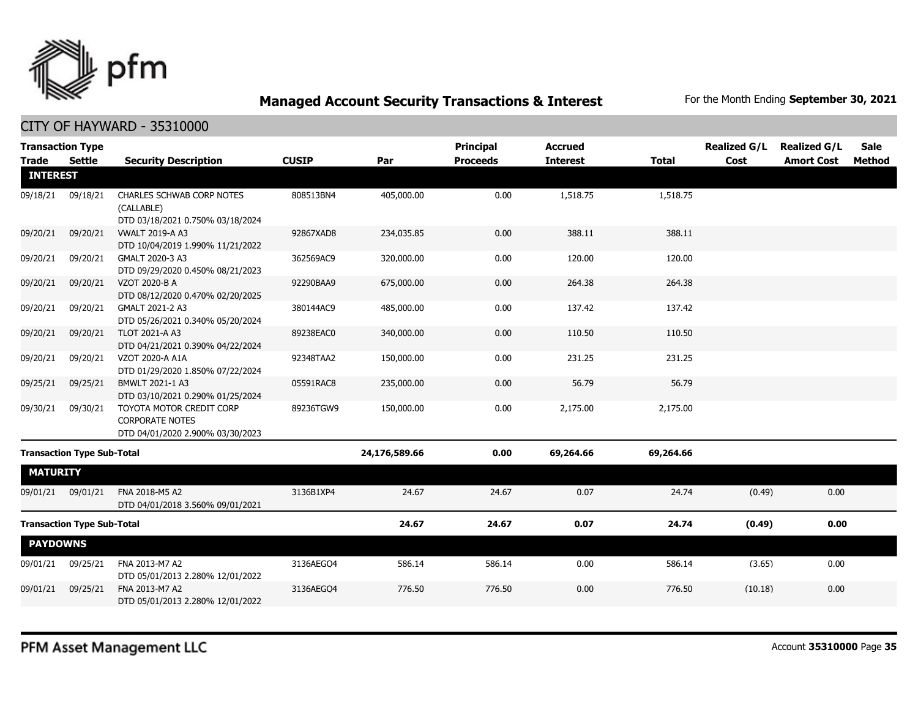

| <b>Transaction Type</b>           |                                   |                                                                                        |              |               | <b>Principal</b> | <b>Accrued</b>  |              | <b>Realized G/L</b> | <b>Realized G/L</b> | Sale   |
|-----------------------------------|-----------------------------------|----------------------------------------------------------------------------------------|--------------|---------------|------------------|-----------------|--------------|---------------------|---------------------|--------|
| Trade                             | <b>Settle</b>                     | <b>Security Description</b>                                                            | <b>CUSIP</b> | Par           | <b>Proceeds</b>  | <b>Interest</b> | <b>Total</b> | Cost                | <b>Amort Cost</b>   | Method |
| <b>INTEREST</b>                   |                                   |                                                                                        |              |               |                  |                 |              |                     |                     |        |
| 09/18/21                          | 09/18/21                          | <b>CHARLES SCHWAB CORP NOTES</b><br>(CALLABLE)<br>DTD 03/18/2021 0.750% 03/18/2024     | 808513BN4    | 405,000.00    | 0.00             | 1,518.75        | 1,518.75     |                     |                     |        |
| 09/20/21                          | 09/20/21                          | <b>VWALT 2019-A A3</b><br>DTD 10/04/2019 1.990% 11/21/2022                             | 92867XAD8    | 234,035.85    | 0.00             | 388.11          | 388.11       |                     |                     |        |
| 09/20/21                          | 09/20/21                          | GMALT 2020-3 A3<br>DTD 09/29/2020 0.450% 08/21/2023                                    | 362569AC9    | 320,000.00    | 0.00             | 120.00          | 120.00       |                     |                     |        |
| 09/20/21                          | 09/20/21                          | VZOT 2020-B A<br>DTD 08/12/2020 0.470% 02/20/2025                                      | 92290BAA9    | 675,000.00    | 0.00             | 264.38          | 264.38       |                     |                     |        |
| 09/20/21                          | 09/20/21                          | GMALT 2021-2 A3<br>DTD 05/26/2021 0.340% 05/20/2024                                    | 380144AC9    | 485,000.00    | 0.00             | 137.42          | 137.42       |                     |                     |        |
| 09/20/21                          | 09/20/21                          | <b>TLOT 2021-A A3</b><br>DTD 04/21/2021 0.390% 04/22/2024                              | 89238EAC0    | 340,000.00    | 0.00             | 110.50          | 110.50       |                     |                     |        |
| 09/20/21                          | 09/20/21                          | VZOT 2020-A A1A<br>DTD 01/29/2020 1.850% 07/22/2024                                    | 92348TAA2    | 150,000.00    | 0.00             | 231.25          | 231.25       |                     |                     |        |
| 09/25/21                          | 09/25/21                          | BMWLT 2021-1 A3<br>DTD 03/10/2021 0.290% 01/25/2024                                    | 05591RAC8    | 235,000.00    | 0.00             | 56.79           | 56.79        |                     |                     |        |
| 09/30/21                          | 09/30/21                          | TOYOTA MOTOR CREDIT CORP<br><b>CORPORATE NOTES</b><br>DTD 04/01/2020 2.900% 03/30/2023 | 89236TGW9    | 150,000.00    | 0.00             | 2,175.00        | 2,175.00     |                     |                     |        |
|                                   | <b>Transaction Type Sub-Total</b> |                                                                                        |              | 24,176,589.66 | 0.00             | 69,264.66       | 69,264.66    |                     |                     |        |
| <b>MATURITY</b>                   |                                   |                                                                                        |              |               |                  |                 |              |                     |                     |        |
| 09/01/21                          | 09/01/21                          | FNA 2018-M5 A2<br>DTD 04/01/2018 3.560% 09/01/2021                                     | 3136B1XP4    | 24.67         | 24.67            | 0.07            | 24.74        | (0.49)              | 0.00                |        |
| <b>Transaction Type Sub-Total</b> |                                   |                                                                                        | 24.67        | 24.67         | 0.07             | 24.74           | (0.49)       | 0.00                |                     |        |
| <b>PAYDOWNS</b>                   |                                   |                                                                                        |              |               |                  |                 |              |                     |                     |        |
| 09/01/21                          | 09/25/21                          | FNA 2013-M7 A2<br>DTD 05/01/2013 2.280% 12/01/2022                                     | 3136AEGO4    | 586.14        | 586.14           | 0.00            | 586.14       | (3.65)              | 0.00                |        |
| 09/01/21                          | 09/25/21                          | FNA 2013-M7 A2<br>DTD 05/01/2013 2.280% 12/01/2022                                     | 3136AEGO4    | 776.50        | 776.50           | 0.00            | 776.50       | (10.18)             | 0.00                |        |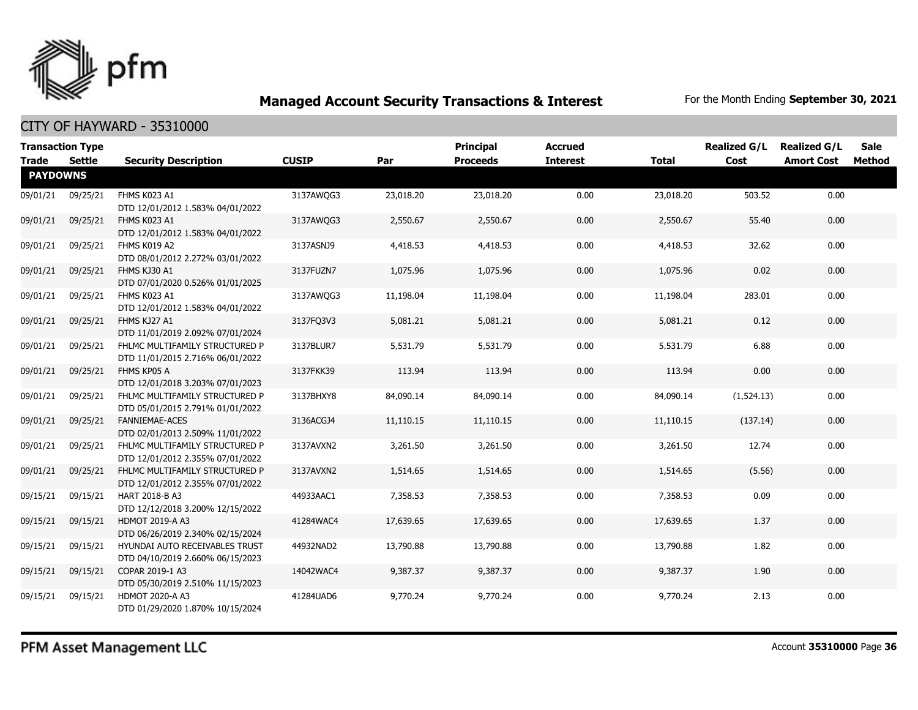

| <b>Trade</b>    | <b>Transaction Type</b><br>Settle | <b>Security Description</b>                                        | <b>CUSIP</b> | Par       | <b>Principal</b><br><b>Proceeds</b> | <b>Accrued</b><br><b>Interest</b> | <b>Total</b> | <b>Realized G/L</b><br>Cost | <b>Realized G/L</b><br><b>Amort Cost</b> | <b>Sale</b><br><b>Method</b> |
|-----------------|-----------------------------------|--------------------------------------------------------------------|--------------|-----------|-------------------------------------|-----------------------------------|--------------|-----------------------------|------------------------------------------|------------------------------|
| <b>PAYDOWNS</b> |                                   |                                                                    |              |           |                                     |                                   |              |                             |                                          |                              |
| 09/01/21        | 09/25/21                          | FHMS K023 A1<br>DTD 12/01/2012 1.583% 04/01/2022                   | 3137AWQG3    | 23,018.20 | 23,018.20                           | 0.00                              | 23,018.20    | 503.52                      | 0.00                                     |                              |
| 09/01/21        | 09/25/21                          | FHMS K023 A1<br>DTD 12/01/2012 1.583% 04/01/2022                   | 3137AWQG3    | 2,550.67  | 2,550.67                            | 0.00                              | 2,550.67     | 55.40                       | 0.00                                     |                              |
| 09/01/21        | 09/25/21                          | FHMS K019 A2<br>DTD 08/01/2012 2.272% 03/01/2022                   | 3137ASNJ9    | 4,418.53  | 4,418.53                            | 0.00                              | 4,418.53     | 32.62                       | 0.00                                     |                              |
| 09/01/21        | 09/25/21                          | FHMS KJ30 A1<br>DTD 07/01/2020 0.526% 01/01/2025                   | 3137FUZN7    | 1,075.96  | 1,075.96                            | 0.00                              | 1,075.96     | 0.02                        | 0.00                                     |                              |
| 09/01/21        | 09/25/21                          | FHMS K023 A1<br>DTD 12/01/2012 1.583% 04/01/2022                   | 3137AWQG3    | 11,198.04 | 11,198.04                           | 0.00                              | 11,198.04    | 283.01                      | 0.00                                     |                              |
| 09/01/21        | 09/25/21                          | FHMS KJ27 A1<br>DTD 11/01/2019 2.092% 07/01/2024                   | 3137FQ3V3    | 5,081.21  | 5,081.21                            | 0.00                              | 5,081.21     | 0.12                        | 0.00                                     |                              |
| 09/01/21        | 09/25/21                          | FHLMC MULTIFAMILY STRUCTURED P<br>DTD 11/01/2015 2.716% 06/01/2022 | 3137BLUR7    | 5,531.79  | 5,531.79                            | 0.00                              | 5,531.79     | 6.88                        | 0.00                                     |                              |
| 09/01/21        | 09/25/21                          | FHMS KP05 A<br>DTD 12/01/2018 3.203% 07/01/2023                    | 3137FKK39    | 113.94    | 113.94                              | 0.00                              | 113.94       | 0.00                        | 0.00                                     |                              |
| 09/01/21        | 09/25/21                          | FHLMC MULTIFAMILY STRUCTURED P<br>DTD 05/01/2015 2.791% 01/01/2022 | 3137BHXY8    | 84,090.14 | 84,090.14                           | 0.00                              | 84,090.14    | (1,524.13)                  | 0.00                                     |                              |
| 09/01/21        | 09/25/21                          | <b>FANNIEMAE-ACES</b><br>DTD 02/01/2013 2.509% 11/01/2022          | 3136ACGJ4    | 11,110.15 | 11,110.15                           | 0.00                              | 11,110.15    | (137.14)                    | 0.00                                     |                              |
| 09/01/21        | 09/25/21                          | FHLMC MULTIFAMILY STRUCTURED P<br>DTD 12/01/2012 2.355% 07/01/2022 | 3137AVXN2    | 3,261.50  | 3,261.50                            | 0.00                              | 3,261.50     | 12.74                       | 0.00                                     |                              |
| 09/01/21        | 09/25/21                          | FHLMC MULTIFAMILY STRUCTURED P<br>DTD 12/01/2012 2.355% 07/01/2022 | 3137AVXN2    | 1,514.65  | 1,514.65                            | 0.00                              | 1,514.65     | (5.56)                      | 0.00                                     |                              |
| 09/15/21        | 09/15/21                          | <b>HART 2018-B A3</b><br>DTD 12/12/2018 3.200% 12/15/2022          | 44933AAC1    | 7,358.53  | 7,358.53                            | 0.00                              | 7,358.53     | 0.09                        | 0.00                                     |                              |
| 09/15/21        | 09/15/21                          | <b>HDMOT 2019-A A3</b><br>DTD 06/26/2019 2.340% 02/15/2024         | 41284WAC4    | 17,639.65 | 17,639.65                           | 0.00                              | 17,639.65    | 1.37                        | 0.00                                     |                              |
| 09/15/21        | 09/15/21                          | HYUNDAI AUTO RECEIVABLES TRUST<br>DTD 04/10/2019 2.660% 06/15/2023 | 44932NAD2    | 13,790.88 | 13,790.88                           | 0.00                              | 13,790.88    | 1.82                        | 0.00                                     |                              |
| 09/15/21        | 09/15/21                          | COPAR 2019-1 A3<br>DTD 05/30/2019 2.510% 11/15/2023                | 14042WAC4    | 9,387.37  | 9,387.37                            | 0.00                              | 9,387.37     | 1.90                        | 0.00                                     |                              |
| 09/15/21        | 09/15/21                          | <b>HDMOT 2020-A A3</b><br>DTD 01/29/2020 1.870% 10/15/2024         | 41284UAD6    | 9,770.24  | 9,770.24                            | 0.00                              | 9,770.24     | 2.13                        | 0.00                                     |                              |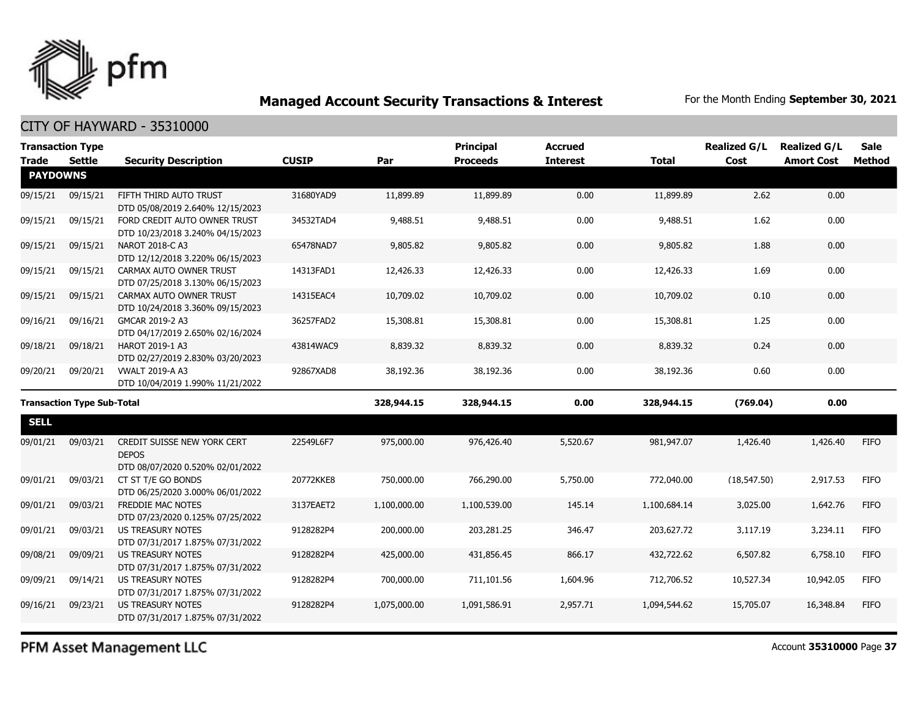

CITY OF HAYWARD - 35310000

|                                   | <b>Transaction Type</b> |                                                                                 |              |              | <b>Principal</b> | <b>Accrued</b>  |              | <b>Realized G/L</b> | <b>Realized G/L</b> | <b>Sale</b> |
|-----------------------------------|-------------------------|---------------------------------------------------------------------------------|--------------|--------------|------------------|-----------------|--------------|---------------------|---------------------|-------------|
| <b>Trade</b>                      | Settle                  | <b>Security Description</b>                                                     | <b>CUSIP</b> | Par          | <b>Proceeds</b>  | <b>Interest</b> | <b>Total</b> | Cost                | <b>Amort Cost</b>   | Method      |
| <b>PAYDOWNS</b>                   |                         |                                                                                 |              |              |                  |                 |              |                     |                     |             |
| 09/15/21                          | 09/15/21                | FIFTH THIRD AUTO TRUST<br>DTD 05/08/2019 2.640% 12/15/2023                      | 31680YAD9    | 11,899.89    | 11,899.89        | 0.00            | 11,899.89    | 2.62                | 0.00                |             |
| 09/15/21                          | 09/15/21                | FORD CREDIT AUTO OWNER TRUST<br>DTD 10/23/2018 3.240% 04/15/2023                | 34532TAD4    | 9,488.51     | 9,488.51         | 0.00            | 9,488.51     | 1.62                | 0.00                |             |
| 09/15/21                          | 09/15/21                | NAROT 2018-C A3<br>DTD 12/12/2018 3.220% 06/15/2023                             | 65478NAD7    | 9,805.82     | 9,805.82         | 0.00            | 9,805.82     | 1.88                | 0.00                |             |
| 09/15/21                          | 09/15/21                | CARMAX AUTO OWNER TRUST<br>DTD 07/25/2018 3.130% 06/15/2023                     | 14313FAD1    | 12,426.33    | 12,426.33        | 0.00            | 12,426.33    | 1.69                | 0.00                |             |
| 09/15/21                          | 09/15/21                | CARMAX AUTO OWNER TRUST<br>DTD 10/24/2018 3.360% 09/15/2023                     | 14315EAC4    | 10,709.02    | 10,709.02        | 0.00            | 10,709.02    | 0.10                | 0.00                |             |
| 09/16/21                          | 09/16/21                | GMCAR 2019-2 A3<br>DTD 04/17/2019 2.650% 02/16/2024                             | 36257FAD2    | 15,308.81    | 15,308.81        | 0.00            | 15,308.81    | 1.25                | 0.00                |             |
| 09/18/21                          | 09/18/21                | HAROT 2019-1 A3<br>DTD 02/27/2019 2.830% 03/20/2023                             | 43814WAC9    | 8,839.32     | 8,839.32         | 0.00            | 8,839.32     | 0.24                | 0.00                |             |
| 09/20/21                          | 09/20/21                | <b>VWALT 2019-A A3</b><br>DTD 10/04/2019 1.990% 11/21/2022                      | 92867XAD8    | 38,192.36    | 38,192.36        | 0.00            | 38,192.36    | 0.60                | 0.00                |             |
| <b>Transaction Type Sub-Total</b> |                         | 328,944.15                                                                      | 328,944.15   | 0.00         | 328,944.15       | (769.04)        | 0.00         |                     |                     |             |
| <b>SELL</b>                       |                         |                                                                                 |              |              |                  |                 |              |                     |                     |             |
| 09/01/21                          | 09/03/21                | CREDIT SUISSE NEW YORK CERT<br><b>DEPOS</b><br>DTD 08/07/2020 0.520% 02/01/2022 | 22549L6F7    | 975,000.00   | 976,426.40       | 5,520.67        | 981,947.07   | 1,426.40            | 1,426.40            | <b>FIFO</b> |
| 09/01/21                          | 09/03/21                | CT ST T/E GO BONDS<br>DTD 06/25/2020 3.000% 06/01/2022                          | 20772KKE8    | 750,000.00   | 766,290.00       | 5,750.00        | 772,040.00   | (18, 547.50)        | 2,917.53            | <b>FIFO</b> |
| 09/01/21                          | 09/03/21                | <b>FREDDIE MAC NOTES</b><br>DTD 07/23/2020 0.125% 07/25/2022                    | 3137EAET2    | 1,100,000.00 | 1,100,539.00     | 145.14          | 1,100,684.14 | 3,025.00            | 1,642.76            | <b>FIFO</b> |
| 09/01/21                          | 09/03/21                | <b>US TREASURY NOTES</b><br>DTD 07/31/2017 1.875% 07/31/2022                    | 9128282P4    | 200,000.00   | 203,281.25       | 346.47          | 203,627.72   | 3,117.19            | 3,234.11            | <b>FIFO</b> |
| 09/08/21                          | 09/09/21                | <b>US TREASURY NOTES</b><br>DTD 07/31/2017 1.875% 07/31/2022                    | 9128282P4    | 425,000.00   | 431,856.45       | 866.17          | 432,722.62   | 6,507.82            | 6,758.10            | <b>FIFO</b> |
| 09/09/21                          | 09/14/21                | <b>US TREASURY NOTES</b><br>DTD 07/31/2017 1.875% 07/31/2022                    | 9128282P4    | 700,000.00   | 711,101.56       | 1,604.96        | 712,706.52   | 10,527.34           | 10,942.05           | <b>FIFO</b> |
| 09/16/21                          | 09/23/21                | <b>US TREASURY NOTES</b><br>DTD 07/31/2017 1.875% 07/31/2022                    | 9128282P4    | 1,075,000.00 | 1,091,586.91     | 2,957.71        | 1,094,544.62 | 15,705.07           | 16,348.84           | <b>FIFO</b> |

PFM Asset Management LLC

Account **35310000** Page **37**